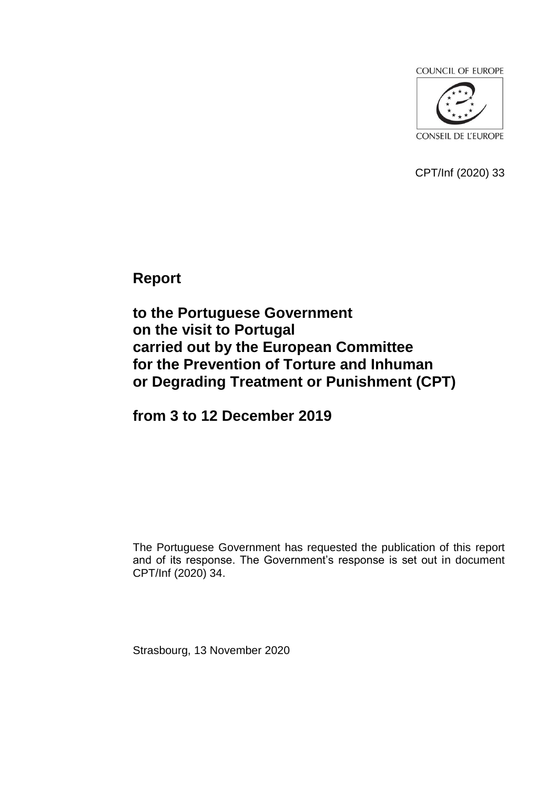**COUNCIL OF EUROPE** 



CPT/Inf (2020) 33

**Report**

**to the Portuguese Government on the visit to Portugal carried out by the European Committee for the Prevention of Torture and Inhuman or Degrading Treatment or Punishment (CPT)**

**from 3 to 12 December 2019**

The Portuguese Government has requested the publication of this report and of its response. The Government's response is set out in document CPT/Inf (2020) 34.

Strasbourg, 13 November 2020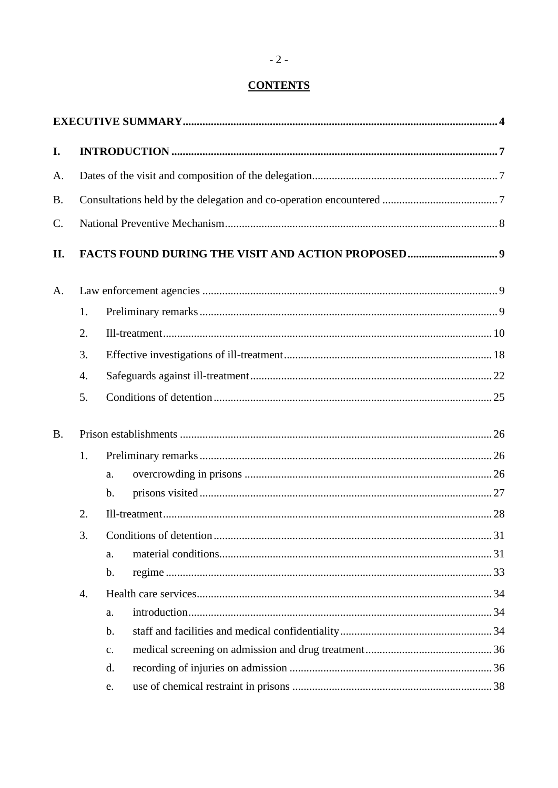# **CONTENTS**

| I.        |                  |                |    |
|-----------|------------------|----------------|----|
| A.        |                  |                |    |
| <b>B.</b> |                  |                |    |
| C.        |                  |                |    |
| II.       |                  |                |    |
| A.        |                  |                |    |
|           | 1.               |                |    |
|           | 2.               |                |    |
|           | 3.               |                |    |
|           | 4.               |                |    |
|           | 5.               |                |    |
| <b>B.</b> |                  |                |    |
|           | 1.               |                |    |
|           |                  | a.             |    |
|           |                  | $\mathbf{b}$ . |    |
|           | 2.               |                |    |
|           | 3.               |                | 31 |
|           |                  | a.             |    |
|           |                  | $\mathbf b$ .  |    |
|           | $\overline{4}$ . |                |    |
|           |                  | a.             |    |
|           |                  | $\mathbf b$ .  |    |
|           |                  | $\mathbf{c}$ . |    |
|           |                  | d.             |    |
|           |                  | e.             |    |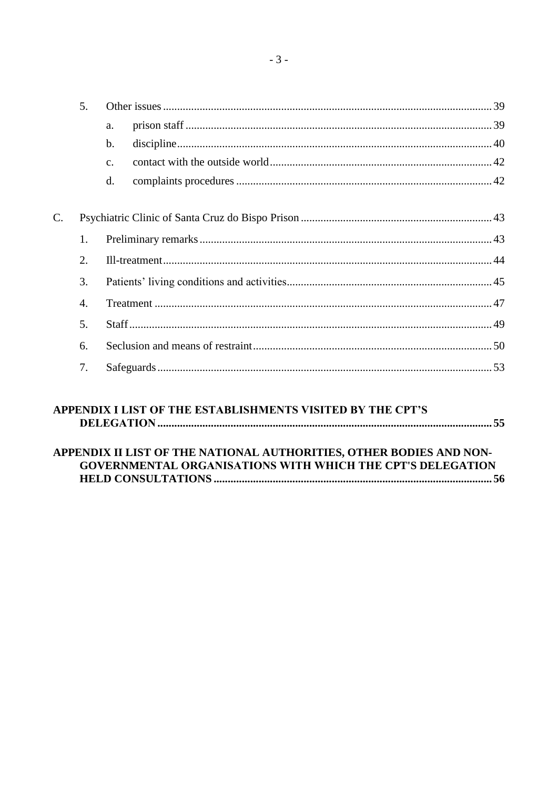|                  | a.             |  |  |
|------------------|----------------|--|--|
|                  | $\mathbf{b}$ . |  |  |
|                  | $C_{-}$        |  |  |
|                  | d.             |  |  |
|                  |                |  |  |
|                  |                |  |  |
| 1.               |                |  |  |
| $\overline{2}$ . |                |  |  |
| 3.<br>4.         |                |  |  |
|                  |                |  |  |
| 5.               |                |  |  |
|                  |                |  |  |
| 6.               |                |  |  |
|                  |                |  |  |

| APPENDIX I LIST OF THE ESTABLISHMENTS VISITED BY THE CPT'S          |  |
|---------------------------------------------------------------------|--|
|                                                                     |  |
|                                                                     |  |
| APPENDIX II LIST OF THE NATIONAL AUTHORITIES, OTHER BODIES AND NON- |  |
| <b>GOVERNMENTAL ORGANISATIONS WITH WHICH THE CPT'S DELEGATION</b>   |  |
|                                                                     |  |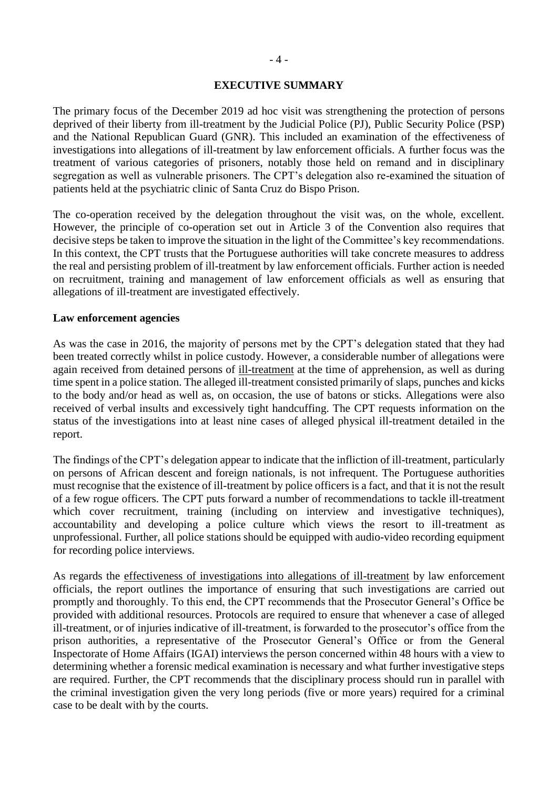#### **EXECUTIVE SUMMARY**

<span id="page-3-0"></span>The primary focus of the December 2019 ad hoc visit was strengthening the protection of persons deprived of their liberty from ill-treatment by the Judicial Police (PJ), Public Security Police (PSP) and the National Republican Guard (GNR). This included an examination of the effectiveness of investigations into allegations of ill-treatment by law enforcement officials. A further focus was the treatment of various categories of prisoners, notably those held on remand and in disciplinary segregation as well as vulnerable prisoners. The CPT's delegation also re-examined the situation of patients held at the psychiatric clinic of Santa Cruz do Bispo Prison.

The co-operation received by the delegation throughout the visit was, on the whole, excellent. However, the principle of co-operation set out in Article 3 of the Convention also requires that decisive steps be taken to improve the situation in the light of the Committee's key recommendations. In this context, the CPT trusts that the Portuguese authorities will take concrete measures to address the real and persisting problem of ill-treatment by law enforcement officials. Further action is needed on recruitment, training and management of law enforcement officials as well as ensuring that allegations of ill-treatment are investigated effectively.

#### **Law enforcement agencies**

As was the case in 2016, the majority of persons met by the CPT's delegation stated that they had been treated correctly whilst in police custody. However, a considerable number of allegations were again received from detained persons of ill-treatment at the time of apprehension, as well as during time spent in a police station. The alleged ill-treatment consisted primarily of slaps, punches and kicks to the body and/or head as well as, on occasion, the use of batons or sticks. Allegations were also received of verbal insults and excessively tight handcuffing. The CPT requests information on the status of the investigations into at least nine cases of alleged physical ill-treatment detailed in the report.

The findings of the CPT's delegation appear to indicate that the infliction of ill-treatment, particularly on persons of African descent and foreign nationals, is not infrequent. The Portuguese authorities must recognise that the existence of ill-treatment by police officers is a fact, and that it is not the result of a few rogue officers. The CPT puts forward a number of recommendations to tackle ill-treatment which cover recruitment, training (including on interview and investigative techniques), accountability and developing a police culture which views the resort to ill-treatment as unprofessional. Further, all police stations should be equipped with audio-video recording equipment for recording police interviews.

As regards the effectiveness of investigations into allegations of ill-treatment by law enforcement officials, the report outlines the importance of ensuring that such investigations are carried out promptly and thoroughly. To this end, the CPT recommends that the Prosecutor General's Office be provided with additional resources. Protocols are required to ensure that whenever a case of alleged ill-treatment, or of injuries indicative of ill-treatment, is forwarded to the prosecutor's office from the prison authorities, a representative of the Prosecutor General's Office or from the General Inspectorate of Home Affairs (IGAI) interviews the person concerned within 48 hours with a view to determining whether a forensic medical examination is necessary and what further investigative steps are required. Further, the CPT recommends that the disciplinary process should run in parallel with the criminal investigation given the very long periods (five or more years) required for a criminal case to be dealt with by the courts.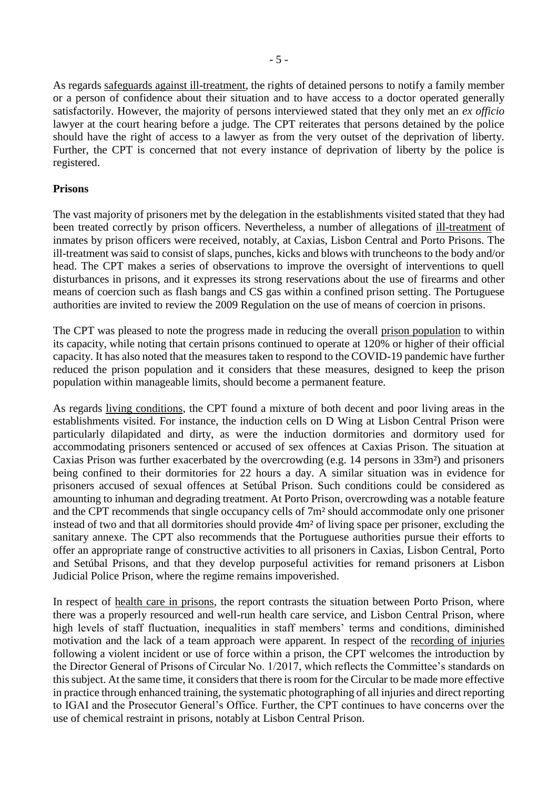As regards safeguards against ill-treatment, the rights of detained persons to notify a family member or a person of confidence about their situation and to have access to a doctor operated generally satisfactorily. However, the majority of persons interviewed stated that they only met an *ex officio* lawyer at the court hearing before a judge. The CPT reiterates that persons detained by the police should have the right of access to a lawyer as from the very outset of the deprivation of liberty. Further, the CPT is concerned that not every instance of deprivation of liberty by the police is registered.

#### **Prisons**

The vast majority of prisoners met by the delegation in the establishments visited stated that they had been treated correctly by prison officers. Nevertheless, a number of allegations of ill-treatment of inmates by prison officers were received, notably, at Caxias, Lisbon Central and Porto Prisons. The ill-treatment was said to consist of slaps, punches, kicks and blows with truncheons to the body and/or head. The CPT makes a series of observations to improve the oversight of interventions to quell disturbances in prisons, and it expresses its strong reservations about the use of firearms and other means of coercion such as flash bangs and CS gas within a confined prison setting. The Portuguese authorities are invited to review the 2009 Regulation on the use of means of coercion in prisons.

The CPT was pleased to note the progress made in reducing the overall prison population to within its capacity, while noting that certain prisons continued to operate at 120% or higher of their official capacity. It has also noted that the measures taken to respond to the COVID-19 pandemic have further reduced the prison population and it considers that these measures, designed to keep the prison population within manageable limits, should become a permanent feature.

As regards living conditions, the CPT found a mixture of both decent and poor living areas in the establishments visited. For instance, the induction cells on D Wing at Lisbon Central Prison were particularly dilapidated and dirty, as were the induction dormitories and dormitory used for accommodating prisoners sentenced or accused of sex offences at Caxias Prison. The situation at Caxias Prison was further exacerbated by the overcrowding (e.g. 14 persons in 33m²) and prisoners being confined to their dormitories for 22 hours a day. A similar situation was in evidence for prisoners accused of sexual offences at Setúbal Prison. Such conditions could be considered as amounting to inhuman and degrading treatment. At Porto Prison, overcrowding was a notable feature and the CPT recommends that single occupancy cells of 7m² should accommodate only one prisoner instead of two and that all dormitories should provide 4m² of living space per prisoner, excluding the sanitary annexe. The CPT also recommends that the Portuguese authorities pursue their efforts to offer an appropriate range of constructive activities to all prisoners in Caxias, Lisbon Central, Porto and Setúbal Prisons, and that they develop purposeful activities for remand prisoners at Lisbon Judicial Police Prison, where the regime remains impoverished.

In respect of health care in prisons, the report contrasts the situation between Porto Prison, where there was a properly resourced and well-run health care service, and Lisbon Central Prison, where high levels of staff fluctuation, inequalities in staff members' terms and conditions, diminished motivation and the lack of a team approach were apparent. In respect of the recording of injuries following a violent incident or use of force within a prison, the CPT welcomes the introduction by the Director General of Prisons of Circular No. 1/2017, which reflects the Committee's standards on this subject. At the same time, it considers that there is room for the Circular to be made more effective in practice through enhanced training, the systematic photographing of all injuries and direct reporting to IGAI and the Prosecutor General's Office. Further, the CPT continues to have concerns over the use of chemical restraint in prisons, notably at Lisbon Central Prison.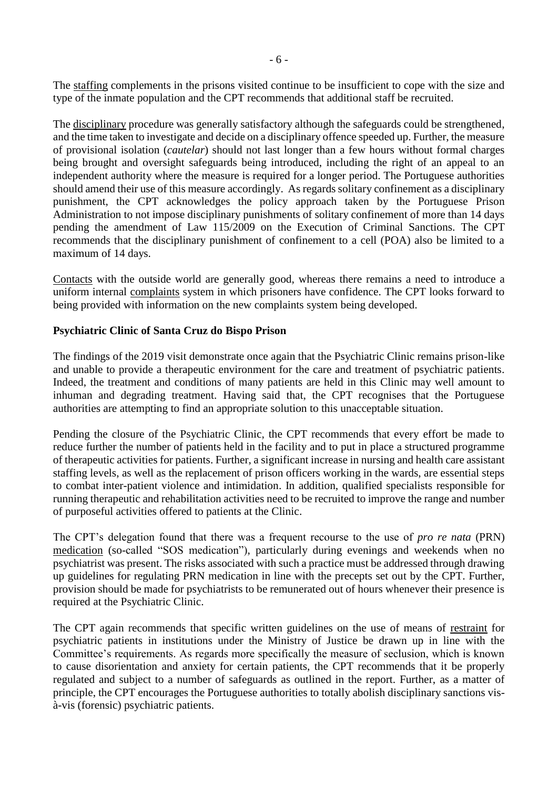The staffing complements in the prisons visited continue to be insufficient to cope with the size and type of the inmate population and the CPT recommends that additional staff be recruited.

The disciplinary procedure was generally satisfactory although the safeguards could be strengthened, and the time taken to investigate and decide on a disciplinary offence speeded up. Further, the measure of provisional isolation (*cautelar*) should not last longer than a few hours without formal charges being brought and oversight safeguards being introduced, including the right of an appeal to an independent authority where the measure is required for a longer period. The Portuguese authorities should amend their use of this measure accordingly. As regards solitary confinement as a disciplinary punishment, the CPT acknowledges the policy approach taken by the Portuguese Prison Administration to not impose disciplinary punishments of solitary confinement of more than 14 days pending the amendment of Law 115/2009 on the Execution of Criminal Sanctions. The CPT recommends that the disciplinary punishment of confinement to a cell (POA) also be limited to a maximum of 14 days.

Contacts with the outside world are generally good, whereas there remains a need to introduce a uniform internal complaints system in which prisoners have confidence. The CPT looks forward to being provided with information on the new complaints system being developed.

#### **Psychiatric Clinic of Santa Cruz do Bispo Prison**

The findings of the 2019 visit demonstrate once again that the Psychiatric Clinic remains prison-like and unable to provide a therapeutic environment for the care and treatment of psychiatric patients. Indeed, the treatment and conditions of many patients are held in this Clinic may well amount to inhuman and degrading treatment. Having said that, the CPT recognises that the Portuguese authorities are attempting to find an appropriate solution to this unacceptable situation.

Pending the closure of the Psychiatric Clinic, the CPT recommends that every effort be made to reduce further the number of patients held in the facility and to put in place a structured programme of therapeutic activities for patients. Further, a significant increase in nursing and health care assistant staffing levels, as well as the replacement of prison officers working in the wards, are essential steps to combat inter-patient violence and intimidation. In addition, qualified specialists responsible for running therapeutic and rehabilitation activities need to be recruited to improve the range and number of purposeful activities offered to patients at the Clinic.

The CPT's delegation found that there was a frequent recourse to the use of *pro re nata* (PRN) medication (so-called "SOS medication"), particularly during evenings and weekends when no psychiatrist was present. The risks associated with such a practice must be addressed through drawing up guidelines for regulating PRN medication in line with the precepts set out by the CPT. Further, provision should be made for psychiatrists to be remunerated out of hours whenever their presence is required at the Psychiatric Clinic.

The CPT again recommends that specific written guidelines on the use of means of restraint for psychiatric patients in institutions under the Ministry of Justice be drawn up in line with the Committee's requirements. As regards more specifically the measure of seclusion, which is known to cause disorientation and anxiety for certain patients, the CPT recommends that it be properly regulated and subject to a number of safeguards as outlined in the report. Further, as a matter of principle, the CPT encourages the Portuguese authorities to totally abolish disciplinary sanctions visà-vis (forensic) psychiatric patients.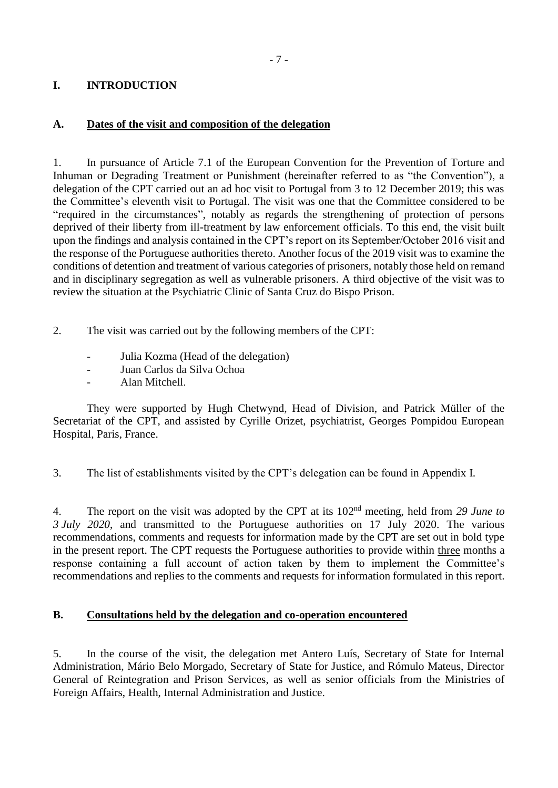## <span id="page-6-0"></span>**I. INTRODUCTION**

## <span id="page-6-1"></span>**A. Dates of the visit and composition of the delegation**

1. In pursuance of Article 7.1 of the European Convention for the Prevention of Torture and Inhuman or Degrading Treatment or Punishment (hereinafter referred to as "the Convention"), a delegation of the CPT carried out an ad hoc visit to Portugal from 3 to 12 December 2019; this was the Committee's eleventh visit to Portugal. The visit was one that the Committee considered to be "required in the circumstances", notably as regards the strengthening of protection of persons deprived of their liberty from ill-treatment by law enforcement officials. To this end, the visit built upon the findings and analysis contained in the CPT's report on its September/October 2016 visit and the response of the Portuguese authorities thereto. Another focus of the 2019 visit was to examine the conditions of detention and treatment of various categories of prisoners, notably those held on remand and in disciplinary segregation as well as vulnerable prisoners. A third objective of the visit was to review the situation at the Psychiatric Clinic of Santa Cruz do Bispo Prison.

- 2. The visit was carried out by the following members of the CPT:
	- Julia Kozma (Head of the delegation)
	- Juan Carlos da Silva Ochoa
	- Alan Mitchell.

They were supported by Hugh Chetwynd, Head of Division, and Patrick Müller of the Secretariat of the CPT, and assisted by Cyrille Orizet, psychiatrist, Georges Pompidou European Hospital, Paris, France.

3. The list of establishments visited by the CPT's delegation can be found in Appendix I.

4. The report on the visit was adopted by the CPT at its 102<sup>nd</sup> meeting, held from 29 June to *3 July 2020*, and transmitted to the Portuguese authorities on 17 July 2020. The various recommendations, comments and requests for information made by the CPT are set out in bold type in the present report. The CPT requests the Portuguese authorities to provide within three months a response containing a full account of action taken by them to implement the Committee's recommendations and replies to the comments and requests for information formulated in this report.

#### <span id="page-6-2"></span>**B. Consultations held by the delegation and co-operation encountered**

5. In the course of the visit, the delegation met Antero Luís, Secretary of State for Internal Administration, Mário Belo Morgado, Secretary of State for Justice, and Rómulo Mateus, Director General of Reintegration and Prison Services, as well as senior officials from the Ministries of Foreign Affairs, Health, Internal Administration and Justice.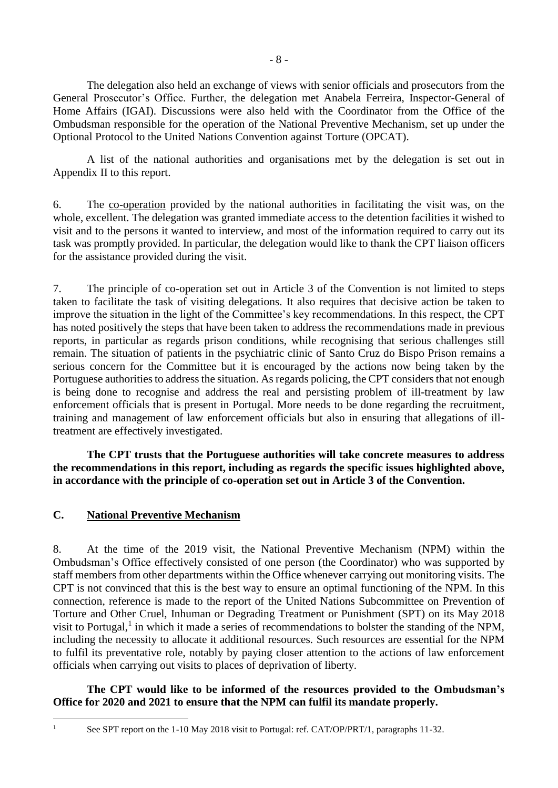The delegation also held an exchange of views with senior officials and prosecutors from the General Prosecutor's Office. Further, the delegation met Anabela Ferreira, Inspector-General of Home Affairs (IGAI). Discussions were also held with the Coordinator from the Office of the Ombudsman responsible for the operation of the National Preventive Mechanism, set up under the Optional Protocol to the United Nations Convention against Torture (OPCAT).

A list of the national authorities and organisations met by the delegation is set out in Appendix II to this report.

6. The co-operation provided by the national authorities in facilitating the visit was, on the whole, excellent. The delegation was granted immediate access to the detention facilities it wished to visit and to the persons it wanted to interview, and most of the information required to carry out its task was promptly provided. In particular, the delegation would like to thank the CPT liaison officers for the assistance provided during the visit.

7. The principle of co-operation set out in Article 3 of the Convention is not limited to steps taken to facilitate the task of visiting delegations. It also requires that decisive action be taken to improve the situation in the light of the Committee's key recommendations. In this respect, the CPT has noted positively the steps that have been taken to address the recommendations made in previous reports, in particular as regards prison conditions, while recognising that serious challenges still remain. The situation of patients in the psychiatric clinic of Santo Cruz do Bispo Prison remains a serious concern for the Committee but it is encouraged by the actions now being taken by the Portuguese authorities to address the situation. As regards policing, the CPT considers that not enough is being done to recognise and address the real and persisting problem of ill-treatment by law enforcement officials that is present in Portugal. More needs to be done regarding the recruitment, training and management of law enforcement officials but also in ensuring that allegations of illtreatment are effectively investigated.

**The CPT trusts that the Portuguese authorities will take concrete measures to address the recommendations in this report, including as regards the specific issues highlighted above, in accordance with the principle of co-operation set out in Article 3 of the Convention.**

## <span id="page-7-0"></span>**C. National Preventive Mechanism**

8. At the time of the 2019 visit, the National Preventive Mechanism (NPM) within the Ombudsman's Office effectively consisted of one person (the Coordinator) who was supported by staff members from other departments within the Office whenever carrying out monitoring visits. The CPT is not convinced that this is the best way to ensure an optimal functioning of the NPM. In this connection, reference is made to the report of the United Nations Subcommittee on Prevention of Torture and Other Cruel, Inhuman or Degrading Treatment or Punishment (SPT) on its May 2018 visit to Portugal,<sup>1</sup> in which it made a series of recommendations to bolster the standing of the NPM, including the necessity to allocate it additional resources. Such resources are essential for the NPM to fulfil its preventative role, notably by paying closer attention to the actions of law enforcement officials when carrying out visits to places of deprivation of liberty.

**The CPT would like to be informed of the resources provided to the Ombudsman's Office for 2020 and 2021 to ensure that the NPM can fulfil its mandate properly.**

<sup>1</sup> 

<sup>&</sup>lt;sup>1</sup> See SPT report on the 1-10 May 2018 visit to Portugal: ref. CAT/OP/PRT/1, paragraphs 11-32.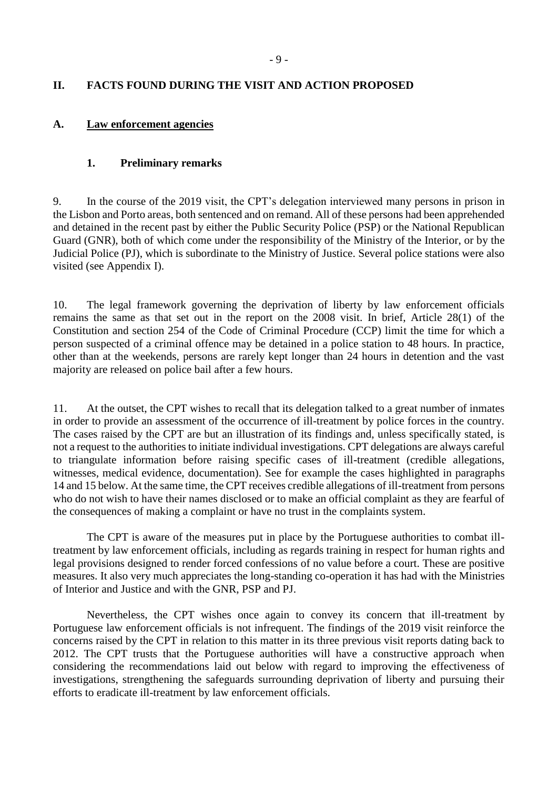## <span id="page-8-0"></span>**II. FACTS FOUND DURING THE VISIT AND ACTION PROPOSED**

## <span id="page-8-1"></span>**A. Law enforcement agencies**

## <span id="page-8-2"></span>**1. Preliminary remarks**

9. In the course of the 2019 visit, the CPT's delegation interviewed many persons in prison in the Lisbon and Porto areas, both sentenced and on remand. All of these persons had been apprehended and detained in the recent past by either the Public Security Police (PSP) or the National Republican Guard (GNR), both of which come under the responsibility of the Ministry of the Interior, or by the Judicial Police (PJ), which is subordinate to the Ministry of Justice. Several police stations were also visited (see Appendix I).

10. The legal framework governing the deprivation of liberty by law enforcement officials remains the same as that set out in the report on the 2008 visit. In brief, Article 28(1) of the Constitution and section 254 of the Code of Criminal Procedure (CCP) limit the time for which a person suspected of a criminal offence may be detained in a police station to 48 hours. In practice, other than at the weekends, persons are rarely kept longer than 24 hours in detention and the vast majority are released on police bail after a few hours.

11. At the outset, the CPT wishes to recall that its delegation talked to a great number of inmates in order to provide an assessment of the occurrence of ill-treatment by police forces in the country. The cases raised by the CPT are but an illustration of its findings and, unless specifically stated, is not a request to the authorities to initiate individual investigations. CPT delegations are always careful to triangulate information before raising specific cases of ill-treatment (credible allegations, witnesses, medical evidence, documentation). See for example the cases highlighted in paragraphs 14 and 15 below. At the same time, the CPT receives credible allegations of ill-treatment from persons who do not wish to have their names disclosed or to make an official complaint as they are fearful of the consequences of making a complaint or have no trust in the complaints system.

The CPT is aware of the measures put in place by the Portuguese authorities to combat illtreatment by law enforcement officials, including as regards training in respect for human rights and legal provisions designed to render forced confessions of no value before a court. These are positive measures. It also very much appreciates the long-standing co-operation it has had with the Ministries of Interior and Justice and with the GNR, PSP and PJ.

Nevertheless, the CPT wishes once again to convey its concern that ill-treatment by Portuguese law enforcement officials is not infrequent. The findings of the 2019 visit reinforce the concerns raised by the CPT in relation to this matter in its three previous visit reports dating back to 2012. The CPT trusts that the Portuguese authorities will have a constructive approach when considering the recommendations laid out below with regard to improving the effectiveness of investigations, strengthening the safeguards surrounding deprivation of liberty and pursuing their efforts to eradicate ill-treatment by law enforcement officials.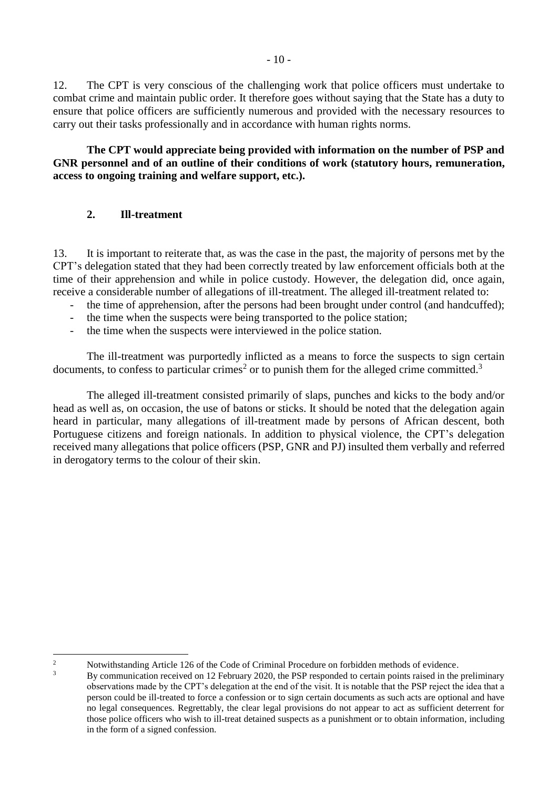12. The CPT is very conscious of the challenging work that police officers must undertake to combat crime and maintain public order. It therefore goes without saying that the State has a duty to ensure that police officers are sufficiently numerous and provided with the necessary resources to carry out their tasks professionally and in accordance with human rights norms.

**The CPT would appreciate being provided with information on the number of PSP and GNR personnel and of an outline of their conditions of work (statutory hours, remuneration, access to ongoing training and welfare support, etc.).**

## <span id="page-9-0"></span>**2. Ill-treatment**

13. It is important to reiterate that, as was the case in the past, the majority of persons met by the CPT's delegation stated that they had been correctly treated by law enforcement officials both at the time of their apprehension and while in police custody. However, the delegation did, once again, receive a considerable number of allegations of ill-treatment. The alleged ill-treatment related to:

- the time of apprehension, after the persons had been brought under control (and handcuffed);
- the time when the suspects were being transported to the police station;
- the time when the suspects were interviewed in the police station.

The ill-treatment was purportedly inflicted as a means to force the suspects to sign certain documents, to confess to particular crimes<sup>2</sup> or to punish them for the alleged crime committed.<sup>3</sup>

The alleged ill-treatment consisted primarily of slaps, punches and kicks to the body and/or head as well as, on occasion, the use of batons or sticks. It should be noted that the delegation again heard in particular, many allegations of ill-treatment made by persons of African descent, both Portuguese citizens and foreign nationals. In addition to physical violence, the CPT's delegation received many allegations that police officers (PSP, GNR and PJ) insulted them verbally and referred in derogatory terms to the colour of their skin.

<sup>1</sup> 

<sup>&</sup>lt;sup>2</sup><br>Notwithstanding Article 126 of the Code of Criminal Procedure on forbidden methods of evidence.

<sup>3</sup> By communication received on 12 February 2020, the PSP responded to certain points raised in the preliminary observations made by the CPT's delegation at the end of the visit. It is notable that the PSP reject the idea that a person could be ill-treated to force a confession or to sign certain documents as such acts are optional and have no legal consequences. Regrettably, the clear legal provisions do not appear to act as sufficient deterrent for those police officers who wish to ill-treat detained suspects as a punishment or to obtain information, including in the form of a signed confession.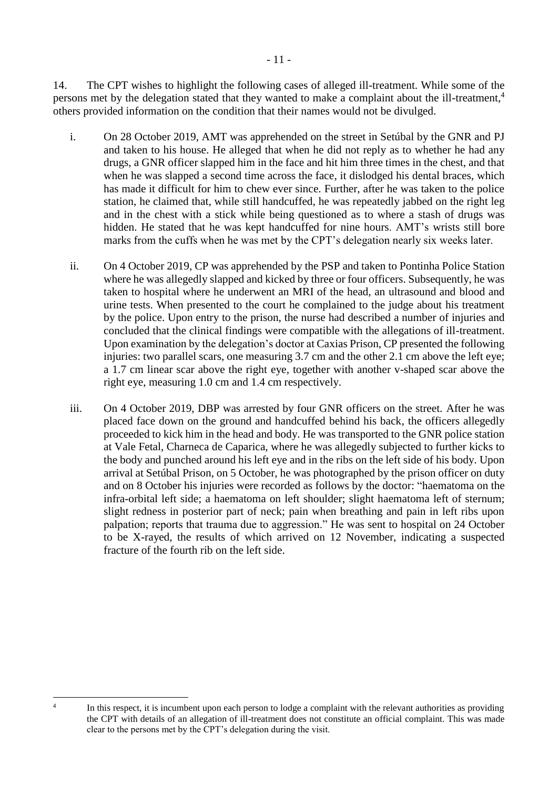14. The CPT wishes to highlight the following cases of alleged ill-treatment. While some of the persons met by the delegation stated that they wanted to make a complaint about the ill-treatment,<sup>4</sup> others provided information on the condition that their names would not be divulged.

- i. On 28 October 2019, AMT was apprehended on the street in Setúbal by the GNR and PJ and taken to his house. He alleged that when he did not reply as to whether he had any drugs, a GNR officer slapped him in the face and hit him three times in the chest, and that when he was slapped a second time across the face, it dislodged his dental braces, which has made it difficult for him to chew ever since. Further, after he was taken to the police station, he claimed that, while still handcuffed, he was repeatedly jabbed on the right leg and in the chest with a stick while being questioned as to where a stash of drugs was hidden. He stated that he was kept handcuffed for nine hours. AMT's wrists still bore marks from the cuffs when he was met by the CPT's delegation nearly six weeks later.
- ii. On 4 October 2019, CP was apprehended by the PSP and taken to Pontinha Police Station where he was allegedly slapped and kicked by three or four officers. Subsequently, he was taken to hospital where he underwent an MRI of the head, an ultrasound and blood and urine tests. When presented to the court he complained to the judge about his treatment by the police. Upon entry to the prison, the nurse had described a number of injuries and concluded that the clinical findings were compatible with the allegations of ill-treatment. Upon examination by the delegation's doctor at Caxias Prison, CP presented the following injuries: two parallel scars, one measuring 3.7 cm and the other 2.1 cm above the left eye; a 1.7 cm linear scar above the right eye, together with another v-shaped scar above the right eye, measuring 1.0 cm and 1.4 cm respectively.
- iii. On 4 October 2019, DBP was arrested by four GNR officers on the street. After he was placed face down on the ground and handcuffed behind his back, the officers allegedly proceeded to kick him in the head and body. He was transported to the GNR police station at Vale Fetal, Charneca de Caparica, where he was allegedly subjected to further kicks to the body and punched around his left eye and in the ribs on the left side of his body. Upon arrival at Setúbal Prison, on 5 October, he was photographed by the prison officer on duty and on 8 October his injuries were recorded as follows by the doctor: "haematoma on the infra-orbital left side; a haematoma on left shoulder; slight haematoma left of sternum; slight redness in posterior part of neck; pain when breathing and pain in left ribs upon palpation; reports that trauma due to aggression." He was sent to hospital on 24 October to be X-rayed, the results of which arrived on 12 November, indicating a suspected fracture of the fourth rib on the left side.

 $\frac{1}{4}$ 

In this respect, it is incumbent upon each person to lodge a complaint with the relevant authorities as providing the CPT with details of an allegation of ill-treatment does not constitute an official complaint. This was made clear to the persons met by the CPT's delegation during the visit.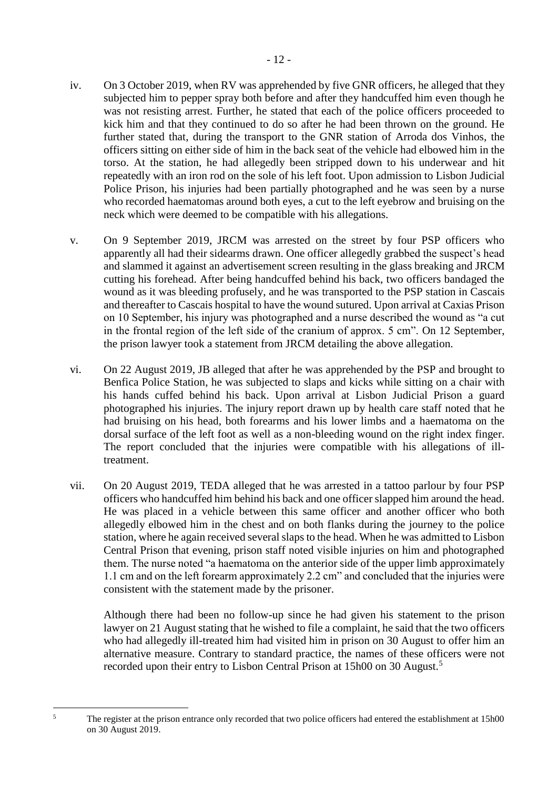- iv. On 3 October 2019, when RV was apprehended by five GNR officers, he alleged that they subjected him to pepper spray both before and after they handcuffed him even though he was not resisting arrest. Further, he stated that each of the police officers proceeded to kick him and that they continued to do so after he had been thrown on the ground. He further stated that, during the transport to the GNR station of Arroda dos Vinhos, the officers sitting on either side of him in the back seat of the vehicle had elbowed him in the torso. At the station, he had allegedly been stripped down to his underwear and hit repeatedly with an iron rod on the sole of his left foot. Upon admission to Lisbon Judicial Police Prison, his injuries had been partially photographed and he was seen by a nurse who recorded haematomas around both eyes, a cut to the left eyebrow and bruising on the neck which were deemed to be compatible with his allegations.
- v. On 9 September 2019, JRCM was arrested on the street by four PSP officers who apparently all had their sidearms drawn. One officer allegedly grabbed the suspect's head and slammed it against an advertisement screen resulting in the glass breaking and JRCM cutting his forehead. After being handcuffed behind his back, two officers bandaged the wound as it was bleeding profusely, and he was transported to the PSP station in Cascais and thereafter to Cascais hospital to have the wound sutured. Upon arrival at Caxias Prison on 10 September, his injury was photographed and a nurse described the wound as "a cut in the frontal region of the left side of the cranium of approx. 5 cm". On 12 September, the prison lawyer took a statement from JRCM detailing the above allegation.
- vi. On 22 August 2019, JB alleged that after he was apprehended by the PSP and brought to Benfica Police Station, he was subjected to slaps and kicks while sitting on a chair with his hands cuffed behind his back. Upon arrival at Lisbon Judicial Prison a guard photographed his injuries. The injury report drawn up by health care staff noted that he had bruising on his head, both forearms and his lower limbs and a haematoma on the dorsal surface of the left foot as well as a non-bleeding wound on the right index finger. The report concluded that the injuries were compatible with his allegations of illtreatment.
- vii. On 20 August 2019, TEDA alleged that he was arrested in a tattoo parlour by four PSP officers who handcuffed him behind his back and one officer slapped him around the head. He was placed in a vehicle between this same officer and another officer who both allegedly elbowed him in the chest and on both flanks during the journey to the police station, where he again received several slaps to the head. When he was admitted to Lisbon Central Prison that evening, prison staff noted visible injuries on him and photographed them. The nurse noted "a haematoma on the anterior side of the upper limb approximately 1.1 cm and on the left forearm approximately 2.2 cm" and concluded that the injuries were consistent with the statement made by the prisoner.

Although there had been no follow-up since he had given his statement to the prison lawyer on 21 August stating that he wished to file a complaint, he said that the two officers who had allegedly ill-treated him had visited him in prison on 30 August to offer him an alternative measure. Contrary to standard practice, the names of these officers were not recorded upon their entry to Lisbon Central Prison at 15h00 on 30 August.<sup>5</sup>

 $\overline{\phantom{0}}$ 

<sup>5</sup> The register at the prison entrance only recorded that two police officers had entered the establishment at 15h00 on 30 August 2019.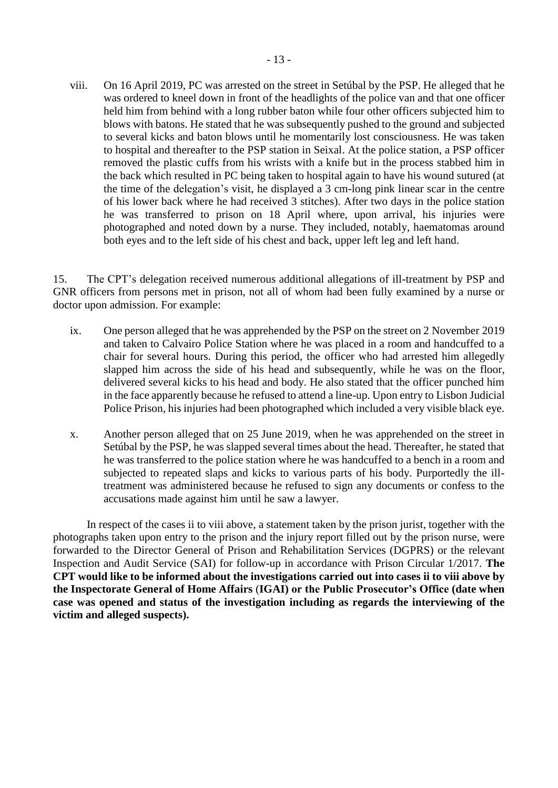viii. On 16 April 2019, PC was arrested on the street in Setúbal by the PSP. He alleged that he was ordered to kneel down in front of the headlights of the police van and that one officer held him from behind with a long rubber baton while four other officers subjected him to blows with batons. He stated that he was subsequently pushed to the ground and subjected to several kicks and baton blows until he momentarily lost consciousness. He was taken to hospital and thereafter to the PSP station in Seixal. At the police station, a PSP officer removed the plastic cuffs from his wrists with a knife but in the process stabbed him in the back which resulted in PC being taken to hospital again to have his wound sutured (at the time of the delegation's visit, he displayed a 3 cm-long pink linear scar in the centre of his lower back where he had received 3 stitches). After two days in the police station he was transferred to prison on 18 April where, upon arrival, his injuries were photographed and noted down by a nurse. They included, notably, haematomas around both eyes and to the left side of his chest and back, upper left leg and left hand.

15. The CPT's delegation received numerous additional allegations of ill-treatment by PSP and GNR officers from persons met in prison, not all of whom had been fully examined by a nurse or doctor upon admission. For example:

- ix. One person alleged that he was apprehended by the PSP on the street on 2 November 2019 and taken to Calvairo Police Station where he was placed in a room and handcuffed to a chair for several hours. During this period, the officer who had arrested him allegedly slapped him across the side of his head and subsequently, while he was on the floor, delivered several kicks to his head and body. He also stated that the officer punched him in the face apparently because he refused to attend a line-up. Upon entry to Lisbon Judicial Police Prison, his injuries had been photographed which included a very visible black eye.
- x. Another person alleged that on 25 June 2019, when he was apprehended on the street in Setúbal by the PSP, he was slapped several times about the head. Thereafter, he stated that he was transferred to the police station where he was handcuffed to a bench in a room and subjected to repeated slaps and kicks to various parts of his body. Purportedly the illtreatment was administered because he refused to sign any documents or confess to the accusations made against him until he saw a lawyer.

In respect of the cases ii to viii above, a statement taken by the prison jurist, together with the photographs taken upon entry to the prison and the injury report filled out by the prison nurse, were forwarded to the Director General of Prison and Rehabilitation Services (DGPRS) or the relevant Inspection and Audit Service (SAI) for follow-up in accordance with Prison Circular 1/2017. **The CPT would like to be informed about the investigations carried out into cases ii to viii above by the Inspectorate General of Home Affairs** (**IGAI) or the Public Prosecutor's Office (date when case was opened and status of the investigation including as regards the interviewing of the victim and alleged suspects).**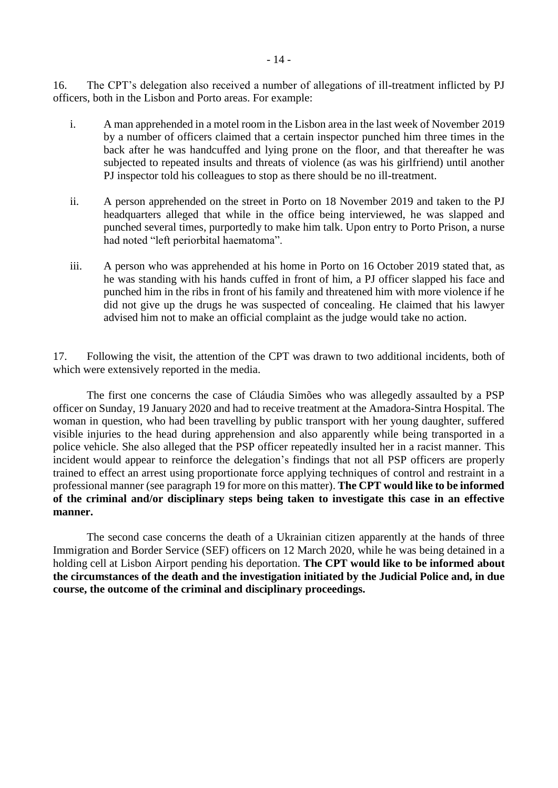16. The CPT's delegation also received a number of allegations of ill-treatment inflicted by PJ officers, both in the Lisbon and Porto areas. For example:

- i. A man apprehended in a motel room in the Lisbon area in the last week of November 2019 by a number of officers claimed that a certain inspector punched him three times in the back after he was handcuffed and lying prone on the floor, and that thereafter he was subjected to repeated insults and threats of violence (as was his girlfriend) until another PJ inspector told his colleagues to stop as there should be no ill-treatment.
- ii. A person apprehended on the street in Porto on 18 November 2019 and taken to the PJ headquarters alleged that while in the office being interviewed, he was slapped and punched several times, purportedly to make him talk. Upon entry to Porto Prison, a nurse had noted "left periorbital haematoma".
- iii. A person who was apprehended at his home in Porto on 16 October 2019 stated that, as he was standing with his hands cuffed in front of him, a PJ officer slapped his face and punched him in the ribs in front of his family and threatened him with more violence if he did not give up the drugs he was suspected of concealing. He claimed that his lawyer advised him not to make an official complaint as the judge would take no action.

17. Following the visit, the attention of the CPT was drawn to two additional incidents, both of which were extensively reported in the media.

The first one concerns the case of Cláudia Simões who was allegedly assaulted by a PSP officer on Sunday, 19 January 2020 and had to receive treatment at the Amadora-Sintra Hospital. The woman in question, who had been travelling by public transport with her young daughter, suffered visible injuries to the head during apprehension and also apparently while being transported in a police vehicle. She also alleged that the PSP officer repeatedly insulted her in a racist manner. This incident would appear to reinforce the delegation's findings that not all PSP officers are properly trained to effect an arrest using proportionate force applying techniques of control and restraint in a professional manner (see paragraph 19 for more on this matter). **The CPT would like to be informed of the criminal and/or disciplinary steps being taken to investigate this case in an effective manner.**

The second case concerns the death of a Ukrainian citizen apparently at the hands of three Immigration and Border Service (SEF) officers on 12 March 2020, while he was being detained in a holding cell at Lisbon Airport pending his deportation. **The CPT would like to be informed about the circumstances of the death and the investigation initiated by the Judicial Police and, in due course, the outcome of the criminal and disciplinary proceedings.**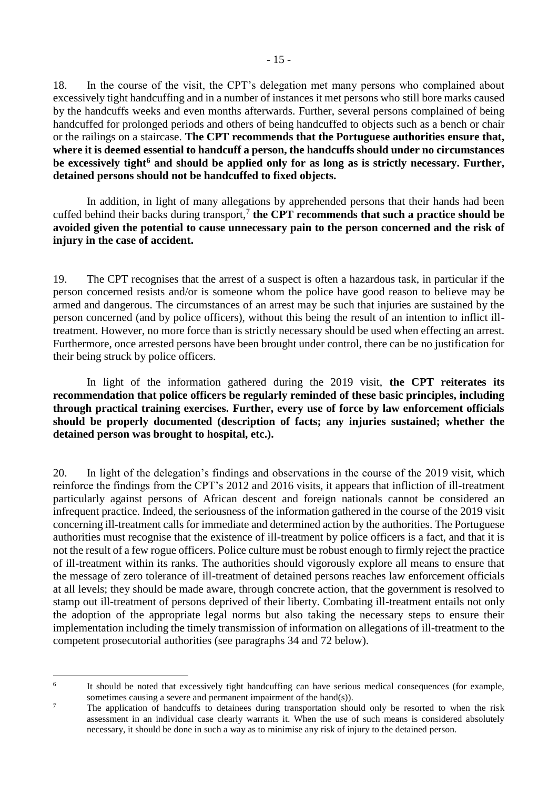18. In the course of the visit, the CPT's delegation met many persons who complained about excessively tight handcuffing and in a number of instances it met persons who still bore marks caused by the handcuffs weeks and even months afterwards. Further, several persons complained of being handcuffed for prolonged periods and others of being handcuffed to objects such as a bench or chair or the railings on a staircase. **The CPT recommends that the Portuguese authorities ensure that,**  where it is deemed essential to handcuff a person, the handcuffs should under no circumstances **be excessively tight<sup>6</sup> and should be applied only for as long as is strictly necessary. Further, detained persons should not be handcuffed to fixed objects.**

In addition, in light of many allegations by apprehended persons that their hands had been cuffed behind their backs during transport,<sup>7</sup> the CPT recommends that such a practice should be **avoided given the potential to cause unnecessary pain to the person concerned and the risk of injury in the case of accident.** 

19. The CPT recognises that the arrest of a suspect is often a hazardous task, in particular if the person concerned resists and/or is someone whom the police have good reason to believe may be armed and dangerous. The circumstances of an arrest may be such that injuries are sustained by the person concerned (and by police officers), without this being the result of an intention to inflict illtreatment. However, no more force than is strictly necessary should be used when effecting an arrest. Furthermore, once arrested persons have been brought under control, there can be no justification for their being struck by police officers.

In light of the information gathered during the 2019 visit, **the CPT reiterates its recommendation that police officers be regularly reminded of these basic principles, including through practical training exercises. Further, every use of force by law enforcement officials should be properly documented (description of facts; any injuries sustained; whether the detained person was brought to hospital, etc.).**

20. In light of the delegation's findings and observations in the course of the 2019 visit, which reinforce the findings from the CPT's 2012 and 2016 visits, it appears that infliction of ill-treatment particularly against persons of African descent and foreign nationals cannot be considered an infrequent practice. Indeed, the seriousness of the information gathered in the course of the 2019 visit concerning ill-treatment calls for immediate and determined action by the authorities. The Portuguese authorities must recognise that the existence of ill-treatment by police officers is a fact, and that it is not the result of a few rogue officers. Police culture must be robust enough to firmly reject the practice of ill-treatment within its ranks. The authorities should vigorously explore all means to ensure that the message of zero tolerance of ill-treatment of detained persons reaches law enforcement officials at all levels; they should be made aware, through concrete action, that the government is resolved to stamp out ill-treatment of persons deprived of their liberty. Combating ill-treatment entails not only the adoption of the appropriate legal norms but also taking the necessary steps to ensure their implementation including the timely transmission of information on allegations of ill-treatment to the competent prosecutorial authorities (see paragraphs 34 and 72 below).

<sup>1</sup> 6

It should be noted that excessively tight handcuffing can have serious medical consequences (for example, sometimes causing a severe and permanent impairment of the hand(s)).

<sup>&</sup>lt;sup>7</sup> The application of handcuffs to detainees during transportation should only be resorted to when the risk assessment in an individual case clearly warrants it. When the use of such means is considered absolutely necessary, it should be done in such a way as to minimise any risk of injury to the detained person.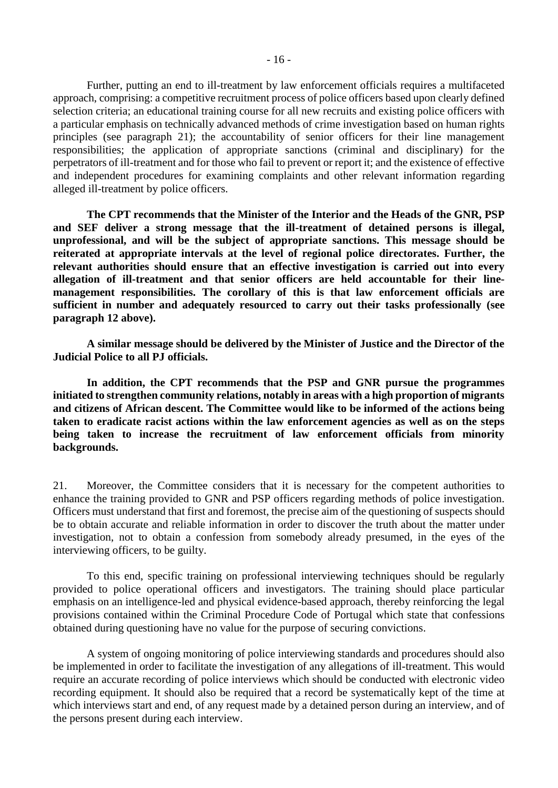Further, putting an end to ill-treatment by law enforcement officials requires a multifaceted approach, comprising: a competitive recruitment process of police officers based upon clearly defined selection criteria; an educational training course for all new recruits and existing police officers with a particular emphasis on technically advanced methods of crime investigation based on human rights principles (see paragraph 21); the accountability of senior officers for their line management responsibilities; the application of appropriate sanctions (criminal and disciplinary) for the perpetrators of ill-treatment and for those who fail to prevent or report it; and the existence of effective and independent procedures for examining complaints and other relevant information regarding alleged ill-treatment by police officers.

**The CPT recommends that the Minister of the Interior and the Heads of the GNR, PSP and SEF deliver a strong message that the ill-treatment of detained persons is illegal, unprofessional, and will be the subject of appropriate sanctions. This message should be reiterated at appropriate intervals at the level of regional police directorates. Further, the relevant authorities should ensure that an effective investigation is carried out into every allegation of ill-treatment and that senior officers are held accountable for their linemanagement responsibilities. The corollary of this is that law enforcement officials are sufficient in number and adequately resourced to carry out their tasks professionally (see paragraph 12 above).**

**A similar message should be delivered by the Minister of Justice and the Director of the Judicial Police to all PJ officials.**

**In addition, the CPT recommends that the PSP and GNR pursue the programmes initiated to strengthen community relations, notably in areas with a high proportion of migrants and citizens of African descent. The Committee would like to be informed of the actions being taken to eradicate racist actions within the law enforcement agencies as well as on the steps being taken to increase the recruitment of law enforcement officials from minority backgrounds.**

21. Moreover, the Committee considers that it is necessary for the competent authorities to enhance the training provided to GNR and PSP officers regarding methods of police investigation. Officers must understand that first and foremost, the precise aim of the questioning of suspects should be to obtain accurate and reliable information in order to discover the truth about the matter under investigation, not to obtain a confession from somebody already presumed, in the eyes of the interviewing officers, to be guilty.

To this end, specific training on professional interviewing techniques should be regularly provided to police operational officers and investigators. The training should place particular emphasis on an intelligence-led and physical evidence-based approach, thereby reinforcing the legal provisions contained within the Criminal Procedure Code of Portugal which state that confessions obtained during questioning have no value for the purpose of securing convictions.

A system of ongoing monitoring of police interviewing standards and procedures should also be implemented in order to facilitate the investigation of any allegations of ill-treatment. This would require an accurate recording of police interviews which should be conducted with electronic video recording equipment. It should also be required that a record be systematically kept of the time at which interviews start and end, of any request made by a detained person during an interview, and of the persons present during each interview.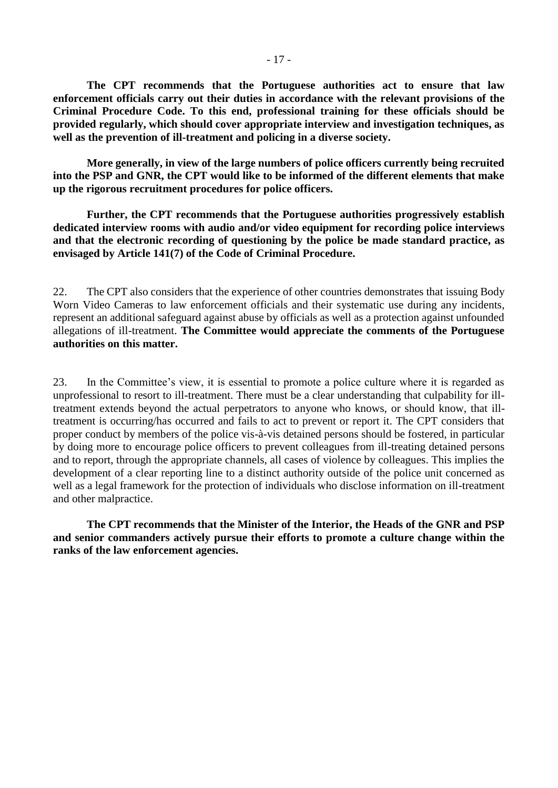**The CPT recommends that the Portuguese authorities act to ensure that law enforcement officials carry out their duties in accordance with the relevant provisions of the Criminal Procedure Code. To this end, professional training for these officials should be provided regularly, which should cover appropriate interview and investigation techniques, as well as the prevention of ill-treatment and policing in a diverse society.**

**More generally, in view of the large numbers of police officers currently being recruited into the PSP and GNR, the CPT would like to be informed of the different elements that make up the rigorous recruitment procedures for police officers.**

**Further, the CPT recommends that the Portuguese authorities progressively establish dedicated interview rooms with audio and/or video equipment for recording police interviews and that the electronic recording of questioning by the police be made standard practice, as envisaged by Article 141(7) of the Code of Criminal Procedure.**

22. The CPT also considers that the experience of other countries demonstrates that issuing Body Worn Video Cameras to law enforcement officials and their systematic use during any incidents, represent an additional safeguard against abuse by officials as well as a protection against unfounded allegations of ill-treatment. **The Committee would appreciate the comments of the Portuguese authorities on this matter.** 

23. In the Committee's view, it is essential to promote a police culture where it is regarded as unprofessional to resort to ill-treatment. There must be a clear understanding that culpability for illtreatment extends beyond the actual perpetrators to anyone who knows, or should know, that illtreatment is occurring/has occurred and fails to act to prevent or report it. The CPT considers that proper conduct by members of the police vis-à-vis detained persons should be fostered, in particular by doing more to encourage police officers to prevent colleagues from ill-treating detained persons and to report, through the appropriate channels, all cases of violence by colleagues. This implies the development of a clear reporting line to a distinct authority outside of the police unit concerned as well as a legal framework for the protection of individuals who disclose information on ill-treatment and other malpractice.

**The CPT recommends that the Minister of the Interior, the Heads of the GNR and PSP and senior commanders actively pursue their efforts to promote a culture change within the ranks of the law enforcement agencies.**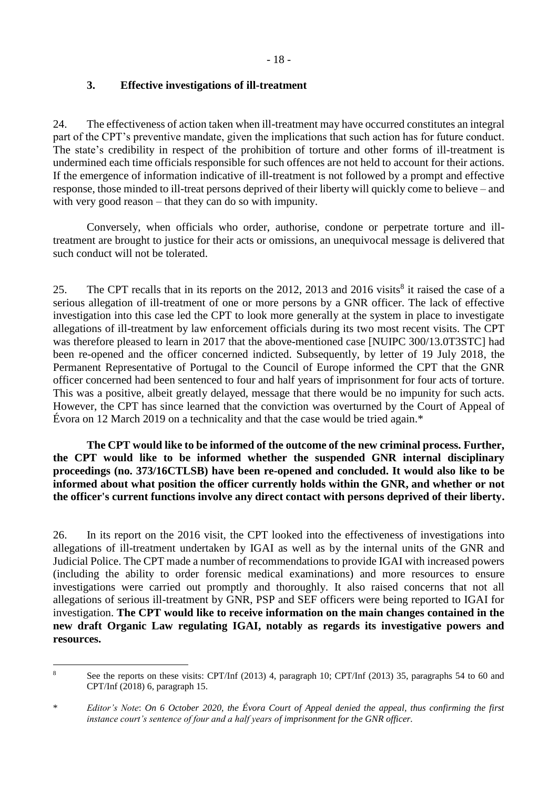## <span id="page-17-0"></span>**3. Effective investigations of ill-treatment**

24. The effectiveness of action taken when ill-treatment may have occurred constitutes an integral part of the CPT's preventive mandate, given the implications that such action has for future conduct. The state's credibility in respect of the prohibition of torture and other forms of ill-treatment is undermined each time officials responsible for such offences are not held to account for their actions. If the emergence of information indicative of ill-treatment is not followed by a prompt and effective response, those minded to ill-treat persons deprived of their liberty will quickly come to believe – and with very good reason – that they can do so with impunity.

Conversely, when officials who order, authorise, condone or perpetrate torture and illtreatment are brought to justice for their acts or omissions, an unequivocal message is delivered that such conduct will not be tolerated.

25. The CPT recalls that in its reports on the 2012, 2013 and 2016 visits<sup>8</sup> it raised the case of a serious allegation of ill-treatment of one or more persons by a GNR officer. The lack of effective investigation into this case led the CPT to look more generally at the system in place to investigate allegations of ill-treatment by law enforcement officials during its two most recent visits. The CPT was therefore pleased to learn in 2017 that the above-mentioned case [NUIPC 300/13.0T3STC] had been re-opened and the officer concerned indicted. Subsequently, by letter of 19 July 2018, the Permanent Representative of Portugal to the Council of Europe informed the CPT that the GNR officer concerned had been sentenced to four and half years of imprisonment for four acts of torture. This was a positive, albeit greatly delayed, message that there would be no impunity for such acts. However, the CPT has since learned that the conviction was overturned by the Court of Appeal of Évora on 12 March 2019 on a technicality and that the case would be tried again.\*

**The CPT would like to be informed of the outcome of the new criminal process. Further, the CPT would like to be informed whether the suspended GNR internal disciplinary proceedings (no. 373/16CTLSB) have been re-opened and concluded. It would also like to be informed about what position the officer currently holds within the GNR, and whether or not the officer's current functions involve any direct contact with persons deprived of their liberty.** 

26. In its report on the 2016 visit, the CPT looked into the effectiveness of investigations into allegations of ill-treatment undertaken by IGAI as well as by the internal units of the GNR and Judicial Police. The CPT made a number of recommendations to provide IGAI with increased powers (including the ability to order forensic medical examinations) and more resources to ensure investigations were carried out promptly and thoroughly. It also raised concerns that not all allegations of serious ill-treatment by GNR, PSP and SEF officers were being reported to IGAI for investigation. **The CPT would like to receive information on the main changes contained in the new draft Organic Law regulating IGAI, notably as regards its investigative powers and resources.**

<sup>&</sup>lt;u>.</u> <sup>8</sup> See the reports on these visits: CPT/Inf (2013) 4, paragraph 10; CPT/Inf (2013) 35, paragraphs 54 to 60 and CPT/Inf (2018) 6, paragraph 15.

<sup>\*</sup> *Editor's Note*: *On 6 October 2020, the Évora Court of Appeal denied the appeal, thus confirming the first instance court's sentence of four and a half years of imprisonment for the GNR officer.*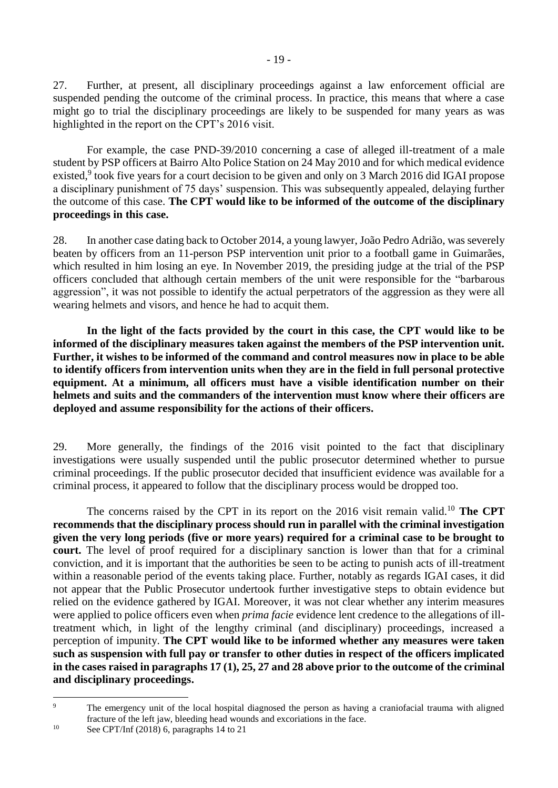27. Further, at present, all disciplinary proceedings against a law enforcement official are suspended pending the outcome of the criminal process. In practice, this means that where a case might go to trial the disciplinary proceedings are likely to be suspended for many years as was highlighted in the report on the CPT's 2016 visit.

For example, the case PND-39/2010 concerning a case of alleged ill-treatment of a male student by PSP officers at Bairro Alto Police Station on 24 May 2010 and for which medical evidence existed,<sup>9</sup> took five years for a court decision to be given and only on 3 March 2016 did IGAI propose a disciplinary punishment of 75 days' suspension. This was subsequently appealed, delaying further the outcome of this case. **The CPT would like to be informed of the outcome of the disciplinary proceedings in this case.**

28. In another case dating back to October 2014, a young lawyer, João Pedro Adrião, was severely beaten by officers from an 11-person PSP intervention unit prior to a football game in Guimarães, which resulted in him losing an eye. In November 2019, the presiding judge at the trial of the PSP officers concluded that although certain members of the unit were responsible for the "barbarous aggression", it was not possible to identify the actual perpetrators of the aggression as they were all wearing helmets and visors, and hence he had to acquit them.

**In the light of the facts provided by the court in this case, the CPT would like to be informed of the disciplinary measures taken against the members of the PSP intervention unit. Further, it wishes to be informed of the command and control measures now in place to be able to identify officers from intervention units when they are in the field in full personal protective equipment. At a minimum, all officers must have a visible identification number on their helmets and suits and the commanders of the intervention must know where their officers are deployed and assume responsibility for the actions of their officers.**

29. More generally, the findings of the 2016 visit pointed to the fact that disciplinary investigations were usually suspended until the public prosecutor determined whether to pursue criminal proceedings. If the public prosecutor decided that insufficient evidence was available for a criminal process, it appeared to follow that the disciplinary process would be dropped too.

The concerns raised by the CPT in its report on the 2016 visit remain valid.<sup>10</sup> The CPT **recommends that the disciplinary process should run in parallel with the criminal investigation given the very long periods (five or more years) required for a criminal case to be brought to court.** The level of proof required for a disciplinary sanction is lower than that for a criminal conviction, and it is important that the authorities be seen to be acting to punish acts of ill-treatment within a reasonable period of the events taking place. Further, notably as regards IGAI cases, it did not appear that the Public Prosecutor undertook further investigative steps to obtain evidence but relied on the evidence gathered by IGAI. Moreover, it was not clear whether any interim measures were applied to police officers even when *prima facie* evidence lent credence to the allegations of illtreatment which, in light of the lengthy criminal (and disciplinary) proceedings, increased a perception of impunity. **The CPT would like to be informed whether any measures were taken such as suspension with full pay or transfer to other duties in respect of the officers implicated in the cases raised in paragraphs 17 (1), 25, 27 and 28 above prior to the outcome of the criminal and disciplinary proceedings.**

 $\overline{9}$ <sup>9</sup> The emergency unit of the local hospital diagnosed the person as having a craniofacial trauma with aligned fracture of the left jaw, bleeding head wounds and excoriations in the face.

<sup>&</sup>lt;sup>10</sup> See CPT/Inf  $(2018)$  6, paragraphs 14 to 21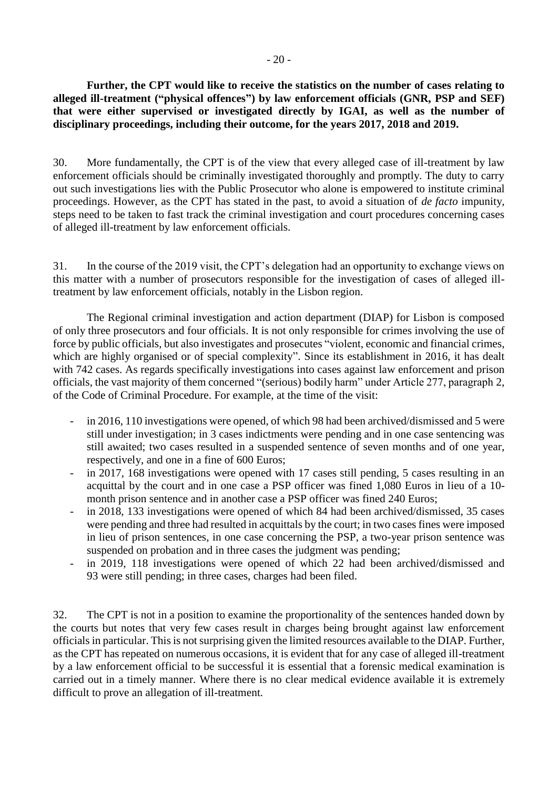**Further, the CPT would like to receive the statistics on the number of cases relating to alleged ill-treatment ("physical offences") by law enforcement officials (GNR, PSP and SEF) that were either supervised or investigated directly by IGAI, as well as the number of disciplinary proceedings, including their outcome, for the years 2017, 2018 and 2019.**

30. More fundamentally, the CPT is of the view that every alleged case of ill-treatment by law enforcement officials should be criminally investigated thoroughly and promptly. The duty to carry out such investigations lies with the Public Prosecutor who alone is empowered to institute criminal proceedings. However, as the CPT has stated in the past, to avoid a situation of *de facto* impunity, steps need to be taken to fast track the criminal investigation and court procedures concerning cases of alleged ill-treatment by law enforcement officials.

31. In the course of the 2019 visit, the CPT's delegation had an opportunity to exchange views on this matter with a number of prosecutors responsible for the investigation of cases of alleged illtreatment by law enforcement officials, notably in the Lisbon region.

The Regional criminal investigation and action department (DIAP) for Lisbon is composed of only three prosecutors and four officials. It is not only responsible for crimes involving the use of force by public officials, but also investigates and prosecutes "violent, economic and financial crimes, which are highly organised or of special complexity". Since its establishment in 2016, it has dealt with 742 cases. As regards specifically investigations into cases against law enforcement and prison officials, the vast majority of them concerned "(serious) bodily harm" under Article 277, paragraph 2, of the Code of Criminal Procedure. For example, at the time of the visit:

- in 2016, 110 investigations were opened, of which 98 had been archived/dismissed and 5 were still under investigation; in 3 cases indictments were pending and in one case sentencing was still awaited; two cases resulted in a suspended sentence of seven months and of one year, respectively, and one in a fine of 600 Euros;
- in 2017, 168 investigations were opened with 17 cases still pending, 5 cases resulting in an acquittal by the court and in one case a PSP officer was fined 1,080 Euros in lieu of a 10 month prison sentence and in another case a PSP officer was fined 240 Euros;
- in 2018, 133 investigations were opened of which 84 had been archived/dismissed, 35 cases were pending and three had resulted in acquittals by the court; in two cases fines were imposed in lieu of prison sentences, in one case concerning the PSP, a two-year prison sentence was suspended on probation and in three cases the judgment was pending;
- in 2019, 118 investigations were opened of which 22 had been archived/dismissed and 93 were still pending; in three cases, charges had been filed.

32. The CPT is not in a position to examine the proportionality of the sentences handed down by the courts but notes that very few cases result in charges being brought against law enforcement officials in particular. This is not surprising given the limited resources available to the DIAP. Further, as the CPT has repeated on numerous occasions, it is evident that for any case of alleged ill-treatment by a law enforcement official to be successful it is essential that a forensic medical examination is carried out in a timely manner. Where there is no clear medical evidence available it is extremely difficult to prove an allegation of ill-treatment.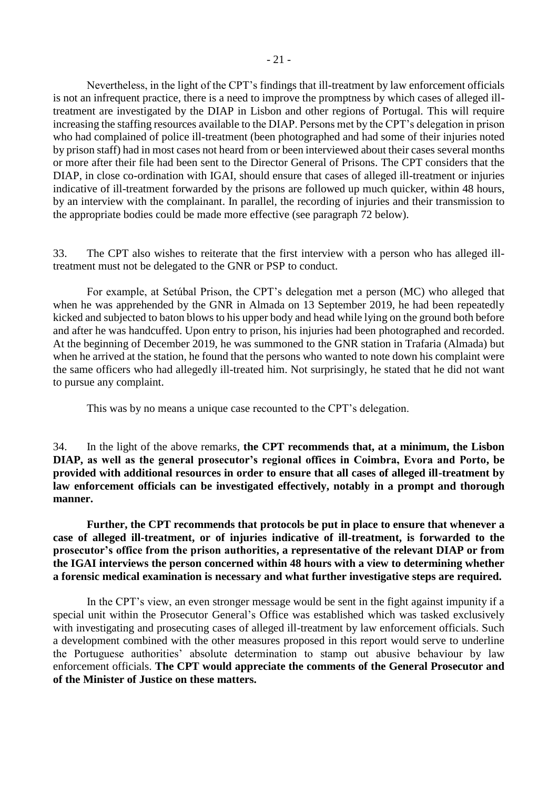Nevertheless, in the light of the CPT's findings that ill-treatment by law enforcement officials is not an infrequent practice, there is a need to improve the promptness by which cases of alleged illtreatment are investigated by the DIAP in Lisbon and other regions of Portugal. This will require increasing the staffing resources available to the DIAP. Persons met by the CPT's delegation in prison who had complained of police ill-treatment (been photographed and had some of their injuries noted by prison staff) had in most cases not heard from or been interviewed about their cases several months or more after their file had been sent to the Director General of Prisons. The CPT considers that the DIAP, in close co-ordination with IGAI, should ensure that cases of alleged ill-treatment or injuries indicative of ill-treatment forwarded by the prisons are followed up much quicker, within 48 hours, by an interview with the complainant. In parallel, the recording of injuries and their transmission to the appropriate bodies could be made more effective (see paragraph 72 below).

33. The CPT also wishes to reiterate that the first interview with a person who has alleged illtreatment must not be delegated to the GNR or PSP to conduct.

For example, at Setúbal Prison, the CPT's delegation met a person (MC) who alleged that when he was apprehended by the GNR in Almada on 13 September 2019, he had been repeatedly kicked and subjected to baton blows to his upper body and head while lying on the ground both before and after he was handcuffed. Upon entry to prison, his injuries had been photographed and recorded. At the beginning of December 2019, he was summoned to the GNR station in Trafaria (Almada) but when he arrived at the station, he found that the persons who wanted to note down his complaint were the same officers who had allegedly ill-treated him. Not surprisingly, he stated that he did not want to pursue any complaint.

This was by no means a unique case recounted to the CPT's delegation.

34. In the light of the above remarks, **the CPT recommends that, at a minimum, the Lisbon DIAP, as well as the general prosecutor's regional offices in Coimbra, Evora and Porto, be provided with additional resources in order to ensure that all cases of alleged ill-treatment by law enforcement officials can be investigated effectively, notably in a prompt and thorough manner.**

**Further, the CPT recommends that protocols be put in place to ensure that whenever a case of alleged ill-treatment, or of injuries indicative of ill-treatment, is forwarded to the prosecutor's office from the prison authorities, a representative of the relevant DIAP or from the IGAI interviews the person concerned within 48 hours with a view to determining whether a forensic medical examination is necessary and what further investigative steps are required.**

In the CPT's view, an even stronger message would be sent in the fight against impunity if a special unit within the Prosecutor General's Office was established which was tasked exclusively with investigating and prosecuting cases of alleged ill-treatment by law enforcement officials. Such a development combined with the other measures proposed in this report would serve to underline the Portuguese authorities' absolute determination to stamp out abusive behaviour by law enforcement officials. **The CPT would appreciate the comments of the General Prosecutor and of the Minister of Justice on these matters.**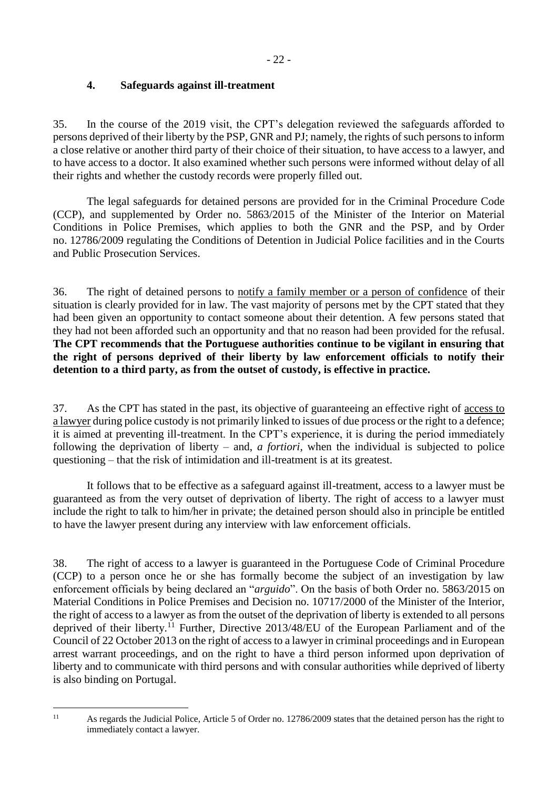# <span id="page-21-0"></span>**4. Safeguards against ill-treatment**

35. In the course of the 2019 visit, the CPT's delegation reviewed the safeguards afforded to persons deprived of their liberty by the PSP, GNR and PJ; namely, the rights of such persons to inform a close relative or another third party of their choice of their situation, to have access to a lawyer, and to have access to a doctor. It also examined whether such persons were informed without delay of all their rights and whether the custody records were properly filled out.

The legal safeguards for detained persons are provided for in the Criminal Procedure Code (CCP), and supplemented by Order no. 5863/2015 of the Minister of the Interior on Material Conditions in Police Premises, which applies to both the GNR and the PSP, and by Order no. 12786/2009 regulating the Conditions of Detention in Judicial Police facilities and in the Courts and Public Prosecution Services.

36. The right of detained persons to notify a family member or a person of confidence of their situation is clearly provided for in law. The vast majority of persons met by the CPT stated that they had been given an opportunity to contact someone about their detention. A few persons stated that they had not been afforded such an opportunity and that no reason had been provided for the refusal. **The CPT recommends that the Portuguese authorities continue to be vigilant in ensuring that the right of persons deprived of their liberty by law enforcement officials to notify their detention to a third party, as from the outset of custody, is effective in practice.**

37. As the CPT has stated in the past, its objective of guaranteeing an effective right of access to a lawyer during police custody is not primarily linked to issues of due process or the right to a defence; it is aimed at preventing ill-treatment. In the CPT's experience, it is during the period immediately following the deprivation of liberty – and, *a fortiori*, when the individual is subjected to police questioning – that the risk of intimidation and ill-treatment is at its greatest.

It follows that to be effective as a safeguard against ill-treatment, access to a lawyer must be guaranteed as from the very outset of deprivation of liberty. The right of access to a lawyer must include the right to talk to him/her in private; the detained person should also in principle be entitled to have the lawyer present during any interview with law enforcement officials.

38. The right of access to a lawyer is guaranteed in the Portuguese Code of Criminal Procedure (CCP) to a person once he or she has formally become the subject of an investigation by law enforcement officials by being declared an "*arguido*". On the basis of both Order no. 5863/2015 on Material Conditions in Police Premises and Decision no. 10717/2000 of the Minister of the Interior, the right of access to a lawyer as from the outset of the deprivation of liberty is extended to all persons deprived of their liberty.<sup>11</sup> Further, Directive 2013/48/EU of the European Parliament and of the Council of 22 October 2013 on the right of access to a lawyer in criminal proceedings and in European arrest warrant proceedings, and on the right to have a third person informed upon deprivation of liberty and to communicate with third persons and with consular authorities while deprived of liberty is also binding on Portugal.

 $11$ 

As regards the Judicial Police, Article 5 of Order no. 12786/2009 states that the detained person has the right to immediately contact a lawyer.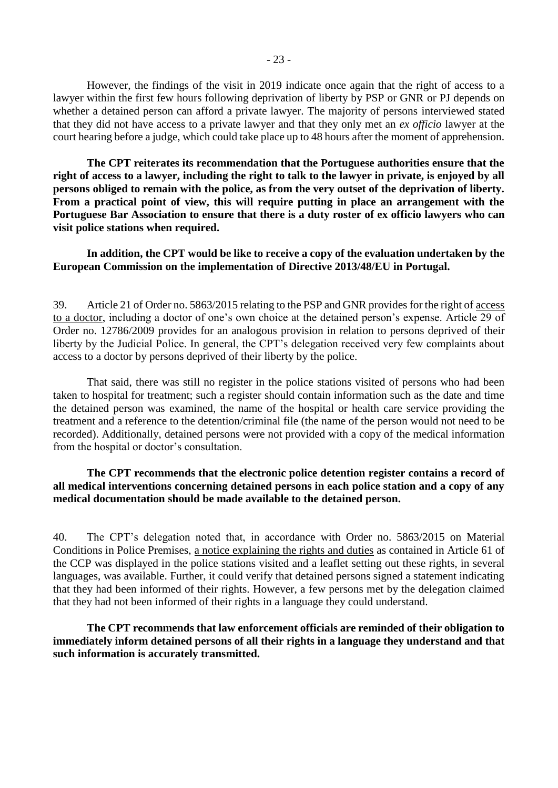However, the findings of the visit in 2019 indicate once again that the right of access to a lawyer within the first few hours following deprivation of liberty by PSP or GNR or PJ depends on whether a detained person can afford a private lawyer. The majority of persons interviewed stated that they did not have access to a private lawyer and that they only met an *ex officio* lawyer at the court hearing before a judge, which could take place up to 48 hours after the moment of apprehension.

**The CPT reiterates its recommendation that the Portuguese authorities ensure that the right of access to a lawyer, including the right to talk to the lawyer in private, is enjoyed by all persons obliged to remain with the police, as from the very outset of the deprivation of liberty. From a practical point of view, this will require putting in place an arrangement with the Portuguese Bar Association to ensure that there is a duty roster of ex officio lawyers who can visit police stations when required.**

#### **In addition, the CPT would be like to receive a copy of the evaluation undertaken by the European Commission on the implementation of Directive 2013/48/EU in Portugal.**

39. Article 21 of Order no. 5863/2015 relating to the PSP and GNR provides for the right of access to a doctor, including a doctor of one's own choice at the detained person's expense. Article 29 of Order no. 12786/2009 provides for an analogous provision in relation to persons deprived of their liberty by the Judicial Police. In general, the CPT's delegation received very few complaints about access to a doctor by persons deprived of their liberty by the police.

That said, there was still no register in the police stations visited of persons who had been taken to hospital for treatment; such a register should contain information such as the date and time the detained person was examined, the name of the hospital or health care service providing the treatment and a reference to the detention/criminal file (the name of the person would not need to be recorded). Additionally, detained persons were not provided with a copy of the medical information from the hospital or doctor's consultation.

#### **The CPT recommends that the electronic police detention register contains a record of all medical interventions concerning detained persons in each police station and a copy of any medical documentation should be made available to the detained person.**

40. The CPT's delegation noted that, in accordance with Order no. 5863/2015 on Material Conditions in Police Premises, a notice explaining the rights and duties as contained in Article 61 of the CCP was displayed in the police stations visited and a leaflet setting out these rights, in several languages, was available. Further, it could verify that detained persons signed a statement indicating that they had been informed of their rights. However, a few persons met by the delegation claimed that they had not been informed of their rights in a language they could understand.

**The CPT recommends that law enforcement officials are reminded of their obligation to immediately inform detained persons of all their rights in a language they understand and that such information is accurately transmitted.**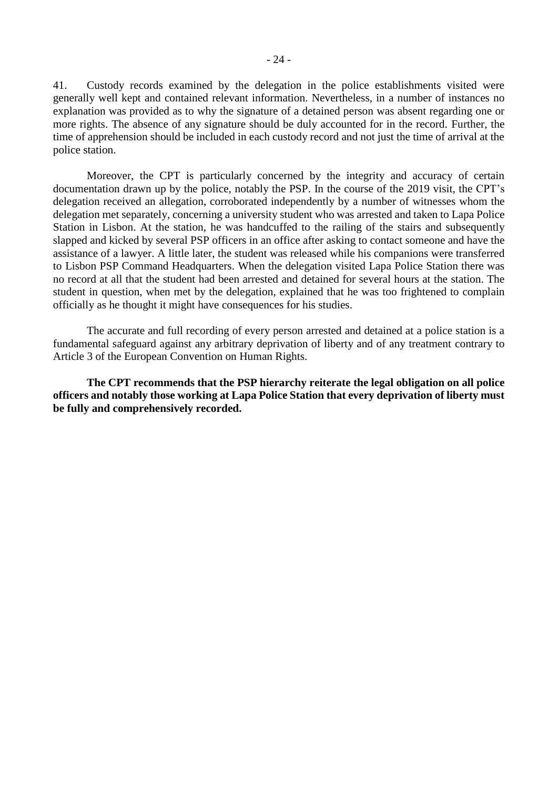41. Custody records examined by the delegation in the police establishments visited were generally well kept and contained relevant information. Nevertheless, in a number of instances no explanation was provided as to why the signature of a detained person was absent regarding one or more rights. The absence of any signature should be duly accounted for in the record. Further, the time of apprehension should be included in each custody record and not just the time of arrival at the police station.

Moreover, the CPT is particularly concerned by the integrity and accuracy of certain documentation drawn up by the police, notably the PSP. In the course of the 2019 visit, the CPT's delegation received an allegation, corroborated independently by a number of witnesses whom the delegation met separately, concerning a university student who was arrested and taken to Lapa Police Station in Lisbon. At the station, he was handcuffed to the railing of the stairs and subsequently slapped and kicked by several PSP officers in an office after asking to contact someone and have the assistance of a lawyer. A little later, the student was released while his companions were transferred to Lisbon PSP Command Headquarters. When the delegation visited Lapa Police Station there was no record at all that the student had been arrested and detained for several hours at the station. The student in question, when met by the delegation, explained that he was too frightened to complain officially as he thought it might have consequences for his studies.

The accurate and full recording of every person arrested and detained at a police station is a fundamental safeguard against any arbitrary deprivation of liberty and of any treatment contrary to Article 3 of the European Convention on Human Rights.

**The CPT recommends that the PSP hierarchy reiterate the legal obligation on all police officers and notably those working at Lapa Police Station that every deprivation of liberty must be fully and comprehensively recorded.**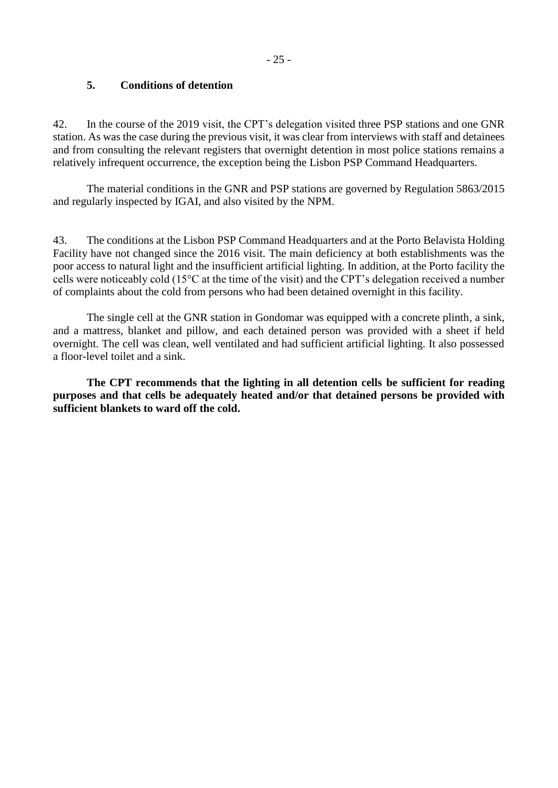## <span id="page-24-0"></span>**5. Conditions of detention**

42. In the course of the 2019 visit, the CPT's delegation visited three PSP stations and one GNR station. As was the case during the previous visit, it was clear from interviews with staff and detainees and from consulting the relevant registers that overnight detention in most police stations remains a relatively infrequent occurrence, the exception being the Lisbon PSP Command Headquarters.

The material conditions in the GNR and PSP stations are governed by Regulation 5863/2015 and regularly inspected by IGAI, and also visited by the NPM.

43. The conditions at the Lisbon PSP Command Headquarters and at the Porto Belavista Holding Facility have not changed since the 2016 visit. The main deficiency at both establishments was the poor access to natural light and the insufficient artificial lighting. In addition, at the Porto facility the cells were noticeably cold (15°C at the time of the visit) and the CPT's delegation received a number of complaints about the cold from persons who had been detained overnight in this facility.

The single cell at the GNR station in Gondomar was equipped with a concrete plinth, a sink, and a mattress, blanket and pillow, and each detained person was provided with a sheet if held overnight. The cell was clean, well ventilated and had sufficient artificial lighting. It also possessed a floor-level toilet and a sink.

**The CPT recommends that the lighting in all detention cells be sufficient for reading purposes and that cells be adequately heated and/or that detained persons be provided with sufficient blankets to ward off the cold.**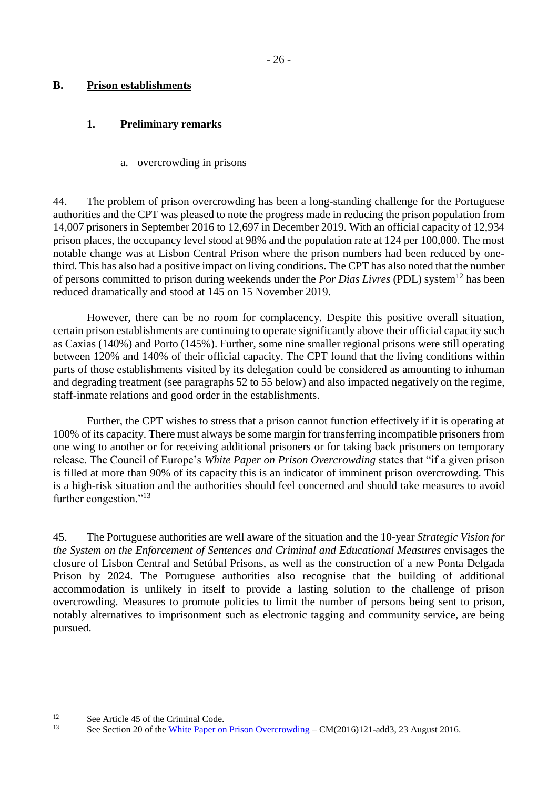## <span id="page-25-0"></span>**B. Prison establishments**

## <span id="page-25-1"></span>**1. Preliminary remarks**

#### a. overcrowding in prisons

<span id="page-25-2"></span>44. The problem of prison overcrowding has been a long-standing challenge for the Portuguese authorities and the CPT was pleased to note the progress made in reducing the prison population from 14,007 prisoners in September 2016 to 12,697 in December 2019. With an official capacity of 12,934 prison places, the occupancy level stood at 98% and the population rate at 124 per 100,000. The most notable change was at Lisbon Central Prison where the prison numbers had been reduced by onethird. This has also had a positive impact on living conditions. The CPT has also noted that the number of persons committed to prison during weekends under the *Por Dias Livres* (PDL) system<sup>12</sup> has been reduced dramatically and stood at 145 on 15 November 2019.

However, there can be no room for complacency. Despite this positive overall situation, certain prison establishments are continuing to operate significantly above their official capacity such as Caxias (140%) and Porto (145%). Further, some nine smaller regional prisons were still operating between 120% and 140% of their official capacity. The CPT found that the living conditions within parts of those establishments visited by its delegation could be considered as amounting to inhuman and degrading treatment (see paragraphs 52 to 55 below) and also impacted negatively on the regime, staff-inmate relations and good order in the establishments.

Further, the CPT wishes to stress that a prison cannot function effectively if it is operating at 100% of its capacity. There must always be some margin for transferring incompatible prisoners from one wing to another or for receiving additional prisoners or for taking back prisoners on temporary release. The Council of Europe's *White Paper on Prison Overcrowding* states that "if a given prison is filled at more than 90% of its capacity this is an indicator of imminent prison overcrowding. This is a high-risk situation and the authorities should feel concerned and should take measures to avoid further congestion."<sup>13</sup>

45. The Portuguese authorities are well aware of the situation and the 10-year *Strategic Vision for the System on the Enforcement of Sentences and Criminal and Educational Measures* envisages the closure of Lisbon Central and Setúbal Prisons, as well as the construction of a new Ponta Delgada Prison by 2024. The Portuguese authorities also recognise that the building of additional accommodation is unlikely in itself to provide a lasting solution to the challenge of prison overcrowding. Measures to promote policies to limit the number of persons being sent to prison, notably alternatives to imprisonment such as electronic tagging and community service, are being pursued.

1

<sup>&</sup>lt;sup>12</sup> See Article 45 of the Criminal Code.<br><sup>13</sup> See Section 20 of the White Paper or

<sup>13</sup> See Section 20 of the [White Paper on Prison Overcrowding –](https://rm.coe.int/white-paper-on-prison-overcrowding-cm-2016-121-add3-e/16807c886b) CM(2016)121-add3, 23 August 2016.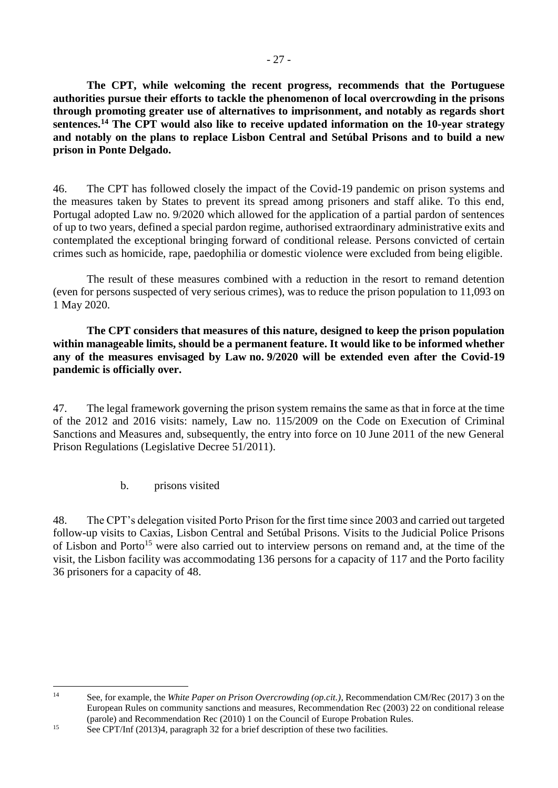**The CPT, while welcoming the recent progress, recommends that the Portuguese authorities pursue their efforts to tackle the phenomenon of local overcrowding in the prisons through promoting greater use of alternatives to imprisonment, and notably as regards short sentences.<sup>14</sup> The CPT would also like to receive updated information on the 10-year strategy and notably on the plans to replace Lisbon Central and Setúbal Prisons and to build a new prison in Ponte Delgado.**

46. The CPT has followed closely the impact of the Covid-19 pandemic on prison systems and the measures taken by States to prevent its spread among prisoners and staff alike. To this end, Portugal adopted Law no. 9/2020 which allowed for the application of a partial pardon of sentences of up to two years, defined a special pardon regime, authorised extraordinary administrative exits and contemplated the exceptional bringing forward of conditional release. Persons convicted of certain crimes such as homicide, rape, paedophilia or domestic violence were excluded from being eligible.

The result of these measures combined with a reduction in the resort to remand detention (even for persons suspected of very serious crimes), was to reduce the prison population to 11,093 on 1 May 2020.

**The CPT considers that measures of this nature, designed to keep the prison population within manageable limits, should be a permanent feature. It would like to be informed whether any of the measures envisaged by Law no. 9/2020 will be extended even after the Covid-19 pandemic is officially over.** 

47. The legal framework governing the prison system remains the same as that in force at the time of the 2012 and 2016 visits: namely, Law no. 115/2009 on the Code on Execution of Criminal Sanctions and Measures and, subsequently, the entry into force on 10 June 2011 of the new General Prison Regulations (Legislative Decree 51/2011).

b. prisons visited

<span id="page-26-0"></span>48. The CPT's delegation visited Porto Prison for the first time since 2003 and carried out targeted follow-up visits to Caxias, Lisbon Central and Setúbal Prisons. Visits to the Judicial Police Prisons of Lisbon and Porto<sup>15</sup> were also carried out to interview persons on remand and, at the time of the visit, the Lisbon facility was accommodating 136 persons for a capacity of 117 and the Porto facility 36 prisoners for a capacity of 48.

 $14$ <sup>14</sup> See, for example, the *White Paper on Prison Overcrowding (op.cit.)*, Recommendation CM/Rec (2017) 3 on the European Rules on community sanctions and measures, Recommendation Rec (2003) 22 on conditional release (parole) and Recommendation Rec (2010) 1 on the Council of Europe Probation Rules.

<sup>15</sup> See CPT/Inf (2013)4, paragraph 32 for a brief description of these two facilities.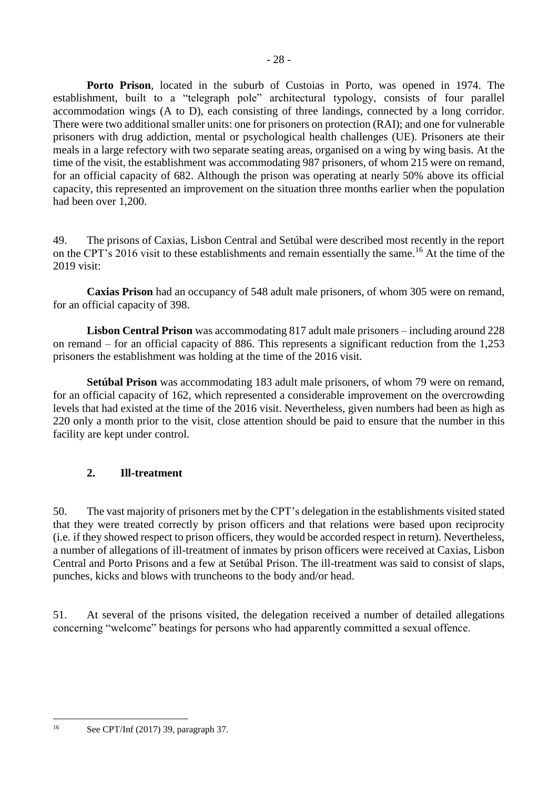**Porto Prison**, located in the suburb of Custoias in Porto, was opened in 1974. The establishment, built to a "telegraph pole" architectural typology, consists of four parallel accommodation wings (A to D), each consisting of three landings, connected by a long corridor. There were two additional smaller units: one for prisoners on protection (RAI); and one for vulnerable prisoners with drug addiction, mental or psychological health challenges (UE). Prisoners ate their meals in a large refectory with two separate seating areas, organised on a wing by wing basis. At the time of the visit, the establishment was accommodating 987 prisoners, of whom 215 were on remand, for an official capacity of 682. Although the prison was operating at nearly 50% above its official capacity, this represented an improvement on the situation three months earlier when the population had been over 1,200.

49. The prisons of Caxias, Lisbon Central and Setúbal were described most recently in the report on the CPT's 2016 visit to these establishments and remain essentially the same. <sup>16</sup> At the time of the 2019 visit:

**Caxias Prison** had an occupancy of 548 adult male prisoners, of whom 305 were on remand, for an official capacity of 398.

**Lisbon Central Prison** was accommodating 817 adult male prisoners – including around 228 on remand – for an official capacity of 886. This represents a significant reduction from the 1,253 prisoners the establishment was holding at the time of the 2016 visit.

**Setúbal Prison** was accommodating 183 adult male prisoners, of whom 79 were on remand, for an official capacity of 162, which represented a considerable improvement on the overcrowding levels that had existed at the time of the 2016 visit. Nevertheless, given numbers had been as high as 220 only a month prior to the visit, close attention should be paid to ensure that the number in this facility are kept under control.

## <span id="page-27-0"></span>**2. Ill-treatment**

50. The vast majority of prisoners met by the CPT's delegation in the establishments visited stated that they were treated correctly by prison officers and that relations were based upon reciprocity (i.e. if they showed respect to prison officers, they would be accorded respect in return). Nevertheless, a number of allegations of ill-treatment of inmates by prison officers were received at Caxias, Lisbon Central and Porto Prisons and a few at Setúbal Prison. The ill-treatment was said to consist of slaps, punches, kicks and blows with truncheons to the body and/or head.

51. At several of the prisons visited, the delegation received a number of detailed allegations concerning "welcome" beatings for persons who had apparently committed a sexual offence.

1

<sup>16</sup> See CPT/Inf (2017) 39, paragraph 37.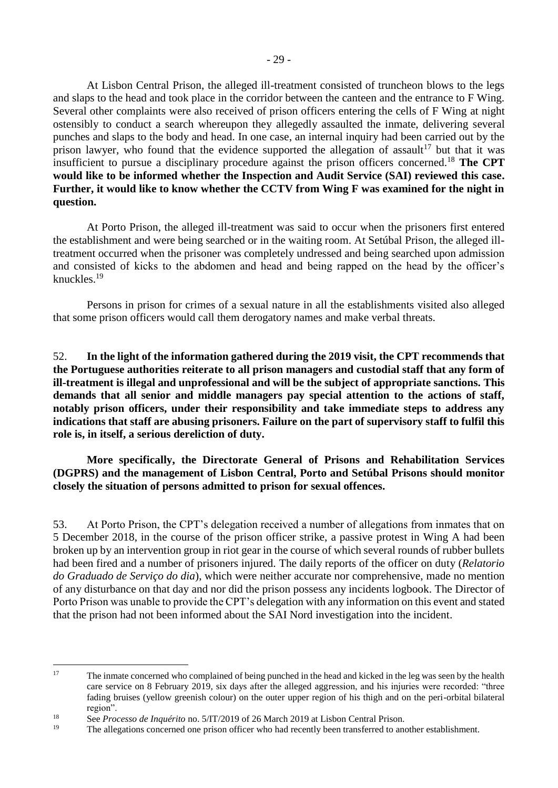At Lisbon Central Prison, the alleged ill-treatment consisted of truncheon blows to the legs and slaps to the head and took place in the corridor between the canteen and the entrance to F Wing. Several other complaints were also received of prison officers entering the cells of F Wing at night ostensibly to conduct a search whereupon they allegedly assaulted the inmate, delivering several punches and slaps to the body and head. In one case, an internal inquiry had been carried out by the prison lawyer, who found that the evidence supported the allegation of assault<sup>17</sup> but that it was insufficient to pursue a disciplinary procedure against the prison officers concerned. <sup>18</sup> **The CPT would like to be informed whether the Inspection and Audit Service (SAI) reviewed this case. Further, it would like to know whether the CCTV from Wing F was examined for the night in question.** 

At Porto Prison, the alleged ill-treatment was said to occur when the prisoners first entered the establishment and were being searched or in the waiting room. At Setúbal Prison, the alleged illtreatment occurred when the prisoner was completely undressed and being searched upon admission and consisted of kicks to the abdomen and head and being rapped on the head by the officer's knuckles.<sup>19</sup>

Persons in prison for crimes of a sexual nature in all the establishments visited also alleged that some prison officers would call them derogatory names and make verbal threats.

52. **In the light of the information gathered during the 2019 visit, the CPT recommends that the Portuguese authorities reiterate to all prison managers and custodial staff that any form of ill-treatment is illegal and unprofessional and will be the subject of appropriate sanctions. This demands that all senior and middle managers pay special attention to the actions of staff, notably prison officers, under their responsibility and take immediate steps to address any indications that staff are abusing prisoners. Failure on the part of supervisory staff to fulfil this role is, in itself, a serious dereliction of duty.**

**More specifically, the Directorate General of Prisons and Rehabilitation Services (DGPRS) and the management of Lisbon Central, Porto and Setúbal Prisons should monitor closely the situation of persons admitted to prison for sexual offences.** 

53. At Porto Prison, the CPT's delegation received a number of allegations from inmates that on 5 December 2018, in the course of the prison officer strike, a passive protest in Wing A had been broken up by an intervention group in riot gear in the course of which several rounds of rubber bullets had been fired and a number of prisoners injured. The daily reports of the officer on duty (*Relatorio do Graduado de Serviço do dia*), which were neither accurate nor comprehensive, made no mention of any disturbance on that day and nor did the prison possess any incidents logbook. The Director of Porto Prison was unable to provide the CPT's delegation with any information on this event and stated that the prison had not been informed about the SAI Nord investigation into the incident.

<u>.</u>

<sup>&</sup>lt;sup>17</sup> The inmate concerned who complained of being punched in the head and kicked in the leg was seen by the health care service on 8 February 2019, six days after the alleged aggression, and his injuries were recorded: "three fading bruises (yellow greenish colour) on the outer upper region of his thigh and on the peri-orbital bilateral region".

<sup>18</sup> See *Processo de Inquérito* no. 5/IT/2019 of 26 March 2019 at Lisbon Central Prison.

<sup>19</sup> The allegations concerned one prison officer who had recently been transferred to another establishment.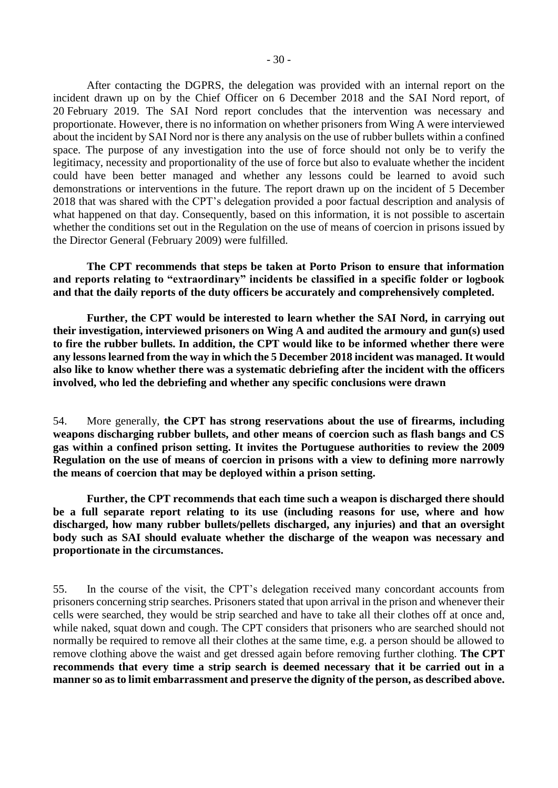After contacting the DGPRS, the delegation was provided with an internal report on the incident drawn up on by the Chief Officer on 6 December 2018 and the SAI Nord report, of 20 February 2019. The SAI Nord report concludes that the intervention was necessary and proportionate. However, there is no information on whether prisoners from Wing A were interviewed about the incident by SAI Nord nor is there any analysis on the use of rubber bullets within a confined space. The purpose of any investigation into the use of force should not only be to verify the legitimacy, necessity and proportionality of the use of force but also to evaluate whether the incident could have been better managed and whether any lessons could be learned to avoid such demonstrations or interventions in the future. The report drawn up on the incident of 5 December 2018 that was shared with the CPT's delegation provided a poor factual description and analysis of what happened on that day. Consequently, based on this information, it is not possible to ascertain whether the conditions set out in the Regulation on the use of means of coercion in prisons issued by the Director General (February 2009) were fulfilled.

**The CPT recommends that steps be taken at Porto Prison to ensure that information and reports relating to "extraordinary" incidents be classified in a specific folder or logbook and that the daily reports of the duty officers be accurately and comprehensively completed.**

**Further, the CPT would be interested to learn whether the SAI Nord, in carrying out their investigation, interviewed prisoners on Wing A and audited the armoury and gun(s) used to fire the rubber bullets. In addition, the CPT would like to be informed whether there were any lessons learned from the way in which the 5 December 2018 incident was managed. It would also like to know whether there was a systematic debriefing after the incident with the officers involved, who led the debriefing and whether any specific conclusions were drawn**

54. More generally, **the CPT has strong reservations about the use of firearms, including weapons discharging rubber bullets, and other means of coercion such as flash bangs and CS gas within a confined prison setting. It invites the Portuguese authorities to review the 2009 Regulation on the use of means of coercion in prisons with a view to defining more narrowly the means of coercion that may be deployed within a prison setting.**

**Further, the CPT recommends that each time such a weapon is discharged there should be a full separate report relating to its use (including reasons for use, where and how discharged, how many rubber bullets/pellets discharged, any injuries) and that an oversight body such as SAI should evaluate whether the discharge of the weapon was necessary and proportionate in the circumstances.**

55. In the course of the visit, the CPT's delegation received many concordant accounts from prisoners concerning strip searches. Prisoners stated that upon arrival in the prison and whenever their cells were searched, they would be strip searched and have to take all their clothes off at once and, while naked, squat down and cough. The CPT considers that prisoners who are searched should not normally be required to remove all their clothes at the same time, e.g. a person should be allowed to remove clothing above the waist and get dressed again before removing further clothing. **The CPT recommends that every time a strip search is deemed necessary that it be carried out in a manner so as to limit embarrassment and preserve the dignity of the person, as described above.**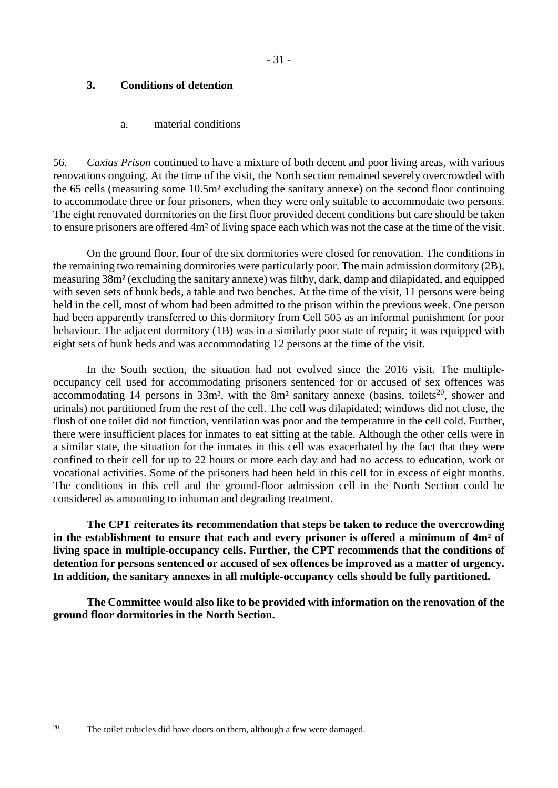## <span id="page-30-0"></span>**3. Conditions of detention**

#### a. material conditions

<span id="page-30-1"></span>56. *Caxias Prison* continued to have a mixture of both decent and poor living areas, with various renovations ongoing. At the time of the visit, the North section remained severely overcrowded with the 65 cells (measuring some 10.5m² excluding the sanitary annexe) on the second floor continuing to accommodate three or four prisoners, when they were only suitable to accommodate two persons. The eight renovated dormitories on the first floor provided decent conditions but care should be taken to ensure prisoners are offered 4m² of living space each which was not the case at the time of the visit.

On the ground floor, four of the six dormitories were closed for renovation. The conditions in the remaining two remaining dormitories were particularly poor. The main admission dormitory (2B), measuring 38m² (excluding the sanitary annexe) was filthy, dark, damp and dilapidated, and equipped with seven sets of bunk beds, a table and two benches. At the time of the visit, 11 persons were being held in the cell, most of whom had been admitted to the prison within the previous week. One person had been apparently transferred to this dormitory from Cell 505 as an informal punishment for poor behaviour. The adjacent dormitory (1B) was in a similarly poor state of repair; it was equipped with eight sets of bunk beds and was accommodating 12 persons at the time of the visit.

In the South section, the situation had not evolved since the 2016 visit. The multipleoccupancy cell used for accommodating prisoners sentenced for or accused of sex offences was accommodating 14 persons in  $33m^2$ , with the  $8m^2$  sanitary annexe (basins, toilets<sup>20</sup>, shower and urinals) not partitioned from the rest of the cell. The cell was dilapidated; windows did not close, the flush of one toilet did not function, ventilation was poor and the temperature in the cell cold. Further, there were insufficient places for inmates to eat sitting at the table. Although the other cells were in a similar state, the situation for the inmates in this cell was exacerbated by the fact that they were confined to their cell for up to 22 hours or more each day and had no access to education, work or vocational activities. Some of the prisoners had been held in this cell for in excess of eight months. The conditions in this cell and the ground-floor admission cell in the North Section could be considered as amounting to inhuman and degrading treatment.

**The CPT reiterates its recommendation that steps be taken to reduce the overcrowding in the establishment to ensure that each and every prisoner is offered a minimum of 4m² of living space in multiple-occupancy cells. Further, the CPT recommends that the conditions of detention for persons sentenced or accused of sex offences be improved as a matter of urgency. In addition, the sanitary annexes in all multiple-occupancy cells should be fully partitioned.** 

**The Committee would also like to be provided with information on the renovation of the ground floor dormitories in the North Section.** 

1

<sup>&</sup>lt;sup>20</sup> The toilet cubicles did have doors on them, although a few were damaged.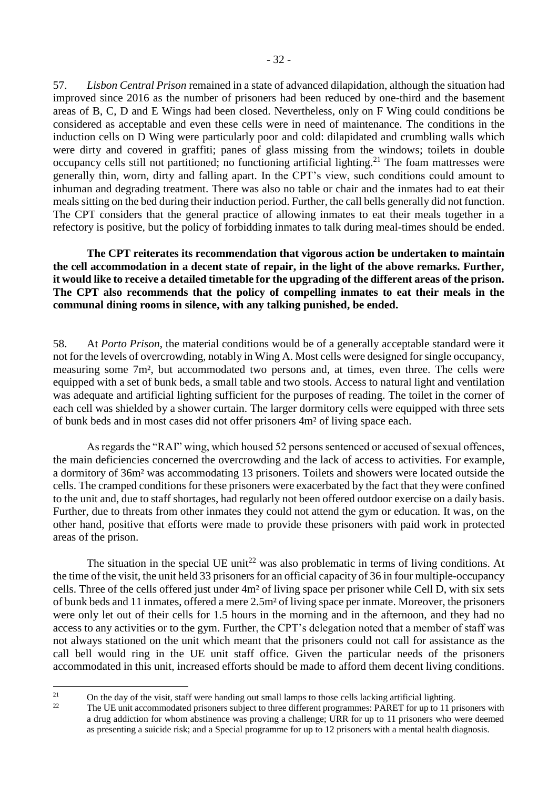57. *Lisbon Central Prison* remained in a state of advanced dilapidation, although the situation had improved since 2016 as the number of prisoners had been reduced by one-third and the basement areas of B, C, D and E Wings had been closed. Nevertheless, only on F Wing could conditions be considered as acceptable and even these cells were in need of maintenance. The conditions in the induction cells on D Wing were particularly poor and cold: dilapidated and crumbling walls which were dirty and covered in graffiti; panes of glass missing from the windows; toilets in double occupancy cells still not partitioned; no functioning artificial lighting.<sup>21</sup> The foam mattresses were generally thin, worn, dirty and falling apart. In the CPT's view, such conditions could amount to inhuman and degrading treatment. There was also no table or chair and the inmates had to eat their meals sitting on the bed during their induction period. Further, the call bells generally did not function. The CPT considers that the general practice of allowing inmates to eat their meals together in a refectory is positive, but the policy of forbidding inmates to talk during meal-times should be ended.

**The CPT reiterates its recommendation that vigorous action be undertaken to maintain the cell accommodation in a decent state of repair, in the light of the above remarks. Further, it would like to receive a detailed timetable for the upgrading of the different areas of the prison. The CPT also recommends that the policy of compelling inmates to eat their meals in the communal dining rooms in silence, with any talking punished, be ended.**

58. At *Porto Prison*, the material conditions would be of a generally acceptable standard were it not for the levels of overcrowding, notably in Wing A. Most cells were designed for single occupancy, measuring some 7m², but accommodated two persons and, at times, even three. The cells were equipped with a set of bunk beds, a small table and two stools. Access to natural light and ventilation was adequate and artificial lighting sufficient for the purposes of reading. The toilet in the corner of each cell was shielded by a shower curtain. The larger dormitory cells were equipped with three sets of bunk beds and in most cases did not offer prisoners 4m² of living space each.

As regards the "RAI" wing, which housed 52 persons sentenced or accused of sexual offences, the main deficiencies concerned the overcrowding and the lack of access to activities. For example, a dormitory of 36m² was accommodating 13 prisoners. Toilets and showers were located outside the cells. The cramped conditions for these prisoners were exacerbated by the fact that they were confined to the unit and, due to staff shortages, had regularly not been offered outdoor exercise on a daily basis. Further, due to threats from other inmates they could not attend the gym or education. It was, on the other hand, positive that efforts were made to provide these prisoners with paid work in protected areas of the prison.

The situation in the special UE unit<sup>22</sup> was also problematic in terms of living conditions. At the time of the visit, the unit held 33 prisoners for an official capacity of 36 in four multiple-occupancy cells. Three of the cells offered just under 4m² of living space per prisoner while Cell D, with six sets of bunk beds and 11 inmates, offered a mere 2.5m² of living space per inmate. Moreover, the prisoners were only let out of their cells for 1.5 hours in the morning and in the afternoon, and they had no access to any activities or to the gym. Further, the CPT's delegation noted that a member of staff was not always stationed on the unit which meant that the prisoners could not call for assistance as the call bell would ring in the UE unit staff office. Given the particular needs of the prisoners accommodated in this unit, increased efforts should be made to afford them decent living conditions.

 $21$ <sup>21</sup> On the day of the visit, staff were handing out small lamps to those cells lacking artificial lighting.<br><sup>22</sup> The LUI unit assemmedated prisoners which to three different programmes:  $\bf{PAPET}$  for up to 11 n

<sup>22</sup> The UE unit accommodated prisoners subject to three different programmes: PARET for up to 11 prisoners with a drug addiction for whom abstinence was proving a challenge; URR for up to 11 prisoners who were deemed as presenting a suicide risk; and a Special programme for up to 12 prisoners with a mental health diagnosis.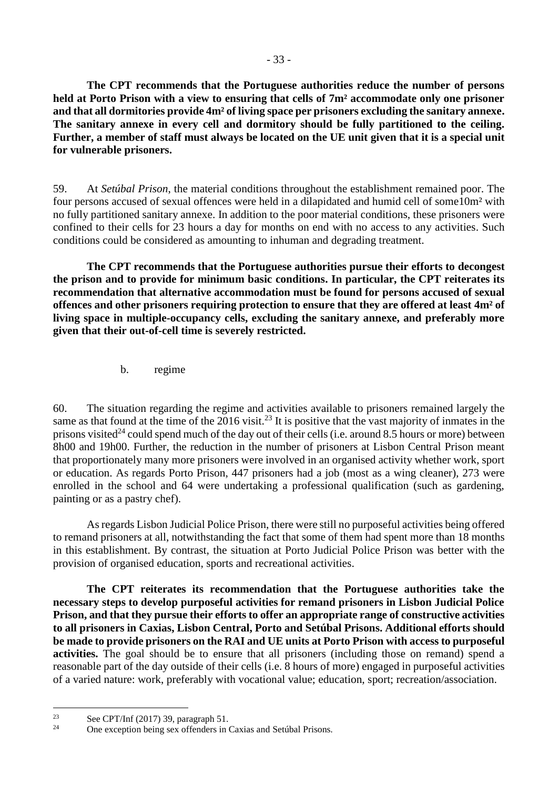**The CPT recommends that the Portuguese authorities reduce the number of persons held at Porto Prison with a view to ensuring that cells of 7m² accommodate only one prisoner and that all dormitories provide 4m² of living space per prisoners excluding the sanitary annexe. The sanitary annexe in every cell and dormitory should be fully partitioned to the ceiling. Further, a member of staff must always be located on the UE unit given that it is a special unit for vulnerable prisoners.**

59. At *Setúbal Prison*, the material conditions throughout the establishment remained poor. The four persons accused of sexual offences were held in a dilapidated and humid cell of some10m² with no fully partitioned sanitary annexe. In addition to the poor material conditions, these prisoners were confined to their cells for 23 hours a day for months on end with no access to any activities. Such conditions could be considered as amounting to inhuman and degrading treatment.

**The CPT recommends that the Portuguese authorities pursue their efforts to decongest the prison and to provide for minimum basic conditions. In particular, the CPT reiterates its recommendation that alternative accommodation must be found for persons accused of sexual offences and other prisoners requiring protection to ensure that they are offered at least 4m² of living space in multiple-occupancy cells, excluding the sanitary annexe, and preferably more given that their out-of-cell time is severely restricted.**

b. regime

<span id="page-32-0"></span>60. The situation regarding the regime and activities available to prisoners remained largely the same as that found at the time of the  $2016$  visit.<sup>23</sup> It is positive that the vast majority of inmates in the prisons visited<sup>24</sup> could spend much of the day out of their cells (i.e. around 8.5 hours or more) between 8h00 and 19h00. Further, the reduction in the number of prisoners at Lisbon Central Prison meant that proportionately many more prisoners were involved in an organised activity whether work, sport or education. As regards Porto Prison, 447 prisoners had a job (most as a wing cleaner), 273 were enrolled in the school and 64 were undertaking a professional qualification (such as gardening, painting or as a pastry chef).

As regards Lisbon Judicial Police Prison, there were still no purposeful activities being offered to remand prisoners at all, notwithstanding the fact that some of them had spent more than 18 months in this establishment. By contrast, the situation at Porto Judicial Police Prison was better with the provision of organised education, sports and recreational activities.

**The CPT reiterates its recommendation that the Portuguese authorities take the necessary steps to develop purposeful activities for remand prisoners in Lisbon Judicial Police Prison, and that they pursue their efforts to offer an appropriate range of constructive activities to all prisoners in Caxias, Lisbon Central, Porto and Setúbal Prisons. Additional efforts should be made to provide prisoners on the RAI and UE units at Porto Prison with access to purposeful activities.** The goal should be to ensure that all prisoners (including those on remand) spend a reasonable part of the day outside of their cells (i.e. 8 hours of more) engaged in purposeful activities of a varied nature: work, preferably with vocational value; education, sport; recreation/association.

1

<sup>&</sup>lt;sup>23</sup> See CPT/Inf (2017) 39, paragraph 51.<br> **CDP over the paragraph of the Section** 

One exception being sex offenders in Caxias and Setúbal Prisons.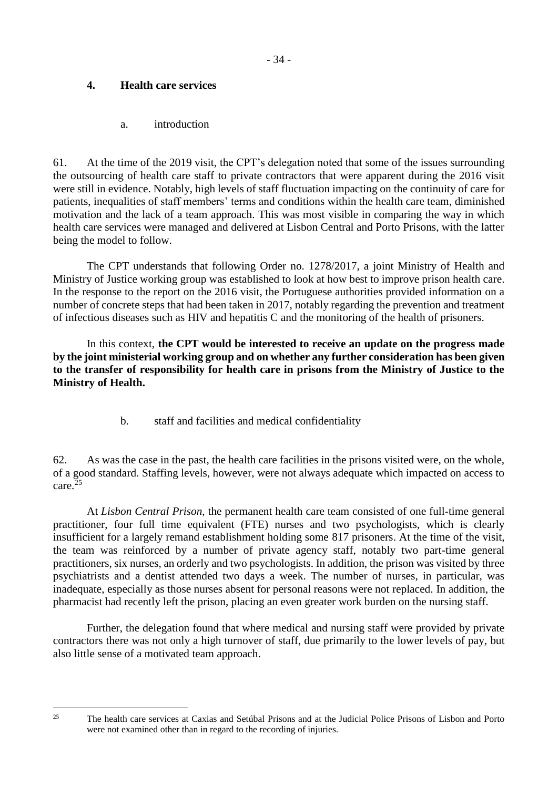## <span id="page-33-0"></span>**4. Health care services**

a. introduction

<span id="page-33-1"></span>61. At the time of the 2019 visit, the CPT's delegation noted that some of the issues surrounding the outsourcing of health care staff to private contractors that were apparent during the 2016 visit were still in evidence. Notably, high levels of staff fluctuation impacting on the continuity of care for patients, inequalities of staff members' terms and conditions within the health care team, diminished motivation and the lack of a team approach. This was most visible in comparing the way in which health care services were managed and delivered at Lisbon Central and Porto Prisons, with the latter being the model to follow.

The CPT understands that following Order no. 1278/2017, a joint Ministry of Health and Ministry of Justice working group was established to look at how best to improve prison health care. In the response to the report on the 2016 visit, the Portuguese authorities provided information on a number of concrete steps that had been taken in 2017, notably regarding the prevention and treatment of infectious diseases such as HIV and hepatitis C and the monitoring of the health of prisoners.

In this context, **the CPT would be interested to receive an update on the progress made by the joint ministerial working group and on whether any further consideration has been given to the transfer of responsibility for health care in prisons from the Ministry of Justice to the Ministry of Health.** 

b. staff and facilities and medical confidentiality

<span id="page-33-2"></span>62. As was the case in the past, the health care facilities in the prisons visited were, on the whole, of a good standard. Staffing levels, however, were not always adequate which impacted on access to care.<sup>25</sup>

At *Lisbon Central Prison*, the permanent health care team consisted of one full-time general practitioner, four full time equivalent (FTE) nurses and two psychologists, which is clearly insufficient for a largely remand establishment holding some 817 prisoners. At the time of the visit, the team was reinforced by a number of private agency staff, notably two part-time general practitioners, six nurses, an orderly and two psychologists. In addition, the prison was visited by three psychiatrists and a dentist attended two days a week. The number of nurses, in particular, was inadequate, especially as those nurses absent for personal reasons were not replaced. In addition, the pharmacist had recently left the prison, placing an even greater work burden on the nursing staff.

Further, the delegation found that where medical and nursing staff were provided by private contractors there was not only a high turnover of staff, due primarily to the lower levels of pay, but also little sense of a motivated team approach.

1

<sup>&</sup>lt;sup>25</sup> The health care services at Caxias and Setúbal Prisons and at the Judicial Police Prisons of Lisbon and Porto were not examined other than in regard to the recording of injuries.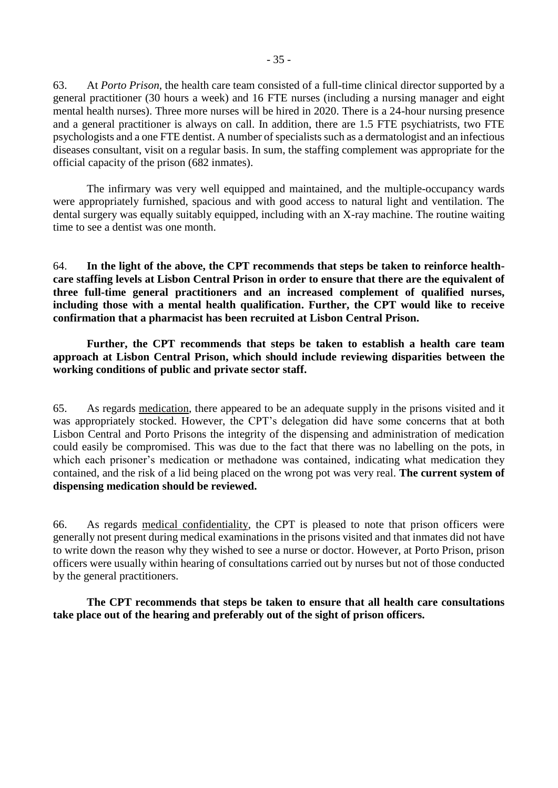63. At *Porto Prison*, the health care team consisted of a full-time clinical director supported by a general practitioner (30 hours a week) and 16 FTE nurses (including a nursing manager and eight mental health nurses). Three more nurses will be hired in 2020. There is a 24-hour nursing presence and a general practitioner is always on call. In addition, there are 1.5 FTE psychiatrists, two FTE psychologists and a one FTE dentist. A number of specialists such as a dermatologist and an infectious diseases consultant, visit on a regular basis. In sum, the staffing complement was appropriate for the official capacity of the prison (682 inmates).

The infirmary was very well equipped and maintained, and the multiple-occupancy wards were appropriately furnished, spacious and with good access to natural light and ventilation. The dental surgery was equally suitably equipped, including with an X-ray machine. The routine waiting time to see a dentist was one month.

64. **In the light of the above, the CPT recommends that steps be taken to reinforce healthcare staffing levels at Lisbon Central Prison in order to ensure that there are the equivalent of three full-time general practitioners and an increased complement of qualified nurses, including those with a mental health qualification. Further, the CPT would like to receive confirmation that a pharmacist has been recruited at Lisbon Central Prison.**

**Further, the CPT recommends that steps be taken to establish a health care team approach at Lisbon Central Prison, which should include reviewing disparities between the working conditions of public and private sector staff.**

65. As regards medication, there appeared to be an adequate supply in the prisons visited and it was appropriately stocked. However, the CPT's delegation did have some concerns that at both Lisbon Central and Porto Prisons the integrity of the dispensing and administration of medication could easily be compromised. This was due to the fact that there was no labelling on the pots, in which each prisoner's medication or methadone was contained, indicating what medication they contained, and the risk of a lid being placed on the wrong pot was very real. **The current system of dispensing medication should be reviewed.**

66. As regards medical confidentiality, the CPT is pleased to note that prison officers were generally not present during medical examinations in the prisons visited and that inmates did not have to write down the reason why they wished to see a nurse or doctor. However, at Porto Prison, prison officers were usually within hearing of consultations carried out by nurses but not of those conducted by the general practitioners.

**The CPT recommends that steps be taken to ensure that all health care consultations take place out of the hearing and preferably out of the sight of prison officers.**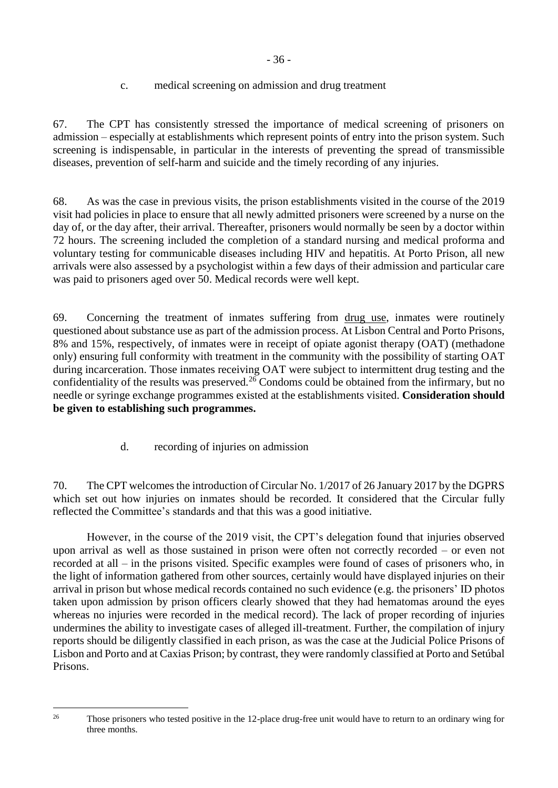# c. medical screening on admission and drug treatment

<span id="page-35-0"></span>67. The CPT has consistently stressed the importance of medical screening of prisoners on admission – especially at establishments which represent points of entry into the prison system. Such screening is indispensable, in particular in the interests of preventing the spread of transmissible diseases, prevention of self-harm and suicide and the timely recording of any injuries.

68. As was the case in previous visits, the prison establishments visited in the course of the 2019 visit had policies in place to ensure that all newly admitted prisoners were screened by a nurse on the day of, or the day after, their arrival. Thereafter, prisoners would normally be seen by a doctor within 72 hours. The screening included the completion of a standard nursing and medical proforma and voluntary testing for communicable diseases including HIV and hepatitis. At Porto Prison, all new arrivals were also assessed by a psychologist within a few days of their admission and particular care was paid to prisoners aged over 50. Medical records were well kept.

69. Concerning the treatment of inmates suffering from drug use, inmates were routinely questioned about substance use as part of the admission process. At Lisbon Central and Porto Prisons, 8% and 15%, respectively, of inmates were in receipt of opiate agonist therapy (OAT) (methadone only) ensuring full conformity with treatment in the community with the possibility of starting OAT during incarceration. Those inmates receiving OAT were subject to intermittent drug testing and the confidentiality of the results was preserved.<sup>26</sup> Condoms could be obtained from the infirmary, but no needle or syringe exchange programmes existed at the establishments visited. **Consideration should be given to establishing such programmes.**

d. recording of injuries on admission

<span id="page-35-1"></span>70. The CPT welcomes the introduction of Circular No. 1/2017 of 26 January 2017 by the DGPRS which set out how injuries on inmates should be recorded. It considered that the Circular fully reflected the Committee's standards and that this was a good initiative.

However, in the course of the 2019 visit, the CPT's delegation found that injuries observed upon arrival as well as those sustained in prison were often not correctly recorded – or even not recorded at all – in the prisons visited. Specific examples were found of cases of prisoners who, in the light of information gathered from other sources, certainly would have displayed injuries on their arrival in prison but whose medical records contained no such evidence (e.g. the prisoners' ID photos taken upon admission by prison officers clearly showed that they had hematomas around the eyes whereas no injuries were recorded in the medical record). The lack of proper recording of injuries undermines the ability to investigate cases of alleged ill-treatment. Further, the compilation of injury reports should be diligently classified in each prison, as was the case at the Judicial Police Prisons of Lisbon and Porto and at Caxias Prison; by contrast, they were randomly classified at Porto and Setúbal Prisons.

<sup>1</sup> 

<sup>&</sup>lt;sup>26</sup> Those prisoners who tested positive in the 12-place drug-free unit would have to return to an ordinary wing for three months.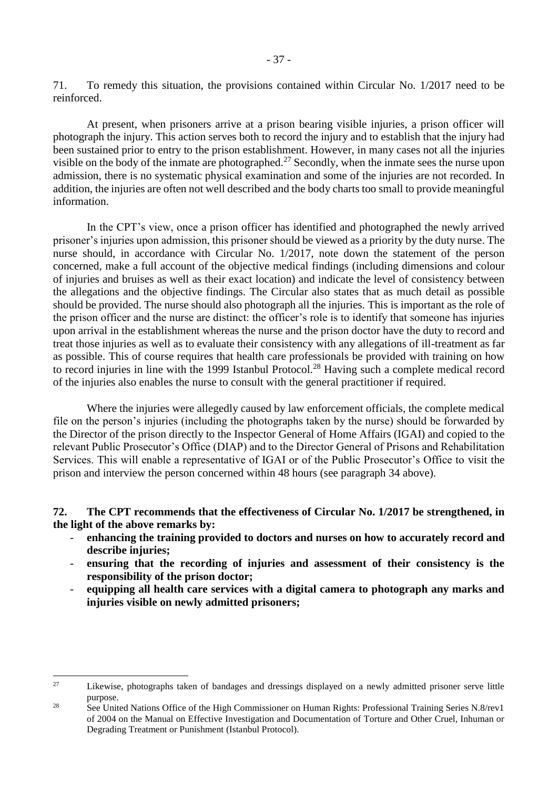At present, when prisoners arrive at a prison bearing visible injuries, a prison officer will photograph the injury. This action serves both to record the injury and to establish that the injury had been sustained prior to entry to the prison establishment. However, in many cases not all the injuries visible on the body of the inmate are photographed.<sup>27</sup> Secondly, when the inmate sees the nurse upon admission, there is no systematic physical examination and some of the injuries are not recorded. In addition, the injuries are often not well described and the body charts too small to provide meaningful information.

In the CPT's view, once a prison officer has identified and photographed the newly arrived prisoner's injuries upon admission, this prisoner should be viewed as a priority by the duty nurse. The nurse should, in accordance with Circular No. 1/2017, note down the statement of the person concerned, make a full account of the objective medical findings (including dimensions and colour of injuries and bruises as well as their exact location) and indicate the level of consistency between the allegations and the objective findings. The Circular also states that as much detail as possible should be provided. The nurse should also photograph all the injuries. This is important as the role of the prison officer and the nurse are distinct: the officer's role is to identify that someone has injuries upon arrival in the establishment whereas the nurse and the prison doctor have the duty to record and treat those injuries as well as to evaluate their consistency with any allegations of ill-treatment as far as possible. This of course requires that health care professionals be provided with training on how to record injuries in line with the 1999 Istanbul Protocol.<sup>28</sup> Having such a complete medical record of the injuries also enables the nurse to consult with the general practitioner if required.

Where the injuries were allegedly caused by law enforcement officials, the complete medical file on the person's injuries (including the photographs taken by the nurse) should be forwarded by the Director of the prison directly to the Inspector General of Home Affairs (IGAI) and copied to the relevant Public Prosecutor's Office (DIAP) and to the Director General of Prisons and Rehabilitation Services. This will enable a representative of IGAI or of the Public Prosecutor's Office to visit the prison and interview the person concerned within 48 hours (see paragraph 34 above).

## **72. The CPT recommends that the effectiveness of Circular No. 1/2017 be strengthened, in the light of the above remarks by:**

- **enhancing the training provided to doctors and nurses on how to accurately record and describe injuries;**
- **ensuring that the recording of injuries and assessment of their consistency is the responsibility of the prison doctor;**
- **equipping all health care services with a digital camera to photograph any marks and injuries visible on newly admitted prisoners;**

1

<sup>&</sup>lt;sup>27</sup> Likewise, photographs taken of bandages and dressings displayed on a newly admitted prisoner serve little purpose.

<sup>&</sup>lt;sup>28</sup> See United Nations Office of the High Commissioner on Human Rights: Professional Training Series N.8/rev1 of 2004 on the Manual on Effective Investigation and Documentation of Torture and Other Cruel, Inhuman or Degrading Treatment or Punishment (Istanbul Protocol).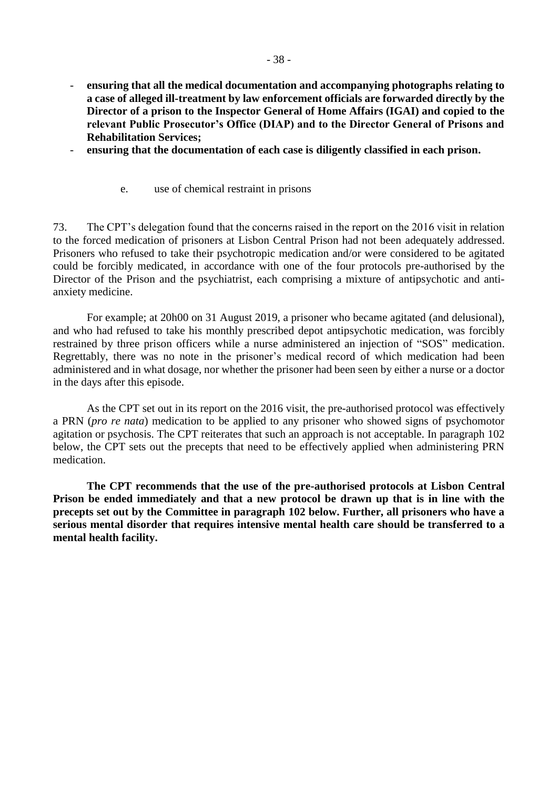- **ensuring that all the medical documentation and accompanying photographs relating to a case of alleged ill-treatment by law enforcement officials are forwarded directly by the Director of a prison to the Inspector General of Home Affairs (IGAI) and copied to the relevant Public Prosecutor's Office (DIAP) and to the Director General of Prisons and Rehabilitation Services;**
- **ensuring that the documentation of each case is diligently classified in each prison.** 
	- e. use of chemical restraint in prisons

<span id="page-37-0"></span>73. The CPT's delegation found that the concerns raised in the report on the 2016 visit in relation to the forced medication of prisoners at Lisbon Central Prison had not been adequately addressed. Prisoners who refused to take their psychotropic medication and/or were considered to be agitated could be forcibly medicated, in accordance with one of the four protocols pre-authorised by the Director of the Prison and the psychiatrist, each comprising a mixture of antipsychotic and antianxiety medicine.

For example; at 20h00 on 31 August 2019, a prisoner who became agitated (and delusional), and who had refused to take his monthly prescribed depot antipsychotic medication, was forcibly restrained by three prison officers while a nurse administered an injection of "SOS" medication. Regrettably, there was no note in the prisoner's medical record of which medication had been administered and in what dosage, nor whether the prisoner had been seen by either a nurse or a doctor in the days after this episode.

As the CPT set out in its report on the 2016 visit, the pre-authorised protocol was effectively a PRN (*pro re nata*) medication to be applied to any prisoner who showed signs of psychomotor agitation or psychosis. The CPT reiterates that such an approach is not acceptable. In paragraph 102 below, the CPT sets out the precepts that need to be effectively applied when administering PRN medication.

**The CPT recommends that the use of the pre-authorised protocols at Lisbon Central Prison be ended immediately and that a new protocol be drawn up that is in line with the precepts set out by the Committee in paragraph 102 below. Further, all prisoners who have a serious mental disorder that requires intensive mental health care should be transferred to a mental health facility.**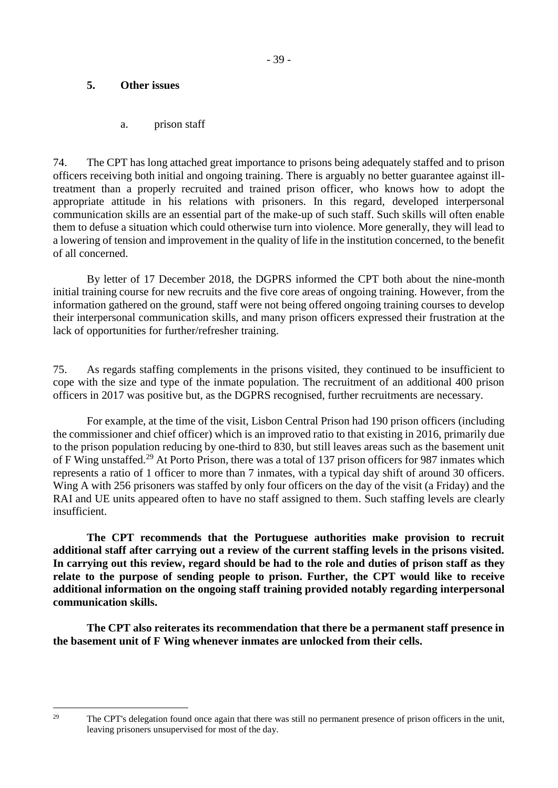## <span id="page-38-0"></span>**5. Other issues**

a. prison staff

<span id="page-38-1"></span>74. The CPT has long attached great importance to prisons being adequately staffed and to prison officers receiving both initial and ongoing training. There is arguably no better guarantee against illtreatment than a properly recruited and trained prison officer, who knows how to adopt the appropriate attitude in his relations with prisoners. In this regard, developed interpersonal communication skills are an essential part of the make-up of such staff. Such skills will often enable them to defuse a situation which could otherwise turn into violence. More generally, they will lead to a lowering of tension and improvement in the quality of life in the institution concerned, to the benefit of all concerned.

By letter of 17 December 2018, the DGPRS informed the CPT both about the nine-month initial training course for new recruits and the five core areas of ongoing training. However, from the information gathered on the ground, staff were not being offered ongoing training courses to develop their interpersonal communication skills, and many prison officers expressed their frustration at the lack of opportunities for further/refresher training.

75. As regards staffing complements in the prisons visited, they continued to be insufficient to cope with the size and type of the inmate population. The recruitment of an additional 400 prison officers in 2017 was positive but, as the DGPRS recognised, further recruitments are necessary.

For example, at the time of the visit, Lisbon Central Prison had 190 prison officers (including the commissioner and chief officer) which is an improved ratio to that existing in 2016, primarily due to the prison population reducing by one-third to 830, but still leaves areas such as the basement unit of F Wing unstaffed.<sup>29</sup> At Porto Prison, there was a total of 137 prison officers for 987 inmates which represents a ratio of 1 officer to more than 7 inmates, with a typical day shift of around 30 officers. Wing A with 256 prisoners was staffed by only four officers on the day of the visit (a Friday) and the RAI and UE units appeared often to have no staff assigned to them. Such staffing levels are clearly insufficient.

**The CPT recommends that the Portuguese authorities make provision to recruit additional staff after carrying out a review of the current staffing levels in the prisons visited. In carrying out this review, regard should be had to the role and duties of prison staff as they relate to the purpose of sending people to prison. Further, the CPT would like to receive additional information on the ongoing staff training provided notably regarding interpersonal communication skills.** 

**The CPT also reiterates its recommendation that there be a permanent staff presence in the basement unit of F Wing whenever inmates are unlocked from their cells.**

1

<sup>&</sup>lt;sup>29</sup> The CPT's delegation found once again that there was still no permanent presence of prison officers in the unit, leaving prisoners unsupervised for most of the day.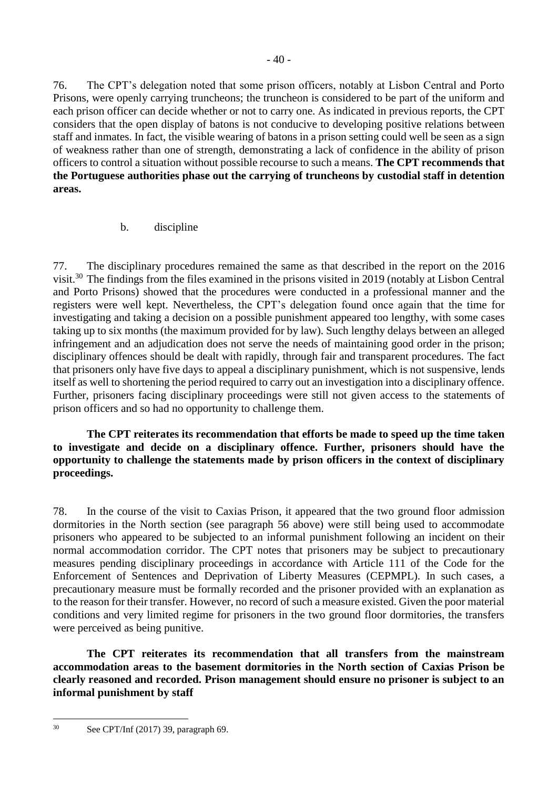76. The CPT's delegation noted that some prison officers, notably at Lisbon Central and Porto Prisons, were openly carrying truncheons; the truncheon is considered to be part of the uniform and each prison officer can decide whether or not to carry one. As indicated in previous reports, the CPT considers that the open display of batons is not conducive to developing positive relations between staff and inmates. In fact, the visible wearing of batons in a prison setting could well be seen as a sign of weakness rather than one of strength, demonstrating a lack of confidence in the ability of prison officers to control a situation without possible recourse to such a means. **The CPT recommends that the Portuguese authorities phase out the carrying of truncheons by custodial staff in detention areas.**

## b. discipline

<span id="page-39-0"></span>77. The disciplinary procedures remained the same as that described in the report on the 2016 visit.<sup>30</sup> The findings from the files examined in the prisons visited in 2019 (notably at Lisbon Central and Porto Prisons) showed that the procedures were conducted in a professional manner and the registers were well kept. Nevertheless, the CPT's delegation found once again that the time for investigating and taking a decision on a possible punishment appeared too lengthy, with some cases taking up to six months (the maximum provided for by law). Such lengthy delays between an alleged infringement and an adjudication does not serve the needs of maintaining good order in the prison; disciplinary offences should be dealt with rapidly, through fair and transparent procedures. The fact that prisoners only have five days to appeal a disciplinary punishment, which is not suspensive, lends itself as well to shortening the period required to carry out an investigation into a disciplinary offence. Further, prisoners facing disciplinary proceedings were still not given access to the statements of prison officers and so had no opportunity to challenge them.

**The CPT reiterates its recommendation that efforts be made to speed up the time taken to investigate and decide on a disciplinary offence. Further, prisoners should have the opportunity to challenge the statements made by prison officers in the context of disciplinary proceedings.** 

78. In the course of the visit to Caxias Prison, it appeared that the two ground floor admission dormitories in the North section (see paragraph 56 above) were still being used to accommodate prisoners who appeared to be subjected to an informal punishment following an incident on their normal accommodation corridor. The CPT notes that prisoners may be subject to precautionary measures pending disciplinary proceedings in accordance with Article 111 of the Code for the Enforcement of Sentences and Deprivation of Liberty Measures (CEPMPL). In such cases, a precautionary measure must be formally recorded and the prisoner provided with an explanation as to the reason for their transfer. However, no record of such a measure existed. Given the poor material conditions and very limited regime for prisoners in the two ground floor dormitories, the transfers were perceived as being punitive.

**The CPT reiterates its recommendation that all transfers from the mainstream accommodation areas to the basement dormitories in the North section of Caxias Prison be clearly reasoned and recorded. Prison management should ensure no prisoner is subject to an informal punishment by staff**

1

<sup>30</sup> See CPT/Inf (2017) 39, paragraph 69.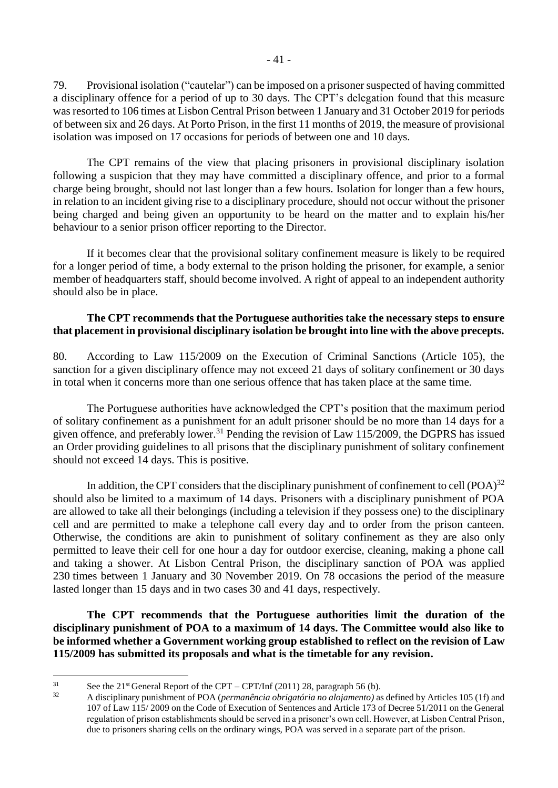79. Provisional isolation ("cautelar") can be imposed on a prisoner suspected of having committed a disciplinary offence for a period of up to 30 days. The CPT's delegation found that this measure was resorted to 106 times at Lisbon Central Prison between 1 January and 31 October 2019 for periods of between six and 26 days. At Porto Prison, in the first 11 months of 2019, the measure of provisional isolation was imposed on 17 occasions for periods of between one and 10 days.

The CPT remains of the view that placing prisoners in provisional disciplinary isolation following a suspicion that they may have committed a disciplinary offence, and prior to a formal charge being brought, should not last longer than a few hours. Isolation for longer than a few hours, in relation to an incident giving rise to a disciplinary procedure, should not occur without the prisoner being charged and being given an opportunity to be heard on the matter and to explain his/her behaviour to a senior prison officer reporting to the Director.

If it becomes clear that the provisional solitary confinement measure is likely to be required for a longer period of time, a body external to the prison holding the prisoner, for example, a senior member of headquarters staff, should become involved. A right of appeal to an independent authority should also be in place.

## **The CPT recommends that the Portuguese authorities take the necessary steps to ensure that placement in provisional disciplinary isolation be brought into line with the above precepts.**

80. According to Law 115/2009 on the Execution of Criminal Sanctions (Article 105), the sanction for a given disciplinary offence may not exceed 21 days of solitary confinement or 30 days in total when it concerns more than one serious offence that has taken place at the same time.

The Portuguese authorities have acknowledged the CPT's position that the maximum period of solitary confinement as a punishment for an adult prisoner should be no more than 14 days for a given offence, and preferably lower.<sup>31</sup> Pending the revision of Law 115/2009, the DGPRS has issued an Order providing guidelines to all prisons that the disciplinary punishment of solitary confinement should not exceed 14 days. This is positive.

In addition, the CPT considers that the disciplinary punishment of confinement to cell  $(POA)^{32}$ should also be limited to a maximum of 14 days. Prisoners with a disciplinary punishment of POA are allowed to take all their belongings (including a television if they possess one) to the disciplinary cell and are permitted to make a telephone call every day and to order from the prison canteen. Otherwise, the conditions are akin to punishment of solitary confinement as they are also only permitted to leave their cell for one hour a day for outdoor exercise, cleaning, making a phone call and taking a shower. At Lisbon Central Prison, the disciplinary sanction of POA was applied 230 times between 1 January and 30 November 2019. On 78 occasions the period of the measure lasted longer than 15 days and in two cases 30 and 41 days, respectively.

**The CPT recommends that the Portuguese authorities limit the duration of the disciplinary punishment of POA to a maximum of 14 days. The Committee would also like to be informed whether a Government working group established to reflect on the revision of Law 115/2009 has submitted its proposals and what is the timetable for any revision.**

 $\overline{31}$ <sup>31</sup> See the 21<sup>st</sup> General Report of the CPT – CPT/Inf (2011) 28, paragraph 56 (b).

<sup>32</sup> A disciplinary punishment of POA (*permanência obrigatória no alojamento)* as defined by Articles 105 (1f) and 107 of Law 115/ 2009 on the Code of Execution of Sentences and Article 173 of Decree 51/2011 on the General regulation of prison establishments should be served in a prisoner's own cell. However, at Lisbon Central Prison, due to prisoners sharing cells on the ordinary wings, POA was served in a separate part of the prison.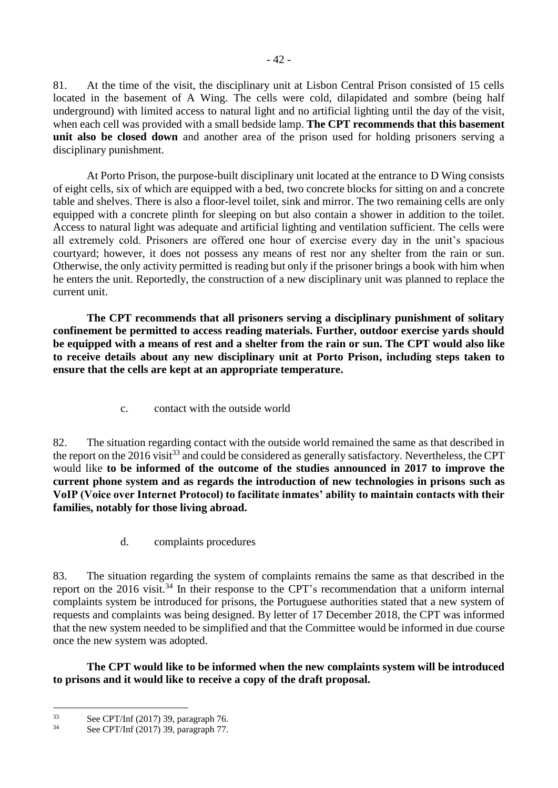81. At the time of the visit, the disciplinary unit at Lisbon Central Prison consisted of 15 cells located in the basement of A Wing. The cells were cold, dilapidated and sombre (being half underground) with limited access to natural light and no artificial lighting until the day of the visit, when each cell was provided with a small bedside lamp. **The CPT recommends that this basement unit also be closed down** and another area of the prison used for holding prisoners serving a disciplinary punishment.

At Porto Prison, the purpose-built disciplinary unit located at the entrance to D Wing consists of eight cells, six of which are equipped with a bed, two concrete blocks for sitting on and a concrete table and shelves. There is also a floor-level toilet, sink and mirror. The two remaining cells are only equipped with a concrete plinth for sleeping on but also contain a shower in addition to the toilet. Access to natural light was adequate and artificial lighting and ventilation sufficient. The cells were all extremely cold. Prisoners are offered one hour of exercise every day in the unit's spacious courtyard; however, it does not possess any means of rest nor any shelter from the rain or sun. Otherwise, the only activity permitted is reading but only if the prisoner brings a book with him when he enters the unit. Reportedly, the construction of a new disciplinary unit was planned to replace the current unit.

**The CPT recommends that all prisoners serving a disciplinary punishment of solitary confinement be permitted to access reading materials. Further, outdoor exercise yards should be equipped with a means of rest and a shelter from the rain or sun. The CPT would also like to receive details about any new disciplinary unit at Porto Prison, including steps taken to ensure that the cells are kept at an appropriate temperature.**

c. contact with the outside world

<span id="page-41-0"></span>82. The situation regarding contact with the outside world remained the same as that described in the report on the 2016 visit<sup>33</sup> and could be considered as generally satisfactory. Nevertheless, the CPT would like **to be informed of the outcome of the studies announced in 2017 to improve the current phone system and as regards the introduction of new technologies in prisons such as VoIP (Voice over Internet Protocol) to facilitate inmates' ability to maintain contacts with their families, notably for those living abroad.** 

d. complaints procedures

<span id="page-41-1"></span>83. The situation regarding the system of complaints remains the same as that described in the report on the 2016 visit.<sup>34</sup> In their response to the CPT's recommendation that a uniform internal complaints system be introduced for prisons, the Portuguese authorities stated that a new system of requests and complaints was being designed. By letter of 17 December 2018, the CPT was informed that the new system needed to be simplified and that the Committee would be informed in due course once the new system was adopted.

**The CPT would like to be informed when the new complaints system will be introduced to prisons and it would like to receive a copy of the draft proposal.**

1

 $33$  See CPT/Inf (2017) 39, paragraph 76.<br> $34$  See CPT/Inf (2017) 30, paragraph 77

See CPT/Inf (2017) 39, paragraph 77.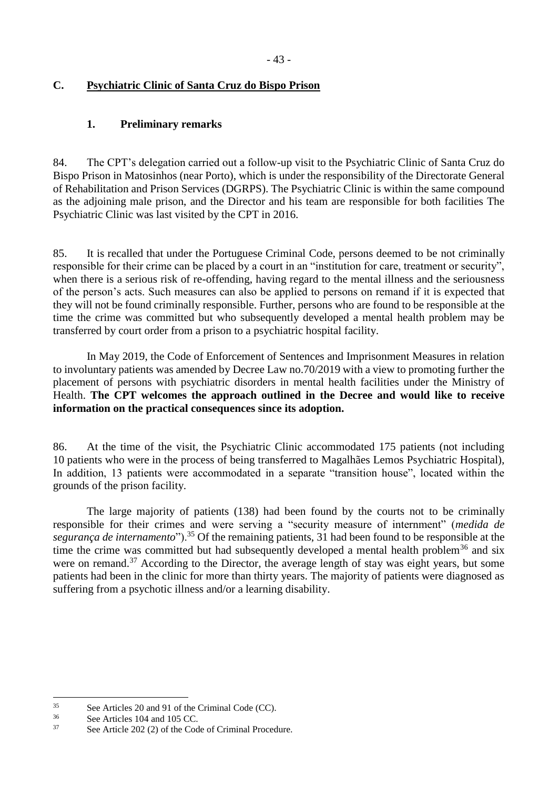# <span id="page-42-0"></span>**C. Psychiatric Clinic of Santa Cruz do Bispo Prison**

## <span id="page-42-1"></span>**1. Preliminary remarks**

84. The CPT's delegation carried out a follow-up visit to the Psychiatric Clinic of Santa Cruz do Bispo Prison in Matosinhos (near Porto), which is under the responsibility of the Directorate General of Rehabilitation and Prison Services (DGRPS). The Psychiatric Clinic is within the same compound as the adjoining male prison, and the Director and his team are responsible for both facilities The Psychiatric Clinic was last visited by the CPT in 2016.

85. It is recalled that under the Portuguese Criminal Code, persons deemed to be not criminally responsible for their crime can be placed by a court in an "institution for care, treatment or security", when there is a serious risk of re-offending, having regard to the mental illness and the seriousness of the person's acts. Such measures can also be applied to persons on remand if it is expected that they will not be found criminally responsible. Further, persons who are found to be responsible at the time the crime was committed but who subsequently developed a mental health problem may be transferred by court order from a prison to a psychiatric hospital facility.

In May 2019, the Code of Enforcement of Sentences and Imprisonment Measures in relation to involuntary patients was amended by Decree Law no.70/2019 with a view to promoting further the placement of persons with psychiatric disorders in mental health facilities under the Ministry of Health. **The CPT welcomes the approach outlined in the Decree and would like to receive information on the practical consequences since its adoption.**

86. At the time of the visit, the Psychiatric Clinic accommodated 175 patients (not including 10 patients who were in the process of being transferred to Magalhães Lemos Psychiatric Hospital), In addition, 13 patients were accommodated in a separate "transition house", located within the grounds of the prison facility.

The large majority of patients (138) had been found by the courts not to be criminally responsible for their crimes and were serving a "security measure of internment" (*medida de segurança de internamento*").<sup>35</sup> Of the remaining patients, 31 had been found to be responsible at the time the crime was committed but had subsequently developed a mental health problem<sup>36</sup> and six were on remand.<sup>37</sup> According to the Director, the average length of stay was eight years, but some patients had been in the clinic for more than thirty years. The majority of patients were diagnosed as suffering from a psychotic illness and/or a learning disability.

<sup>&</sup>lt;u>.</u>  $\frac{35}{36}$  See Articles 20 and 91 of the Criminal Code (CC).<br> $\frac{36}{36}$  See Articles 104 and 105 CC

 $\frac{36}{37}$  See Articles 104 and 105 CC.

See Article 202 (2) of the Code of Criminal Procedure.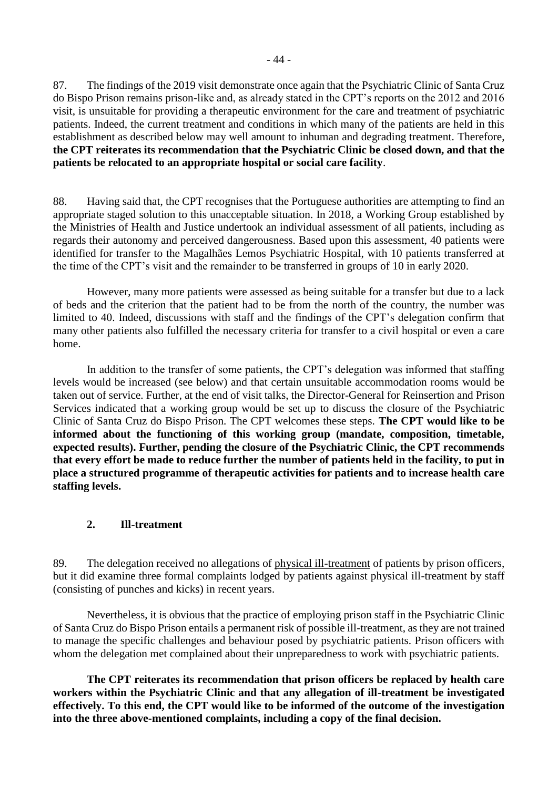87. The findings of the 2019 visit demonstrate once again that the Psychiatric Clinic of Santa Cruz do Bispo Prison remains prison-like and, as already stated in the CPT's reports on the 2012 and 2016 visit, is unsuitable for providing a therapeutic environment for the care and treatment of psychiatric patients. Indeed, the current treatment and conditions in which many of the patients are held in this establishment as described below may well amount to inhuman and degrading treatment. Therefore, **the CPT reiterates its recommendation that the Psychiatric Clinic be closed down, and that the patients be relocated to an appropriate hospital or social care facility**.

88. Having said that, the CPT recognises that the Portuguese authorities are attempting to find an appropriate staged solution to this unacceptable situation. In 2018, a Working Group established by the Ministries of Health and Justice undertook an individual assessment of all patients, including as regards their autonomy and perceived dangerousness. Based upon this assessment, 40 patients were identified for transfer to the Magalhães Lemos Psychiatric Hospital, with 10 patients transferred at the time of the CPT's visit and the remainder to be transferred in groups of 10 in early 2020.

However, many more patients were assessed as being suitable for a transfer but due to a lack of beds and the criterion that the patient had to be from the north of the country, the number was limited to 40. Indeed, discussions with staff and the findings of the CPT's delegation confirm that many other patients also fulfilled the necessary criteria for transfer to a civil hospital or even a care home.

In addition to the transfer of some patients, the CPT's delegation was informed that staffing levels would be increased (see below) and that certain unsuitable accommodation rooms would be taken out of service. Further, at the end of visit talks, the Director-General for Reinsertion and Prison Services indicated that a working group would be set up to discuss the closure of the Psychiatric Clinic of Santa Cruz do Bispo Prison. The CPT welcomes these steps. **The CPT would like to be informed about the functioning of this working group (mandate, composition, timetable, expected results). Further, pending the closure of the Psychiatric Clinic, the CPT recommends that every effort be made to reduce further the number of patients held in the facility, to put in place a structured programme of therapeutic activities for patients and to increase health care staffing levels.** 

#### <span id="page-43-0"></span>**2. Ill-treatment**

89. The delegation received no allegations of physical ill-treatment of patients by prison officers, but it did examine three formal complaints lodged by patients against physical ill-treatment by staff (consisting of punches and kicks) in recent years.

Nevertheless, it is obvious that the practice of employing prison staff in the Psychiatric Clinic of Santa Cruz do Bispo Prison entails a permanent risk of possible ill-treatment, as they are not trained to manage the specific challenges and behaviour posed by psychiatric patients. Prison officers with whom the delegation met complained about their unpreparedness to work with psychiatric patients.

**The CPT reiterates its recommendation that prison officers be replaced by health care workers within the Psychiatric Clinic and that any allegation of ill-treatment be investigated effectively. To this end, the CPT would like to be informed of the outcome of the investigation into the three above-mentioned complaints, including a copy of the final decision.**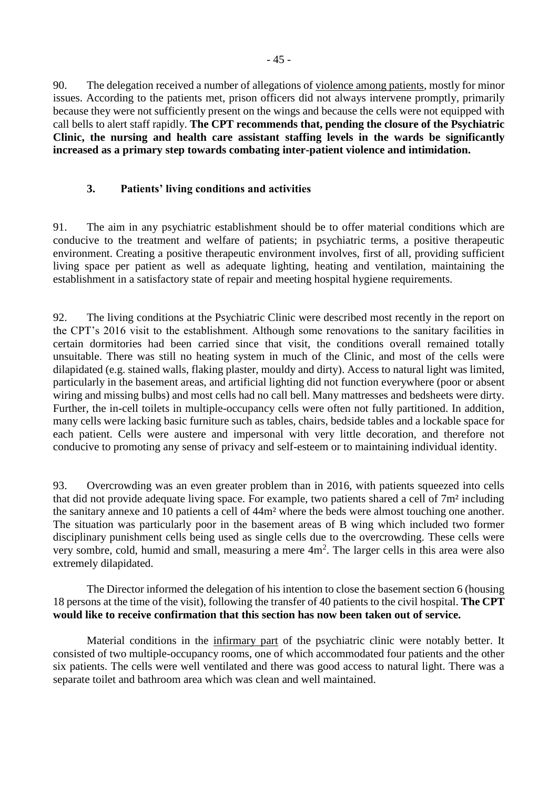90. The delegation received a number of allegations of violence among patients, mostly for minor issues. According to the patients met, prison officers did not always intervene promptly, primarily because they were not sufficiently present on the wings and because the cells were not equipped with call bells to alert staff rapidly. **The CPT recommends that, pending the closure of the Psychiatric Clinic, the nursing and health care assistant staffing levels in the wards be significantly increased as a primary step towards combating inter-patient violence and intimidation.**

#### <span id="page-44-0"></span>**3. Patients' living conditions and activities**

91. The aim in any psychiatric establishment should be to offer material conditions which are conducive to the treatment and welfare of patients; in psychiatric terms, a positive therapeutic environment. Creating a positive therapeutic environment involves, first of all, providing sufficient living space per patient as well as adequate lighting, heating and ventilation, maintaining the establishment in a satisfactory state of repair and meeting hospital hygiene requirements.

92. The living conditions at the Psychiatric Clinic were described most recently in the report on the CPT's 2016 visit to the establishment. Although some renovations to the sanitary facilities in certain dormitories had been carried since that visit, the conditions overall remained totally unsuitable. There was still no heating system in much of the Clinic, and most of the cells were dilapidated (e.g. stained walls, flaking plaster, mouldy and dirty). Access to natural light was limited, particularly in the basement areas, and artificial lighting did not function everywhere (poor or absent wiring and missing bulbs) and most cells had no call bell. Many mattresses and bedsheets were dirty. Further, the in-cell toilets in multiple-occupancy cells were often not fully partitioned. In addition, many cells were lacking basic furniture such as tables, chairs, bedside tables and a lockable space for each patient. Cells were austere and impersonal with very little decoration, and therefore not conducive to promoting any sense of privacy and self-esteem or to maintaining individual identity.

93. Overcrowding was an even greater problem than in 2016, with patients squeezed into cells that did not provide adequate living space. For example, two patients shared a cell of 7m² including the sanitary annexe and 10 patients a cell of 44m² where the beds were almost touching one another. The situation was particularly poor in the basement areas of B wing which included two former disciplinary punishment cells being used as single cells due to the overcrowding. These cells were very sombre, cold, humid and small, measuring a mere  $4m<sup>2</sup>$ . The larger cells in this area were also extremely dilapidated.

The Director informed the delegation of his intention to close the basement section 6 (housing 18 persons at the time of the visit), following the transfer of 40 patients to the civil hospital. **The CPT would like to receive confirmation that this section has now been taken out of service.**

Material conditions in the infirmary part of the psychiatric clinic were notably better. It consisted of two multiple-occupancy rooms, one of which accommodated four patients and the other six patients. The cells were well ventilated and there was good access to natural light. There was a separate toilet and bathroom area which was clean and well maintained.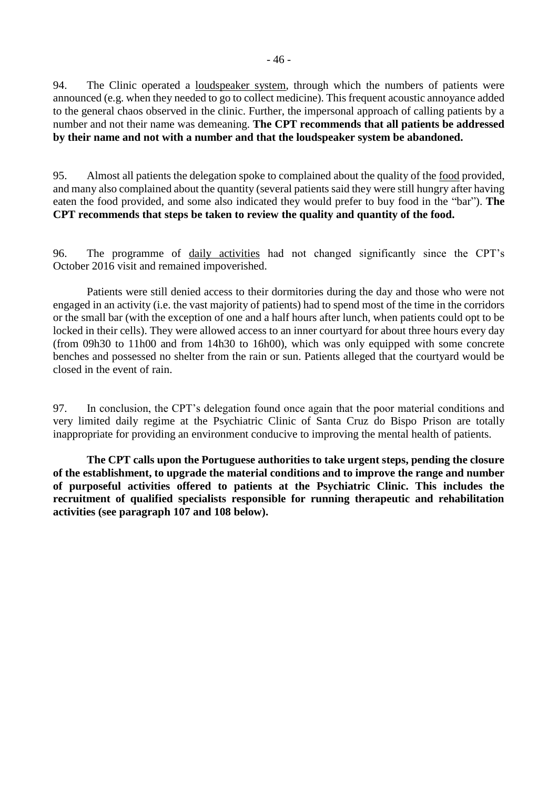94. The Clinic operated a loudspeaker system, through which the numbers of patients were announced (e.g. when they needed to go to collect medicine). This frequent acoustic annoyance added to the general chaos observed in the clinic. Further, the impersonal approach of calling patients by a number and not their name was demeaning. **The CPT recommends that all patients be addressed by their name and not with a number and that the loudspeaker system be abandoned.**

95. Almost all patients the delegation spoke to complained about the quality of the food provided, and many also complained about the quantity (several patients said they were still hungry after having eaten the food provided, and some also indicated they would prefer to buy food in the "bar"). **The CPT recommends that steps be taken to review the quality and quantity of the food.**

96. The programme of daily activities had not changed significantly since the CPT's October 2016 visit and remained impoverished.

Patients were still denied access to their dormitories during the day and those who were not engaged in an activity (i.e. the vast majority of patients) had to spend most of the time in the corridors or the small bar (with the exception of one and a half hours after lunch, when patients could opt to be locked in their cells). They were allowed access to an inner courtyard for about three hours every day (from 09h30 to 11h00 and from 14h30 to 16h00), which was only equipped with some concrete benches and possessed no shelter from the rain or sun. Patients alleged that the courtyard would be closed in the event of rain.

97. In conclusion, the CPT's delegation found once again that the poor material conditions and very limited daily regime at the Psychiatric Clinic of Santa Cruz do Bispo Prison are totally inappropriate for providing an environment conducive to improving the mental health of patients.

**The CPT calls upon the Portuguese authorities to take urgent steps, pending the closure of the establishment, to upgrade the material conditions and to improve the range and number of purposeful activities offered to patients at the Psychiatric Clinic. This includes the recruitment of qualified specialists responsible for running therapeutic and rehabilitation activities (see paragraph 107 and 108 below).**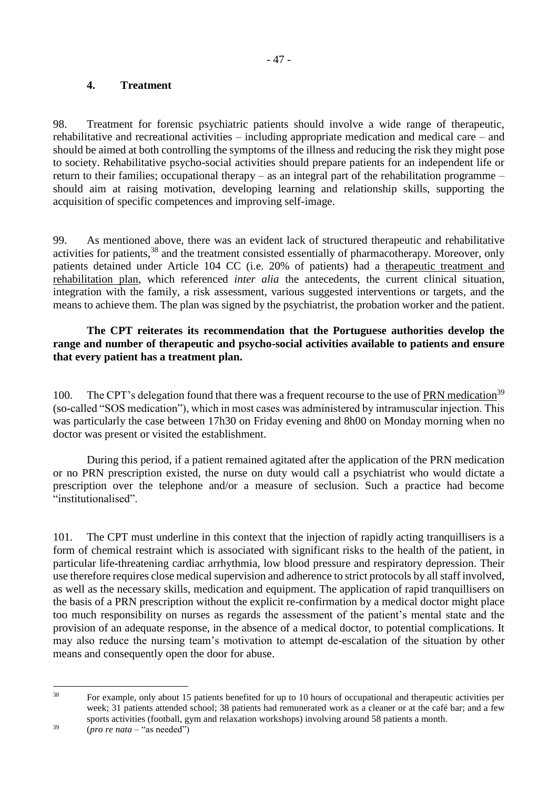## <span id="page-46-0"></span>**4. Treatment**

98. Treatment for forensic psychiatric patients should involve a wide range of therapeutic, rehabilitative and recreational activities – including appropriate medication and medical care – and should be aimed at both controlling the symptoms of the illness and reducing the risk they might pose to society. Rehabilitative psycho-social activities should prepare patients for an independent life or return to their families; occupational therapy – as an integral part of the rehabilitation programme – should aim at raising motivation, developing learning and relationship skills, supporting the acquisition of specific competences and improving self-image.

99. As mentioned above, there was an evident lack of structured therapeutic and rehabilitative activities for patients,<sup>38</sup> and the treatment consisted essentially of pharmacotherapy. Moreover, only patients detained under Article 104 CC (i.e. 20% of patients) had a therapeutic treatment and rehabilitation plan, which referenced *inter alia* the antecedents, the current clinical situation, integration with the family, a risk assessment, various suggested interventions or targets, and the means to achieve them. The plan was signed by the psychiatrist, the probation worker and the patient.

## **The CPT reiterates its recommendation that the Portuguese authorities develop the range and number of therapeutic and psycho-social activities available to patients and ensure that every patient has a treatment plan.**

100. The CPT's delegation found that there was a frequent recourse to the use of PRN medication<sup>39</sup> (so-called "SOS medication"), which in most cases was administered by intramuscular injection. This was particularly the case between 17h30 on Friday evening and 8h00 on Monday morning when no doctor was present or visited the establishment.

During this period, if a patient remained agitated after the application of the PRN medication or no PRN prescription existed, the nurse on duty would call a psychiatrist who would dictate a prescription over the telephone and/or a measure of seclusion. Such a practice had become "institutionalised".

101. The CPT must underline in this context that the injection of rapidly acting tranquillisers is a form of chemical restraint which is associated with significant risks to the health of the patient, in particular life-threatening cardiac arrhythmia, low blood pressure and respiratory depression. Their use therefore requires close medical supervision and adherence to strict protocols by all staff involved, as well as the necessary skills, medication and equipment. The application of rapid tranquillisers on the basis of a PRN prescription without the explicit re-confirmation by a medical doctor might place too much responsibility on nurses as regards the assessment of the patient's mental state and the provision of an adequate response, in the absence of a medical doctor, to potential complications. It may also reduce the nursing team's motivation to attempt de-escalation of the situation by other means and consequently open the door for abuse.

 $38$ <sup>38</sup> For example, only about 15 patients benefited for up to 10 hours of occupational and therapeutic activities per week; 31 patients attended school; 38 patients had remunerated work as a cleaner or at the café bar; and a few sports activities (football, gym and relaxation workshops) involving around 58 patients a month.

<sup>39</sup> (*pro re nata* – "as needed")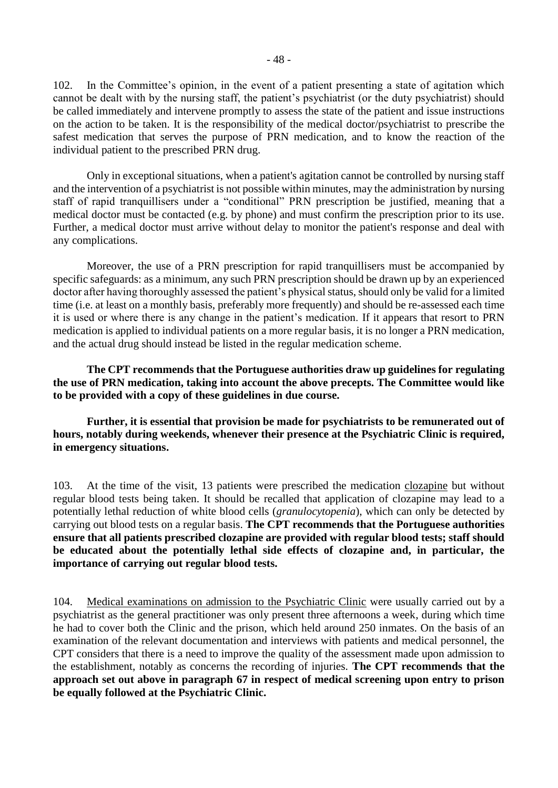102. In the Committee's opinion, in the event of a patient presenting a state of agitation which cannot be dealt with by the nursing staff, the patient's psychiatrist (or the duty psychiatrist) should be called immediately and intervene promptly to assess the state of the patient and issue instructions on the action to be taken. It is the responsibility of the medical doctor/psychiatrist to prescribe the safest medication that serves the purpose of PRN medication, and to know the reaction of the individual patient to the prescribed PRN drug.

Only in exceptional situations, when a patient's agitation cannot be controlled by nursing staff and the intervention of a psychiatrist is not possible within minutes, may the administration by nursing staff of rapid tranquillisers under a "conditional" PRN prescription be justified, meaning that a medical doctor must be contacted (e.g. by phone) and must confirm the prescription prior to its use. Further, a medical doctor must arrive without delay to monitor the patient's response and deal with any complications.

Moreover, the use of a PRN prescription for rapid tranquillisers must be accompanied by specific safeguards: as a minimum, any such PRN prescription should be drawn up by an experienced doctor after having thoroughly assessed the patient's physical status, should only be valid for a limited time (i.e. at least on a monthly basis, preferably more frequently) and should be re-assessed each time it is used or where there is any change in the patient's medication. If it appears that resort to PRN medication is applied to individual patients on a more regular basis, it is no longer a PRN medication, and the actual drug should instead be listed in the regular medication scheme.

**The CPT recommends that the Portuguese authorities draw up guidelines for regulating the use of PRN medication, taking into account the above precepts. The Committee would like to be provided with a copy of these guidelines in due course.**

**Further, it is essential that provision be made for psychiatrists to be remunerated out of hours, notably during weekends, whenever their presence at the Psychiatric Clinic is required, in emergency situations.**

103. At the time of the visit, 13 patients were prescribed the medication clozapine but without regular blood tests being taken. It should be recalled that application of clozapine may lead to a potentially lethal reduction of white blood cells (*granulocytopenia*), which can only be detected by carrying out blood tests on a regular basis. **The CPT recommends that the Portuguese authorities ensure that all patients prescribed clozapine are provided with regular blood tests; staff should be educated about the potentially lethal side effects of clozapine and, in particular, the importance of carrying out regular blood tests.**

104. Medical examinations on admission to the Psychiatric Clinic were usually carried out by a psychiatrist as the general practitioner was only present three afternoons a week, during which time he had to cover both the Clinic and the prison, which held around 250 inmates. On the basis of an examination of the relevant documentation and interviews with patients and medical personnel, the CPT considers that there is a need to improve the quality of the assessment made upon admission to the establishment, notably as concerns the recording of injuries. **The CPT recommends that the approach set out above in paragraph 67 in respect of medical screening upon entry to prison be equally followed at the Psychiatric Clinic.**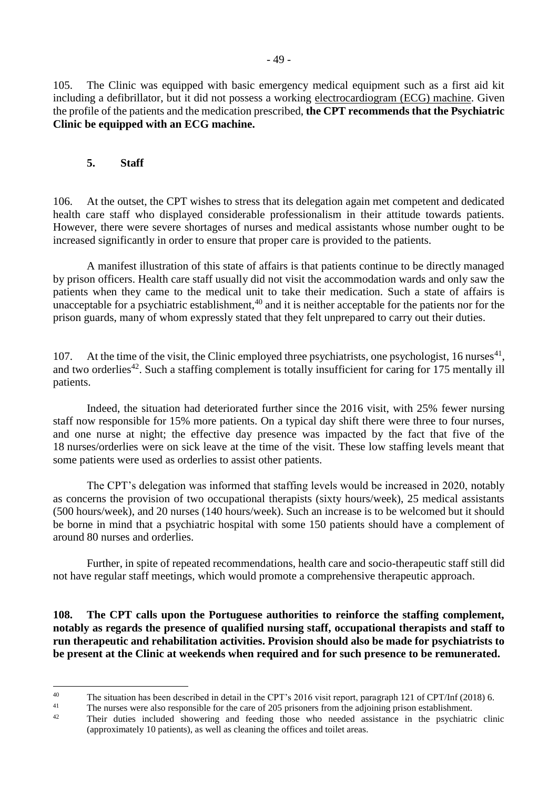105. The Clinic was equipped with basic emergency medical equipment such as a first aid kit including a defibrillator, but it did not possess a working electrocardiogram (ECG) machine. Given the profile of the patients and the medication prescribed, **the CPT recommends that the Psychiatric Clinic be equipped with an ECG machine.**

## <span id="page-48-0"></span>**5. Staff**

106. At the outset, the CPT wishes to stress that its delegation again met competent and dedicated health care staff who displayed considerable professionalism in their attitude towards patients. However, there were severe shortages of nurses and medical assistants whose number ought to be increased significantly in order to ensure that proper care is provided to the patients.

A manifest illustration of this state of affairs is that patients continue to be directly managed by prison officers. Health care staff usually did not visit the accommodation wards and only saw the patients when they came to the medical unit to take their medication. Such a state of affairs is unacceptable for a psychiatric establishment,  $40$  and it is neither acceptable for the patients nor for the prison guards, many of whom expressly stated that they felt unprepared to carry out their duties.

107. At the time of the visit, the Clinic employed three psychiatrists, one psychologist, 16 nurses<sup>41</sup>, and two orderlies<sup>42</sup>. Such a staffing complement is totally insufficient for caring for  $175$  mentally ill patients.

Indeed, the situation had deteriorated further since the 2016 visit, with 25% fewer nursing staff now responsible for 15% more patients. On a typical day shift there were three to four nurses, and one nurse at night; the effective day presence was impacted by the fact that five of the 18 nurses/orderlies were on sick leave at the time of the visit. These low staffing levels meant that some patients were used as orderlies to assist other patients.

The CPT's delegation was informed that staffing levels would be increased in 2020, notably as concerns the provision of two occupational therapists (sixty hours/week), 25 medical assistants (500 hours/week), and 20 nurses (140 hours/week). Such an increase is to be welcomed but it should be borne in mind that a psychiatric hospital with some 150 patients should have a complement of around 80 nurses and orderlies.

Further, in spite of repeated recommendations, health care and socio-therapeutic staff still did not have regular staff meetings, which would promote a comprehensive therapeutic approach.

**108. The CPT calls upon the Portuguese authorities to reinforce the staffing complement, notably as regards the presence of qualified nursing staff, occupational therapists and staff to run therapeutic and rehabilitation activities. Provision should also be made for psychiatrists to be present at the Clinic at weekends when required and for such presence to be remunerated.** 

 $40^{\circ}$ <sup>40</sup> The situation has been described in detail in the CPT's 2016 visit report, paragraph 121 of CPT/Inf (2018) 6.

<sup>&</sup>lt;sup>41</sup> The nurses were also responsible for the care of 205 prisoners from the adjoining prison establishment.

Their duties included showering and feeding those who needed assistance in the psychiatric clinic (approximately 10 patients), as well as cleaning the offices and toilet areas.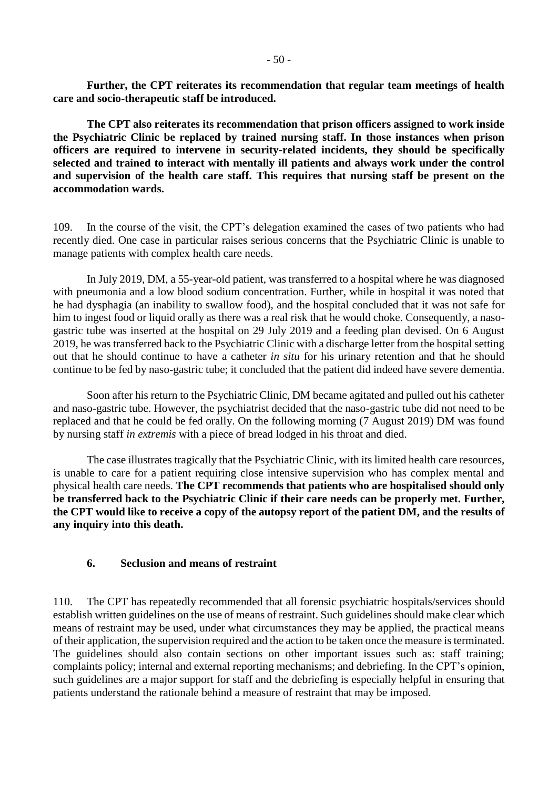**Further, the CPT reiterates its recommendation that regular team meetings of health care and socio-therapeutic staff be introduced.**

**The CPT also reiterates its recommendation that prison officers assigned to work inside the Psychiatric Clinic be replaced by trained nursing staff. In those instances when prison officers are required to intervene in security-related incidents, they should be specifically selected and trained to interact with mentally ill patients and always work under the control and supervision of the health care staff. This requires that nursing staff be present on the accommodation wards.**

109. In the course of the visit, the CPT's delegation examined the cases of two patients who had recently died. One case in particular raises serious concerns that the Psychiatric Clinic is unable to manage patients with complex health care needs.

In July 2019, DM, a 55-year-old patient, was transferred to a hospital where he was diagnosed with pneumonia and a low blood sodium concentration. Further, while in hospital it was noted that he had dysphagia (an inability to swallow food), and the hospital concluded that it was not safe for him to ingest food or liquid orally as there was a real risk that he would choke. Consequently, a nasogastric tube was inserted at the hospital on 29 July 2019 and a feeding plan devised. On 6 August 2019, he was transferred back to the Psychiatric Clinic with a discharge letter from the hospital setting out that he should continue to have a catheter *in situ* for his urinary retention and that he should continue to be fed by naso-gastric tube; it concluded that the patient did indeed have severe dementia.

Soon after his return to the Psychiatric Clinic, DM became agitated and pulled out his catheter and naso-gastric tube. However, the psychiatrist decided that the naso-gastric tube did not need to be replaced and that he could be fed orally. On the following morning (7 August 2019) DM was found by nursing staff *in extremis* with a piece of bread lodged in his throat and died.

The case illustrates tragically that the Psychiatric Clinic, with its limited health care resources, is unable to care for a patient requiring close intensive supervision who has complex mental and physical health care needs. **The CPT recommends that patients who are hospitalised should only be transferred back to the Psychiatric Clinic if their care needs can be properly met. Further, the CPT would like to receive a copy of the autopsy report of the patient DM, and the results of any inquiry into this death.** 

#### <span id="page-49-0"></span>**6. Seclusion and means of restraint**

110. The CPT has repeatedly recommended that all forensic psychiatric hospitals/services should establish written guidelines on the use of means of restraint. Such guidelines should make clear which means of restraint may be used, under what circumstances they may be applied, the practical means of their application, the supervision required and the action to be taken once the measure is terminated. The guidelines should also contain sections on other important issues such as: staff training; complaints policy; internal and external reporting mechanisms; and debriefing. In the CPT's opinion, such guidelines are a major support for staff and the debriefing is especially helpful in ensuring that patients understand the rationale behind a measure of restraint that may be imposed.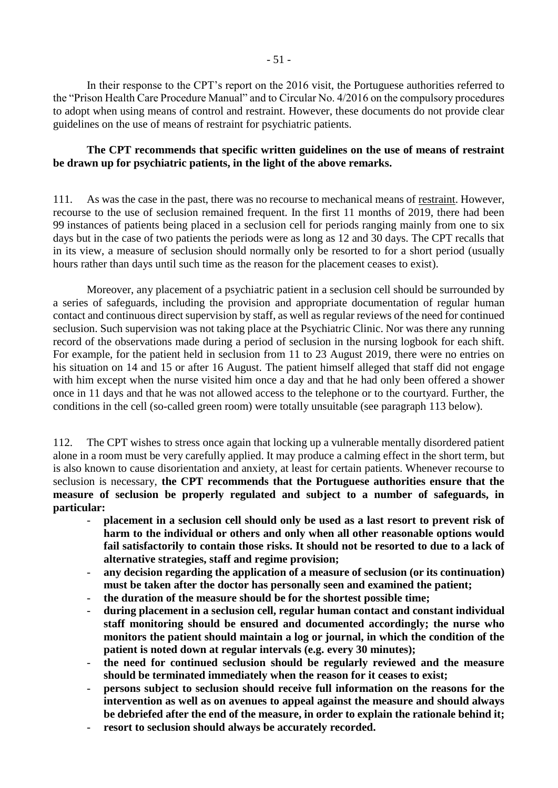In their response to the CPT's report on the 2016 visit, the Portuguese authorities referred to the "Prison Health Care Procedure Manual" and to Circular No. 4/2016 on the compulsory procedures to adopt when using means of control and restraint. However, these documents do not provide clear guidelines on the use of means of restraint for psychiatric patients.

## **The CPT recommends that specific written guidelines on the use of means of restraint be drawn up for psychiatric patients, in the light of the above remarks.**

111. As was the case in the past, there was no recourse to mechanical means of restraint. However, recourse to the use of seclusion remained frequent. In the first 11 months of 2019, there had been 99 instances of patients being placed in a seclusion cell for periods ranging mainly from one to six days but in the case of two patients the periods were as long as 12 and 30 days. The CPT recalls that in its view, a measure of seclusion should normally only be resorted to for a short period (usually hours rather than days until such time as the reason for the placement ceases to exist).

Moreover, any placement of a psychiatric patient in a seclusion cell should be surrounded by a series of safeguards, including the provision and appropriate documentation of regular human contact and continuous direct supervision by staff, as well as regular reviews of the need for continued seclusion. Such supervision was not taking place at the Psychiatric Clinic. Nor was there any running record of the observations made during a period of seclusion in the nursing logbook for each shift. For example, for the patient held in seclusion from 11 to 23 August 2019, there were no entries on his situation on 14 and 15 or after 16 August. The patient himself alleged that staff did not engage with him except when the nurse visited him once a day and that he had only been offered a shower once in 11 days and that he was not allowed access to the telephone or to the courtyard. Further, the conditions in the cell (so-called green room) were totally unsuitable (see paragraph 113 below).

112. The CPT wishes to stress once again that locking up a vulnerable mentally disordered patient alone in a room must be very carefully applied. It may produce a calming effect in the short term, but is also known to cause disorientation and anxiety, at least for certain patients. Whenever recourse to seclusion is necessary, **the CPT recommends that the Portuguese authorities ensure that the measure of seclusion be properly regulated and subject to a number of safeguards, in particular:** 

- **placement in a seclusion cell should only be used as a last resort to prevent risk of harm to the individual or others and only when all other reasonable options would fail satisfactorily to contain those risks. It should not be resorted to due to a lack of alternative strategies, staff and regime provision;**
- **any decision regarding the application of a measure of seclusion (or its continuation) must be taken after the doctor has personally seen and examined the patient;**
- **the duration of the measure should be for the shortest possible time;**
- **during placement in a seclusion cell, regular human contact and constant individual staff monitoring should be ensured and documented accordingly; the nurse who monitors the patient should maintain a log or journal, in which the condition of the patient is noted down at regular intervals (e.g. every 30 minutes);**
- **the need for continued seclusion should be regularly reviewed and the measure should be terminated immediately when the reason for it ceases to exist;**
- persons subject to seclusion should receive full information on the reasons for the **intervention as well as on avenues to appeal against the measure and should always be debriefed after the end of the measure, in order to explain the rationale behind it;**
- resort to seclusion should always be accurately recorded.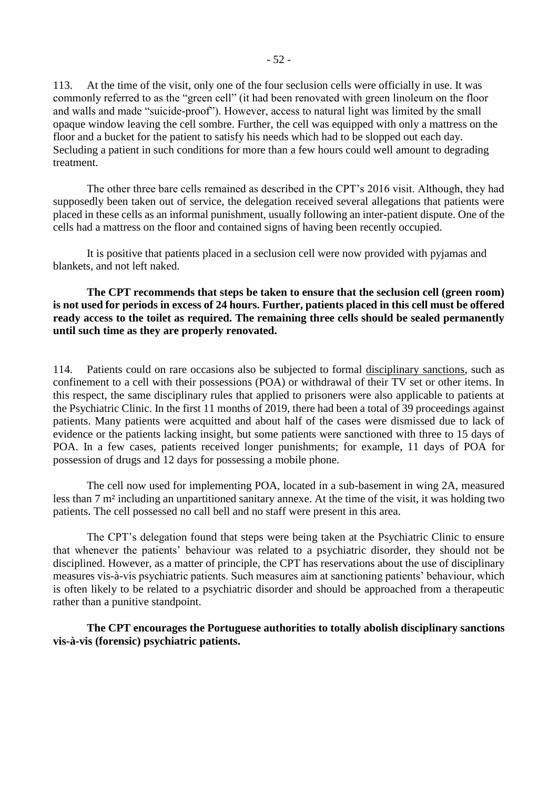113. At the time of the visit, only one of the four seclusion cells were officially in use. It was commonly referred to as the "green cell" (it had been renovated with green linoleum on the floor and walls and made "suicide-proof"). However, access to natural light was limited by the small opaque window leaving the cell sombre. Further, the cell was equipped with only a mattress on the floor and a bucket for the patient to satisfy his needs which had to be slopped out each day. Secluding a patient in such conditions for more than a few hours could well amount to degrading treatment.

The other three bare cells remained as described in the CPT's 2016 visit. Although, they had supposedly been taken out of service, the delegation received several allegations that patients were placed in these cells as an informal punishment, usually following an inter-patient dispute. One of the cells had a mattress on the floor and contained signs of having been recently occupied.

It is positive that patients placed in a seclusion cell were now provided with pyjamas and blankets, and not left naked.

**The CPT recommends that steps be taken to ensure that the seclusion cell (green room) is not used for periods in excess of 24 hours. Further, patients placed in this cell must be offered ready access to the toilet as required. The remaining three cells should be sealed permanently until such time as they are properly renovated.**

114. Patients could on rare occasions also be subjected to formal disciplinary sanctions, such as confinement to a cell with their possessions (POA) or withdrawal of their TV set or other items. In this respect, the same disciplinary rules that applied to prisoners were also applicable to patients at the Psychiatric Clinic. In the first 11 months of 2019, there had been a total of 39 proceedings against patients. Many patients were acquitted and about half of the cases were dismissed due to lack of evidence or the patients lacking insight, but some patients were sanctioned with three to 15 days of POA. In a few cases, patients received longer punishments; for example, 11 days of POA for possession of drugs and 12 days for possessing a mobile phone.

The cell now used for implementing POA, located in a sub-basement in wing 2A, measured less than 7 m² including an unpartitioned sanitary annexe. At the time of the visit, it was holding two patients. The cell possessed no call bell and no staff were present in this area.

The CPT's delegation found that steps were being taken at the Psychiatric Clinic to ensure that whenever the patients' behaviour was related to a psychiatric disorder, they should not be disciplined. However, as a matter of principle, the CPT has reservations about the use of disciplinary measures vis-à-vis psychiatric patients. Such measures aim at sanctioning patients' behaviour, which is often likely to be related to a psychiatric disorder and should be approached from a therapeutic rather than a punitive standpoint.

**The CPT encourages the Portuguese authorities to totally abolish disciplinary sanctions vis-à-vis (forensic) psychiatric patients.**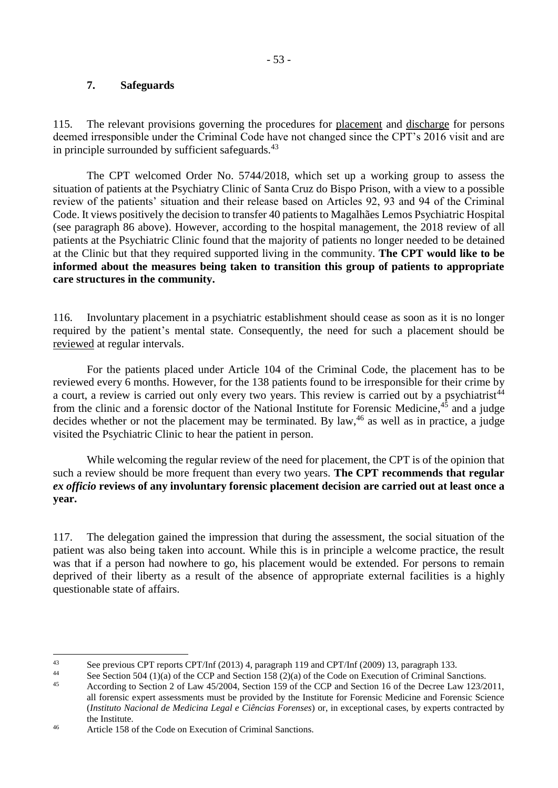#### <span id="page-52-0"></span>**7. Safeguards**

115. The relevant provisions governing the procedures for placement and discharge for persons deemed irresponsible under the Criminal Code have not changed since the CPT's 2016 visit and are in principle surrounded by sufficient safeguards.<sup>43</sup>

The CPT welcomed Order No. 5744/2018, which set up a working group to assess the situation of patients at the Psychiatry Clinic of Santa Cruz do Bispo Prison, with a view to a possible review of the patients' situation and their release based on Articles 92, 93 and 94 of the Criminal Code. It views positively the decision to transfer 40 patients to Magalhães Lemos Psychiatric Hospital (see paragraph 86 above). However, according to the hospital management, the 2018 review of all patients at the Psychiatric Clinic found that the majority of patients no longer needed to be detained at the Clinic but that they required supported living in the community. **The CPT would like to be informed about the measures being taken to transition this group of patients to appropriate care structures in the community.**

116. Involuntary placement in a psychiatric establishment should cease as soon as it is no longer required by the patient's mental state. Consequently, the need for such a placement should be reviewed at regular intervals.

For the patients placed under Article 104 of the Criminal Code, the placement has to be reviewed every 6 months. However, for the 138 patients found to be irresponsible for their crime by a court, a review is carried out only every two years. This review is carried out by a psychiatrist<sup>44</sup> from the clinic and a forensic doctor of the National Institute for Forensic Medicine,<sup>45</sup> and a judge decides whether or not the placement may be terminated. By law,<sup>46</sup> as well as in practice, a judge visited the Psychiatric Clinic to hear the patient in person.

While welcoming the regular review of the need for placement, the CPT is of the opinion that such a review should be more frequent than every two years. **The CPT recommends that regular**  *ex officio* **reviews of any involuntary forensic placement decision are carried out at least once a year.**

117. The delegation gained the impression that during the assessment, the social situation of the patient was also being taken into account. While this is in principle a welcome practice, the result was that if a person had nowhere to go, his placement would be extended. For persons to remain deprived of their liberty as a result of the absence of appropriate external facilities is a highly questionable state of affairs.

<sup>1</sup> <sup>43</sup> See previous CPT reports CPT/Inf (2013) 4, paragraph 119 and CPT/Inf (2009) 13, paragraph 133.

<sup>&</sup>lt;sup>44</sup> See Section 504 (1)(a) of the CCP and Section 158 (2)(a) of the Code on Execution of Criminal Sanctions.

<sup>45</sup> According to Section 2 of Law 45/2004, Section 159 of the CCP and Section 16 of the Decree Law 123/2011, all forensic expert assessments must be provided by the Institute for Forensic Medicine and Forensic Science (*Instituto Nacional de Medicina Legal e Ciências Forenses*) or, in exceptional cases, by experts contracted by the Institute.

<sup>46</sup> Article 158 of the Code on Execution of Criminal Sanctions.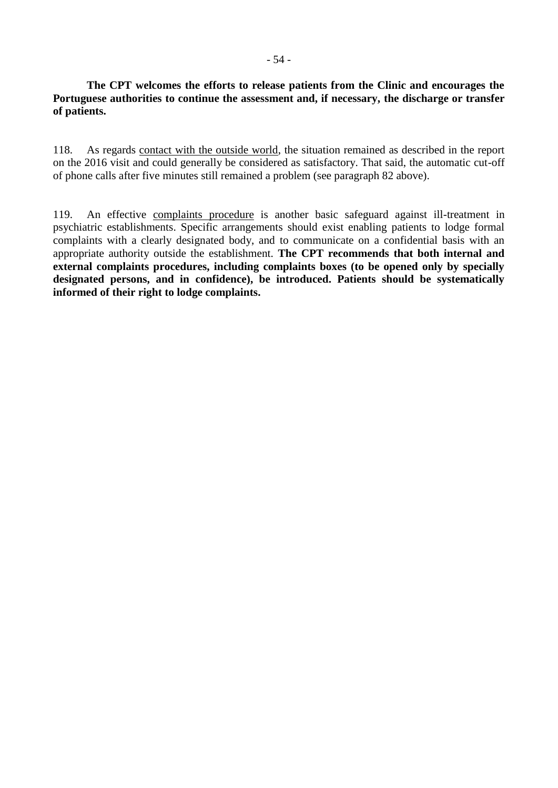## **The CPT welcomes the efforts to release patients from the Clinic and encourages the Portuguese authorities to continue the assessment and, if necessary, the discharge or transfer of patients.**

118. As regards contact with the outside world, the situation remained as described in the report on the 2016 visit and could generally be considered as satisfactory. That said, the automatic cut-off of phone calls after five minutes still remained a problem (see paragraph 82 above).

119. An effective complaints procedure is another basic safeguard against ill-treatment in psychiatric establishments. Specific arrangements should exist enabling patients to lodge formal complaints with a clearly designated body, and to communicate on a confidential basis with an appropriate authority outside the establishment. **The CPT recommends that both internal and external complaints procedures, including complaints boxes (to be opened only by specially designated persons, and in confidence), be introduced. Patients should be systematically informed of their right to lodge complaints.**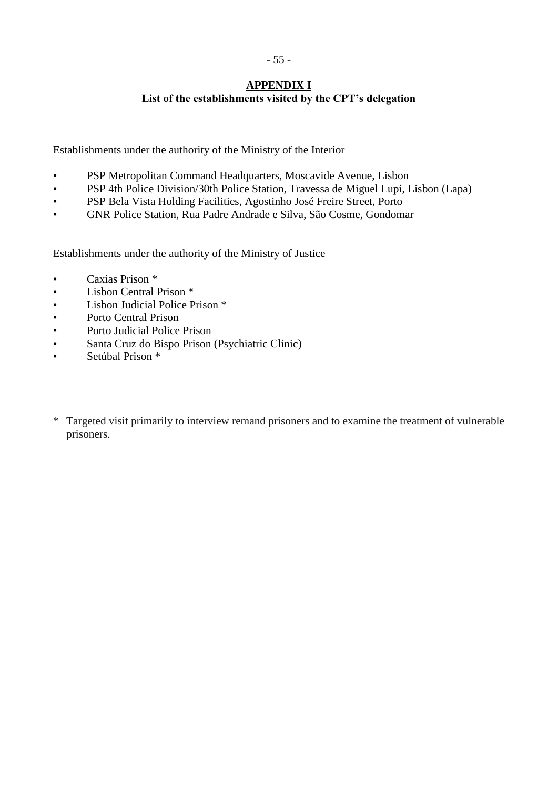#### **APPENDIX I List of the establishments visited by the CPT's delegation**

<span id="page-54-0"></span>Establishments under the authority of the Ministry of the Interior

- PSP Metropolitan Command Headquarters, Moscavide Avenue, Lisbon
- PSP 4th Police Division/30th Police Station, Travessa de Miguel Lupi, Lisbon (Lapa)
- PSP Bela Vista Holding Facilities, Agostinho José Freire Street, Porto
- GNR Police Station, Rua Padre Andrade e Silva, São Cosme, Gondomar

Establishments under the authority of the Ministry of Justice

- Caxias Prison \*
- Lisbon Central Prison \*
- Lisbon Judicial Police Prison \*
- Porto Central Prison
- Porto Judicial Police Prison
- Santa Cruz do Bispo Prison (Psychiatric Clinic)
- Setúbal Prison \*
- \* Targeted visit primarily to interview remand prisoners and to examine the treatment of vulnerable prisoners.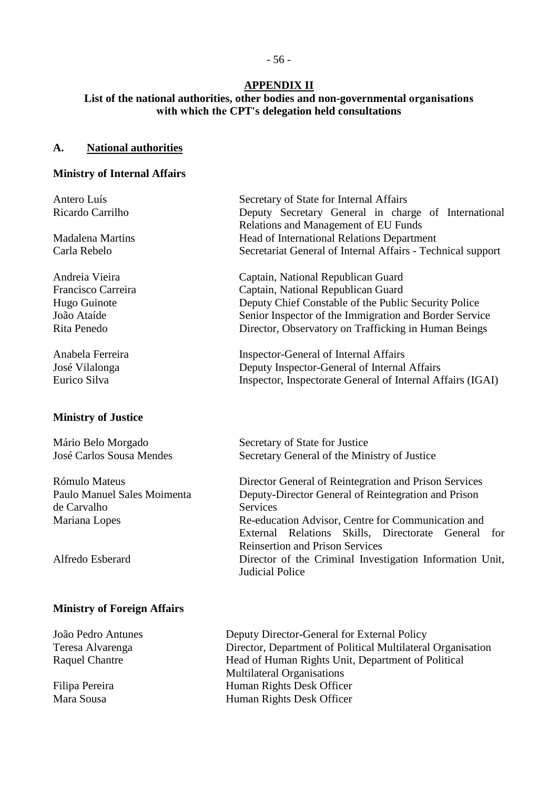## **APPENDIX II**

## <span id="page-55-0"></span>**List of the national authorities, other bodies and non-governmental organisations with which the CPT's delegation held consultations**

#### **A. National authorities**

#### **Ministry of Internal Affairs**

| Antero Luís<br>Ricardo Carrilho                                                    | Secretary of State for Internal Affairs<br>Deputy Secretary General in charge of International                                                                                                                                                     |  |  |
|------------------------------------------------------------------------------------|----------------------------------------------------------------------------------------------------------------------------------------------------------------------------------------------------------------------------------------------------|--|--|
| <b>Madalena Martins</b><br>Carla Rebelo                                            | Relations and Management of EU Funds<br>Head of International Relations Department<br>Secretariat General of Internal Affairs - Technical support                                                                                                  |  |  |
| Andreia Vieira<br>Francisco Carreira<br>Hugo Guinote<br>João Ataíde<br>Rita Penedo | Captain, National Republican Guard<br>Captain, National Republican Guard<br>Deputy Chief Constable of the Public Security Police<br>Senior Inspector of the Immigration and Border Service<br>Director, Observatory on Trafficking in Human Beings |  |  |
| Anabela Ferreira<br>José Vilalonga<br>Eurico Silva                                 | <b>Inspector-General of Internal Affairs</b><br>Deputy Inspector-General of Internal Affairs<br>Inspector, Inspectorate General of Internal Affairs (IGAI)                                                                                         |  |  |
| <b>Ministry of Justice</b>                                                         |                                                                                                                                                                                                                                                    |  |  |
| Mário Belo Morgado<br>José Carlos Sousa Mendes                                     | Secretary of State for Justice<br>Secretary General of the Ministry of Justice                                                                                                                                                                     |  |  |
|                                                                                    |                                                                                                                                                                                                                                                    |  |  |
| Rómulo Mateus                                                                      | Director General of Reintegration and Prison Services                                                                                                                                                                                              |  |  |
| Paulo Manuel Sales Moimenta                                                        | Deputy-Director General of Reintegration and Prison                                                                                                                                                                                                |  |  |
| de Carvalho                                                                        | <b>Services</b>                                                                                                                                                                                                                                    |  |  |
| Mariana Lopes                                                                      | Re-education Advisor, Centre for Communication and<br>External<br>Relations<br>Skills, Directorate<br>General<br>for<br><b>Reinsertion and Prison Services</b>                                                                                     |  |  |
| Alfredo Esberard                                                                   | Director of the Criminal Investigation Information Unit,                                                                                                                                                                                           |  |  |

Judicial Police

# **Ministry of Foreign Affairs**

João Pedro Antunes Deputy Director-General for External Policy Teresa Alvarenga Director, Department of Political Multilateral Organisation Raquel Chantre Head of Human Rights Unit, Department of Political Multilateral Organisations Filipa Pereira **Human Rights Desk Officer**<br>Mara Sousa **Human Rights Desk Officer** Human Rights Desk Officer